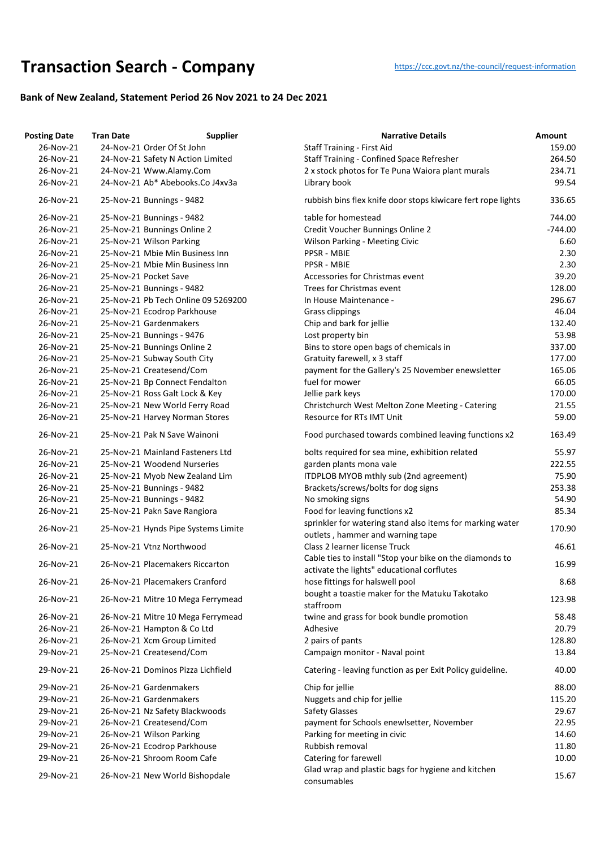## **Transaction Searc[h](https://ccc.govt.nz/the-council/request-information) - Company** https://ccc.govt.nz/the-council/request-information

## **Bank of New Zealand, Statement Period 26 Nov 2021 to 24 Dec 2021**

| <b>Posting Date</b> | <b>Tran Date</b>                    | <b>Supplier</b> | <b>Narrative Details</b>                                          | Amount    |
|---------------------|-------------------------------------|-----------------|-------------------------------------------------------------------|-----------|
| 26-Nov-21           | 24-Nov-21 Order Of St John          |                 | <b>Staff Training - First Aid</b>                                 | 159.00    |
| 26-Nov-21           | 24-Nov-21 Safety N Action Limited   |                 | Staff Training - Confined Space Refresher                         | 264.50    |
| 26-Nov-21           | 24-Nov-21 Www.Alamy.Com             |                 | 2 x stock photos for Te Puna Waiora plant murals                  | 234.71    |
| 26-Nov-21           | 24-Nov-21 Ab* Abebooks.Co J4xv3a    |                 | Library book                                                      | 99.54     |
| 26-Nov-21           | 25-Nov-21 Bunnings - 9482           |                 | rubbish bins flex knife door stops kiwicare fert rope lights      | 336.65    |
| 26-Nov-21           | 25-Nov-21 Bunnings - 9482           |                 | table for homestead                                               | 744.00    |
| 26-Nov-21           | 25-Nov-21 Bunnings Online 2         |                 | Credit Voucher Bunnings Online 2                                  | $-744.00$ |
| 26-Nov-21           | 25-Nov-21 Wilson Parking            |                 | <b>Wilson Parking - Meeting Civic</b>                             | 6.60      |
| 26-Nov-21           | 25-Nov-21 Mbie Min Business Inn     |                 | PPSR - MBIE                                                       | 2.30      |
| 26-Nov-21           | 25-Nov-21 Mbie Min Business Inn     |                 | <b>PPSR - MBIE</b>                                                | 2.30      |
| 26-Nov-21           | 25-Nov-21 Pocket Save               |                 | Accessories for Christmas event                                   | 39.20     |
| 26-Nov-21           | 25-Nov-21 Bunnings - 9482           |                 | Trees for Christmas event                                         | 128.00    |
| 26-Nov-21           | 25-Nov-21 Pb Tech Online 09 5269200 |                 | In House Maintenance -                                            | 296.67    |
| 26-Nov-21           | 25-Nov-21 Ecodrop Parkhouse         |                 | Grass clippings                                                   | 46.04     |
| 26-Nov-21           | 25-Nov-21 Gardenmakers              |                 | Chip and bark for jellie                                          | 132.40    |
| 26-Nov-21           | 25-Nov-21 Bunnings - 9476           |                 | Lost property bin                                                 | 53.98     |
| 26-Nov-21           | 25-Nov-21 Bunnings Online 2         |                 | Bins to store open bags of chemicals in                           | 337.00    |
| 26-Nov-21           | 25-Nov-21 Subway South City         |                 | Gratuity farewell, x 3 staff                                      | 177.00    |
| 26-Nov-21           | 25-Nov-21 Createsend/Com            |                 | payment for the Gallery's 25 November enewsletter                 | 165.06    |
| 26-Nov-21           | 25-Nov-21 Bp Connect Fendalton      |                 | fuel for mower                                                    | 66.05     |
| 26-Nov-21           | 25-Nov-21 Ross Galt Lock & Key      |                 | Jellie park keys                                                  | 170.00    |
| 26-Nov-21           | 25-Nov-21 New World Ferry Road      |                 | Christchurch West Melton Zone Meeting - Catering                  | 21.55     |
| 26-Nov-21           | 25-Nov-21 Harvey Norman Stores      |                 | Resource for RTs IMT Unit                                         | 59.00     |
| 26-Nov-21           | 25-Nov-21 Pak N Save Wainoni        |                 | Food purchased towards combined leaving functions x2              | 163.49    |
| 26-Nov-21           | 25-Nov-21 Mainland Fasteners Ltd    |                 | bolts required for sea mine, exhibition related                   | 55.97     |
| 26-Nov-21           | 25-Nov-21 Woodend Nurseries         |                 | garden plants mona vale                                           | 222.55    |
| 26-Nov-21           | 25-Nov-21 Myob New Zealand Lim      |                 | ITDPLOB MYOB mthly sub (2nd agreement)                            | 75.90     |
| 26-Nov-21           | 25-Nov-21 Bunnings - 9482           |                 | Brackets/screws/bolts for dog signs                               | 253.38    |
| 26-Nov-21           | 25-Nov-21 Bunnings - 9482           |                 | No smoking signs                                                  | 54.90     |
| 26-Nov-21           | 25-Nov-21 Pakn Save Rangiora        |                 | Food for leaving functions x2                                     | 85.34     |
|                     |                                     |                 | sprinkler for watering stand also items for marking water         |           |
| 26-Nov-21           | 25-Nov-21 Hynds Pipe Systems Limite |                 | outlets, hammer and warning tape                                  | 170.90    |
| 26-Nov-21           | 25-Nov-21 Vtnz Northwood            |                 | Class 2 learner license Truck                                     | 46.61     |
| 26-Nov-21           | 26-Nov-21 Placemakers Riccarton     |                 | Cable ties to install "Stop your bike on the diamonds to          | 16.99     |
|                     |                                     |                 | activate the lights" educational corflutes                        |           |
| 26-Nov-21           | 26-Nov-21 Placemakers Cranford      |                 | hose fittings for halswell pool                                   | 8.68      |
| 26-Nov-21           | 26-Nov-21 Mitre 10 Mega Ferrymead   |                 | bought a toastie maker for the Matuku Takotako<br>staffroom       | 123.98    |
| 26-Nov-21           | 26-Nov-21 Mitre 10 Mega Ferrymead   |                 | twine and grass for book bundle promotion                         | 58.48     |
| 26-Nov-21           | 26-Nov-21 Hampton & Co Ltd          |                 | Adhesive                                                          | 20.79     |
| 26-Nov-21           | 26-Nov-21 Xcm Group Limited         |                 | 2 pairs of pants                                                  | 128.80    |
| 29-Nov-21           | 25-Nov-21 Createsend/Com            |                 | Campaign monitor - Naval point                                    | 13.84     |
|                     |                                     |                 |                                                                   |           |
| 29-Nov-21           | 26-Nov-21 Dominos Pizza Lichfield   |                 | Catering - leaving function as per Exit Policy guideline.         | 40.00     |
| 29-Nov-21           | 26-Nov-21 Gardenmakers              |                 | Chip for jellie                                                   | 88.00     |
| 29-Nov-21           | 26-Nov-21 Gardenmakers              |                 | Nuggets and chip for jellie                                       | 115.20    |
| 29-Nov-21           | 26-Nov-21 Nz Safety Blackwoods      |                 | <b>Safety Glasses</b>                                             | 29.67     |
| 29-Nov-21           | 26-Nov-21 Createsend/Com            |                 | payment for Schools enewlsetter, November                         | 22.95     |
| 29-Nov-21           | 26-Nov-21 Wilson Parking            |                 | Parking for meeting in civic                                      | 14.60     |
| 29-Nov-21           | 26-Nov-21 Ecodrop Parkhouse         |                 | Rubbish removal                                                   | 11.80     |
| 29-Nov-21           | 26-Nov-21 Shroom Room Cafe          |                 | Catering for farewell                                             | 10.00     |
| 29-Nov-21           | 26-Nov-21 New World Bishopdale      |                 | Glad wrap and plastic bags for hygiene and kitchen<br>consumables | 15.67     |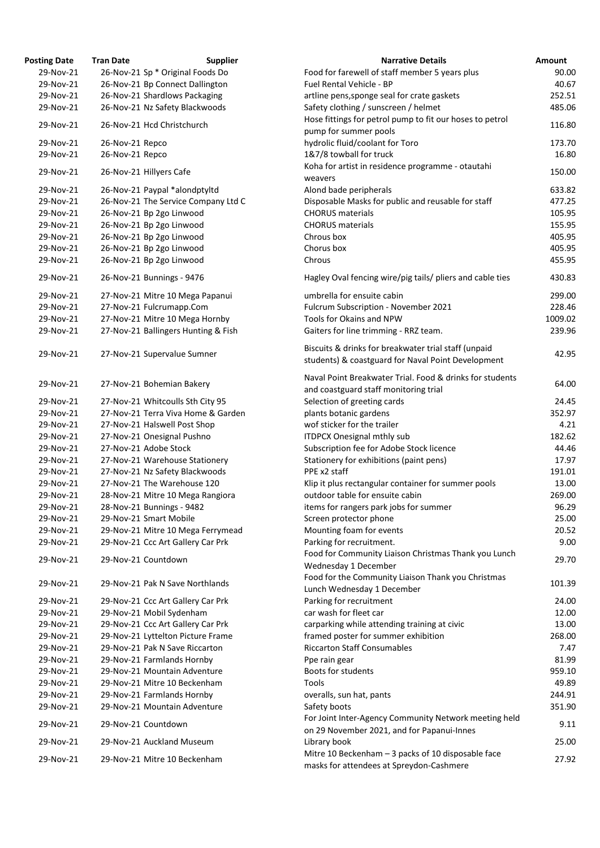| <b>Posting Date</b> | <b>Tran Date</b> | <b>Supplier</b>                     | <b>Narrative Details</b>                                                                            | <b>Amount</b> |
|---------------------|------------------|-------------------------------------|-----------------------------------------------------------------------------------------------------|---------------|
| 29-Nov-21           |                  | 26-Nov-21 Sp * Original Foods Do    | Food for farewell of staff member 5 years plus                                                      | 90.00         |
| 29-Nov-21           |                  | 26-Nov-21 Bp Connect Dallington     | Fuel Rental Vehicle - BP                                                                            | 40.67         |
| 29-Nov-21           |                  | 26-Nov-21 Shardlows Packaging       | artline pens, sponge seal for crate gaskets                                                         | 252.51        |
| 29-Nov-21           |                  | 26-Nov-21 Nz Safety Blackwoods      | Safety clothing / sunscreen / helmet                                                                | 485.06        |
|                     |                  |                                     | Hose fittings for petrol pump to fit our hoses to petrol                                            |               |
| 29-Nov-21           |                  | 26-Nov-21 Hcd Christchurch          | pump for summer pools                                                                               | 116.80        |
| 29-Nov-21           | 26-Nov-21 Repco  |                                     | hydrolic fluid/coolant for Toro                                                                     | 173.70        |
| 29-Nov-21           | 26-Nov-21 Repco  |                                     | 1&7/8 towball for truck                                                                             | 16.80         |
| 29-Nov-21           |                  | 26-Nov-21 Hillyers Cafe             | Koha for artist in residence programme - otautahi<br>weavers                                        | 150.00        |
| 29-Nov-21           |                  | 26-Nov-21 Paypal *alondptyltd       | Alond bade peripherals                                                                              | 633.82        |
| 29-Nov-21           |                  | 26-Nov-21 The Service Company Ltd C | Disposable Masks for public and reusable for staff                                                  | 477.25        |
| 29-Nov-21           |                  | 26-Nov-21 Bp 2go Linwood            | <b>CHORUS</b> materials                                                                             | 105.95        |
|                     |                  |                                     |                                                                                                     |               |
| 29-Nov-21           |                  | 26-Nov-21 Bp 2go Linwood            | <b>CHORUS</b> materials                                                                             | 155.95        |
| 29-Nov-21           |                  | 26-Nov-21 Bp 2go Linwood            | Chrous box                                                                                          | 405.95        |
| 29-Nov-21           |                  | 26-Nov-21 Bp 2go Linwood            | Chorus box                                                                                          | 405.95        |
| 29-Nov-21           |                  | 26-Nov-21 Bp 2go Linwood            | Chrous                                                                                              | 455.95        |
| 29-Nov-21           |                  | 26-Nov-21 Bunnings - 9476           | Hagley Oval fencing wire/pig tails/ pliers and cable ties                                           | 430.83        |
| 29-Nov-21           |                  | 27-Nov-21 Mitre 10 Mega Papanui     | umbrella for ensuite cabin                                                                          | 299.00        |
| 29-Nov-21           |                  | 27-Nov-21 Fulcrumapp.Com            | Fulcrum Subscription - November 2021                                                                | 228.46        |
| 29-Nov-21           |                  | 27-Nov-21 Mitre 10 Mega Hornby      | Tools for Okains and NPW                                                                            | 1009.02       |
| 29-Nov-21           |                  | 27-Nov-21 Ballingers Hunting & Fish | Gaiters for line trimming - RRZ team.                                                               | 239.96        |
|                     |                  |                                     | Biscuits & drinks for breakwater trial staff (unpaid                                                |               |
| 29-Nov-21           |                  | 27-Nov-21 Supervalue Sumner         | students) & coastguard for Naval Point Development                                                  | 42.95         |
| 29-Nov-21           |                  | 27-Nov-21 Bohemian Bakery           | Naval Point Breakwater Trial. Food & drinks for students<br>and coastguard staff monitoring trial   | 64.00         |
| 29-Nov-21           |                  | 27-Nov-21 Whitcoulls Sth City 95    |                                                                                                     | 24.45         |
|                     |                  | 27-Nov-21 Terra Viva Home & Garden  | Selection of greeting cards                                                                         |               |
| 29-Nov-21           |                  |                                     | plants botanic gardens                                                                              | 352.97        |
| 29-Nov-21           |                  | 27-Nov-21 Halswell Post Shop        | wof sticker for the trailer                                                                         | 4.21          |
| 29-Nov-21           |                  | 27-Nov-21 Onesignal Pushno          | <b>ITDPCX Onesignal mthly sub</b>                                                                   | 182.62        |
| 29-Nov-21           |                  | 27-Nov-21 Adobe Stock               | Subscription fee for Adobe Stock licence                                                            | 44.46         |
| 29-Nov-21           |                  | 27-Nov-21 Warehouse Stationery      | Stationery for exhibitions (paint pens)                                                             | 17.97         |
| 29-Nov-21           |                  | 27-Nov-21 Nz Safety Blackwoods      | PPE x2 staff                                                                                        | 191.01        |
| 29-Nov-21           |                  | 27-Nov-21 The Warehouse 120         | Klip it plus rectangular container for summer pools                                                 | 13.00         |
| 29-Nov-21           |                  | 28-Nov-21 Mitre 10 Mega Rangiora    | outdoor table for ensuite cabin                                                                     | 269.00        |
| 29-Nov-21           |                  | 28-Nov-21 Bunnings - 9482           | items for rangers park jobs for summer                                                              | 96.29         |
| 29-Nov-21           |                  | 29-Nov-21 Smart Mobile              | Screen protector phone                                                                              | 25.00         |
| 29-Nov-21           |                  | 29-Nov-21 Mitre 10 Mega Ferrymead   | Mounting foam for events                                                                            | 20.52         |
| 29-Nov-21           |                  | 29-Nov-21 Ccc Art Gallery Car Prk   | Parking for recruitment.                                                                            | 9.00          |
| 29-Nov-21           |                  | 29-Nov-21 Countdown                 | Food for Community Liaison Christmas Thank you Lunch<br>Wednesday 1 December                        | 29.70         |
| 29-Nov-21           |                  | 29-Nov-21 Pak N Save Northlands     | Food for the Community Liaison Thank you Christmas                                                  | 101.39        |
| 29-Nov-21           |                  |                                     | Lunch Wednesday 1 December<br>Parking for recruitment                                               | 24.00         |
|                     |                  | 29-Nov-21 Ccc Art Gallery Car Prk   |                                                                                                     |               |
| 29-Nov-21           |                  | 29-Nov-21 Mobil Sydenham            | car wash for fleet car                                                                              | 12.00         |
| 29-Nov-21           |                  | 29-Nov-21 Ccc Art Gallery Car Prk   | carparking while attending training at civic                                                        | 13.00         |
| 29-Nov-21           |                  | 29-Nov-21 Lyttelton Picture Frame   | framed poster for summer exhibition                                                                 | 268.00        |
| 29-Nov-21           |                  | 29-Nov-21 Pak N Save Riccarton      | <b>Riccarton Staff Consumables</b>                                                                  | 7.47          |
| 29-Nov-21           |                  | 29-Nov-21 Farmlands Hornby          | Ppe rain gear                                                                                       | 81.99         |
| 29-Nov-21           |                  | 29-Nov-21 Mountain Adventure        | <b>Boots for students</b>                                                                           | 959.10        |
| 29-Nov-21           |                  | 29-Nov-21 Mitre 10 Beckenham        | Tools                                                                                               | 49.89         |
| 29-Nov-21           |                  | 29-Nov-21 Farmlands Hornby          | overalls, sun hat, pants                                                                            | 244.91        |
| 29-Nov-21           |                  | 29-Nov-21 Mountain Adventure        | Safety boots                                                                                        | 351.90        |
| 29-Nov-21           |                  | 29-Nov-21 Countdown                 | For Joint Inter-Agency Community Network meeting held<br>on 29 November 2021, and for Papanui-Innes | 9.11          |
| 29-Nov-21           |                  | 29-Nov-21 Auckland Museum           | Library book                                                                                        | 25.00         |
| 29-Nov-21           |                  | 29-Nov-21 Mitre 10 Beckenham        | Mitre 10 Beckenham $-$ 3 packs of 10 disposable face                                                | 27.92         |
|                     |                  |                                     | masks for attendees at Spreydon-Cashmere                                                            |               |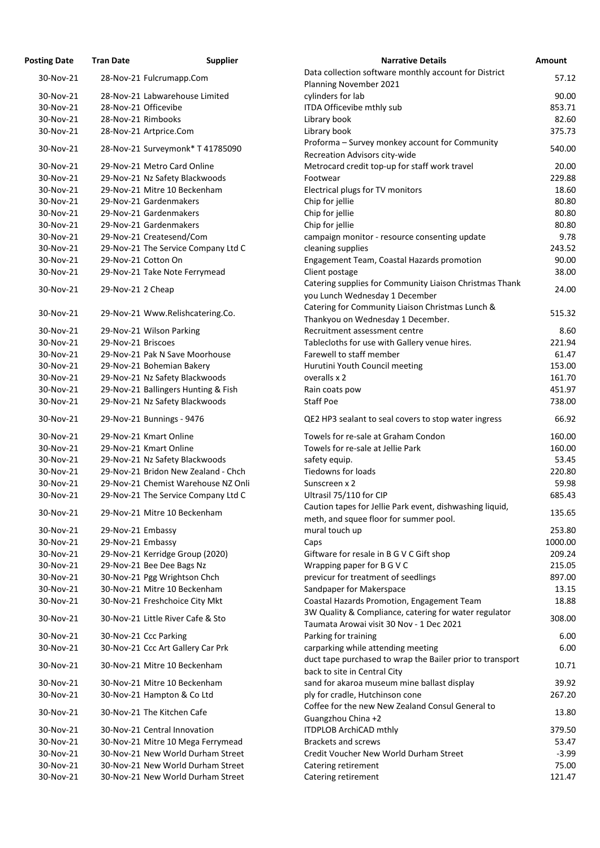| osting Date            | <b>Tran Date</b>     | <b>Supplier</b>                     | <b>Narrative Details</b>                                                                          |
|------------------------|----------------------|-------------------------------------|---------------------------------------------------------------------------------------------------|
| 30-Nov-21              |                      | 28-Nov-21 Fulcrumapp.Com            | Data collection software monthly account for District                                             |
|                        |                      |                                     | Planning November 2021                                                                            |
| 30-Nov-21<br>30-Nov-21 | 28-Nov-21 Officevibe | 28-Nov-21 Labwarehouse Limited      | cylinders for lab                                                                                 |
| 30-Nov-21              | 28-Nov-21 Rimbooks   |                                     | ITDA Officevibe mthly sub<br>Library book                                                         |
| 30-Nov-21              |                      | 28-Nov-21 Artprice.Com              | Library book                                                                                      |
|                        |                      |                                     | Proforma - Survey monkey account for Community                                                    |
| 30-Nov-21              |                      | 28-Nov-21 Surveymonk* T 41785090    | Recreation Advisors city-wide                                                                     |
| 30-Nov-21              |                      | 29-Nov-21 Metro Card Online         | Metrocard credit top-up for staff work travel                                                     |
| 30-Nov-21              |                      | 29-Nov-21 Nz Safety Blackwoods      | Footwear                                                                                          |
| 30-Nov-21              |                      | 29-Nov-21 Mitre 10 Beckenham        | Electrical plugs for TV monitors                                                                  |
| 30-Nov-21              |                      | 29-Nov-21 Gardenmakers              | Chip for jellie                                                                                   |
| 30-Nov-21              |                      | 29-Nov-21 Gardenmakers              | Chip for jellie                                                                                   |
| 30-Nov-21              |                      | 29-Nov-21 Gardenmakers              | Chip for jellie                                                                                   |
| 30-Nov-21              |                      | 29-Nov-21 Createsend/Com            | campaign monitor - resource consenting update                                                     |
| 30-Nov-21              |                      | 29-Nov-21 The Service Company Ltd C | cleaning supplies                                                                                 |
| 30-Nov-21              | 29-Nov-21 Cotton On  |                                     | Engagement Team, Coastal Hazards promotion                                                        |
| 30-Nov-21              |                      | 29-Nov-21 Take Note Ferrymead       | Client postage                                                                                    |
| 30-Nov-21              | 29-Nov-21 2 Cheap    |                                     | Catering supplies for Community Liaison Christmas Tha                                             |
|                        |                      |                                     | you Lunch Wednesday 1 December                                                                    |
| 30-Nov-21              |                      | 29-Nov-21 Www.Relishcatering.Co.    | Catering for Community Liaison Christmas Lunch &                                                  |
|                        |                      |                                     | Thankyou on Wednesday 1 December.                                                                 |
| 30-Nov-21              |                      | 29-Nov-21 Wilson Parking            | Recruitment assessment centre                                                                     |
| 30-Nov-21              | 29-Nov-21 Briscoes   |                                     | Tablecloths for use with Gallery venue hires.                                                     |
| 30-Nov-21              |                      | 29-Nov-21 Pak N Save Moorhouse      | Farewell to staff member                                                                          |
| 30-Nov-21              |                      | 29-Nov-21 Bohemian Bakery           | Hurutini Youth Council meeting                                                                    |
| 30-Nov-21              |                      | 29-Nov-21 Nz Safety Blackwoods      | overalls x 2                                                                                      |
| 30-Nov-21              |                      | 29-Nov-21 Ballingers Hunting & Fish | Rain coats pow<br><b>Staff Poe</b>                                                                |
| 30-Nov-21              |                      | 29-Nov-21 Nz Safety Blackwoods      |                                                                                                   |
| 30-Nov-21              |                      | 29-Nov-21 Bunnings - 9476           | QE2 HP3 sealant to seal covers to stop water ingress                                              |
| 30-Nov-21              |                      | 29-Nov-21 Kmart Online              | Towels for re-sale at Graham Condon                                                               |
| 30-Nov-21              |                      | 29-Nov-21 Kmart Online              | Towels for re-sale at Jellie Park                                                                 |
| 30-Nov-21              |                      | 29-Nov-21 Nz Safety Blackwoods      | safety equip.                                                                                     |
| 30-Nov-21              |                      | 29-Nov-21 Bridon New Zealand - Chch | <b>Tiedowns for loads</b>                                                                         |
| 30-Nov-21              |                      | 29-Nov-21 Chemist Warehouse NZ Onli | Sunscreen x 2                                                                                     |
| 30-Nov-21              |                      | 29-Nov-21 The Service Company Ltd C | Ultrasil 75/110 for CIP                                                                           |
| 30-Nov-21              |                      | 29-Nov-21 Mitre 10 Beckenham        | Caution tapes for Jellie Park event, dishwashing liquid,                                          |
|                        |                      |                                     | meth, and squee floor for summer pool.                                                            |
| 30-Nov-21              | 29-Nov-21 Embassy    |                                     | mural touch up                                                                                    |
| 30-Nov-21              | 29-Nov-21 Embassy    |                                     | Caps                                                                                              |
| 30-Nov-21              |                      | 29-Nov-21 Kerridge Group (2020)     | Giftware for resale in B G V C Gift shop                                                          |
| 30-Nov-21              |                      | 29-Nov-21 Bee Dee Bags Nz           | Wrapping paper for B G V C                                                                        |
| 30-Nov-21              |                      | 30-Nov-21 Pgg Wrightson Chch        | previcur for treatment of seedlings                                                               |
| 30-Nov-21              |                      | 30-Nov-21 Mitre 10 Beckenham        | Sandpaper for Makerspace                                                                          |
| 30-Nov-21              |                      | 30-Nov-21 Freshchoice City Mkt      | Coastal Hazards Promotion, Engagement Team                                                        |
| 30-Nov-21              |                      | 30-Nov-21 Little River Cafe & Sto   | 3W Quality & Compliance, catering for water regulator<br>Taumata Arowai visit 30 Nov - 1 Dec 2021 |
| 30-Nov-21              |                      | 30-Nov-21 Ccc Parking               | Parking for training                                                                              |
| 30-Nov-21              |                      | 30-Nov-21 Ccc Art Gallery Car Prk   | carparking while attending meeting                                                                |
|                        |                      |                                     | duct tape purchased to wrap the Bailer prior to transpo                                           |
| 30-Nov-21              |                      | 30-Nov-21 Mitre 10 Beckenham        | back to site in Central City                                                                      |
| 30-Nov-21              |                      | 30-Nov-21 Mitre 10 Beckenham        | sand for akaroa museum mine ballast display                                                       |
| 30-Nov-21              |                      | 30-Nov-21 Hampton & Co Ltd          | ply for cradle, Hutchinson cone                                                                   |
|                        |                      |                                     | Coffee for the new New Zealand Consul General to                                                  |
| 30-Nov-21              |                      | 30-Nov-21 The Kitchen Cafe          | Guangzhou China +2                                                                                |
| 30-Nov-21              |                      | 30-Nov-21 Central Innovation        | <b>ITDPLOB ArchiCAD mthly</b>                                                                     |
| 30-Nov-21              |                      | 30-Nov-21 Mitre 10 Mega Ferrymead   | <b>Brackets and screws</b>                                                                        |
| 30-Nov-21              |                      | 30-Nov-21 New World Durham Street   | Credit Voucher New World Durham Street                                                            |
| 30-Nov-21              |                      | 30-Nov-21 New World Durham Street   | Catering retirement                                                                               |
| 30-Nov-21              |                      | 30-Nov-21 New World Durham Street   | Catering retirement                                                                               |

| <b>Posting Date</b>    | <b>Tran Date</b>   | <b>Supplier</b>                                                     | <b>Narrative Details</b>                                                                            | Amount           |
|------------------------|--------------------|---------------------------------------------------------------------|-----------------------------------------------------------------------------------------------------|------------------|
| 30-Nov-21              |                    | 28-Nov-21 Fulcrumapp.Com                                            | Data collection software monthly account for District<br>Planning November 2021                     | 57.12            |
| 30-Nov-21              |                    | 28-Nov-21 Labwarehouse Limited                                      | cylinders for lab                                                                                   | 90.00            |
| 30-Nov-21              |                    | 28-Nov-21 Officevibe                                                | ITDA Officevibe mthly sub                                                                           | 853.71           |
| 30-Nov-21              | 28-Nov-21 Rimbooks |                                                                     | Library book                                                                                        | 82.60            |
| 30-Nov-21              |                    | 28-Nov-21 Artprice.Com                                              | Library book                                                                                        | 375.73           |
| 30-Nov-21              |                    | 28-Nov-21 Surveymonk* T 41785090                                    | Proforma - Survey monkey account for Community<br>Recreation Advisors city-wide                     | 540.00           |
| 30-Nov-21              |                    | 29-Nov-21 Metro Card Online                                         | Metrocard credit top-up for staff work travel                                                       | 20.00            |
| 30-Nov-21              |                    | 29-Nov-21 Nz Safety Blackwoods                                      | Footwear                                                                                            | 229.88           |
| 30-Nov-21              |                    | 29-Nov-21 Mitre 10 Beckenham                                        | Electrical plugs for TV monitors                                                                    | 18.60            |
| 30-Nov-21              |                    | 29-Nov-21 Gardenmakers                                              | Chip for jellie                                                                                     | 80.80            |
| 30-Nov-21              |                    | 29-Nov-21 Gardenmakers                                              | Chip for jellie                                                                                     | 80.80            |
| 30-Nov-21              |                    | 29-Nov-21 Gardenmakers                                              | Chip for jellie                                                                                     | 80.80            |
| 30-Nov-21              |                    | 29-Nov-21 Createsend/Com                                            | campaign monitor - resource consenting update                                                       | 9.78             |
| 30-Nov-21              |                    | 29-Nov-21 The Service Company Ltd C                                 | cleaning supplies                                                                                   | 243.52           |
| 30-Nov-21              |                    | 29-Nov-21 Cotton On                                                 | <b>Engagement Team, Coastal Hazards promotion</b>                                                   | 90.00            |
| 30-Nov-21              |                    | 29-Nov-21 Take Note Ferrymead                                       | Client postage                                                                                      | 38.00            |
| 30-Nov-21              | 29-Nov-21 2 Cheap  |                                                                     | Catering supplies for Community Liaison Christmas Thank                                             | 24.00            |
| 30-Nov-21              |                    | 29-Nov-21 Www.Relishcatering.Co.                                    | you Lunch Wednesday 1 December<br>Catering for Community Liaison Christmas Lunch &                  | 515.32           |
|                        |                    |                                                                     | Thankyou on Wednesday 1 December.                                                                   |                  |
| 30-Nov-21              |                    | 29-Nov-21 Wilson Parking                                            | Recruitment assessment centre                                                                       | 8.60             |
| 30-Nov-21              | 29-Nov-21 Briscoes |                                                                     | Tablecloths for use with Gallery venue hires.                                                       | 221.94           |
| 30-Nov-21              |                    | 29-Nov-21 Pak N Save Moorhouse                                      | Farewell to staff member                                                                            | 61.47            |
| 30-Nov-21              |                    | 29-Nov-21 Bohemian Bakery                                           | Hurutini Youth Council meeting                                                                      | 153.00           |
| 30-Nov-21              |                    | 29-Nov-21 Nz Safety Blackwoods                                      | overalls x 2                                                                                        | 161.70           |
| 30-Nov-21              |                    | 29-Nov-21 Ballingers Hunting & Fish                                 | Rain coats pow                                                                                      | 451.97           |
| 30-Nov-21              |                    | 29-Nov-21 Nz Safety Blackwoods                                      | <b>Staff Poe</b>                                                                                    | 738.00           |
| 30-Nov-21              |                    | 29-Nov-21 Bunnings - 9476                                           | QE2 HP3 sealant to seal covers to stop water ingress                                                | 66.92            |
| 30-Nov-21              |                    | 29-Nov-21 Kmart Online                                              | Towels for re-sale at Graham Condon                                                                 | 160.00           |
| 30-Nov-21              |                    | 29-Nov-21 Kmart Online                                              | Towels for re-sale at Jellie Park                                                                   | 160.00           |
| 30-Nov-21              |                    | 29-Nov-21 Nz Safety Blackwoods                                      | safety equip.                                                                                       | 53.45            |
| 30-Nov-21              |                    | 29-Nov-21 Bridon New Zealand - Chch                                 | <b>Tiedowns for loads</b>                                                                           | 220.80           |
| 30-Nov-21              |                    | 29-Nov-21 Chemist Warehouse NZ Onli                                 | Sunscreen x 2                                                                                       | 59.98            |
| 30-Nov-21<br>30-Nov-21 |                    | 29-Nov-21 The Service Company Ltd C<br>29-Nov-21 Mitre 10 Beckenham | Ultrasil 75/110 for CIP<br>Caution tapes for Jellie Park event, dishwashing liquid,                 | 685.43<br>135.65 |
|                        |                    |                                                                     | meth, and squee floor for summer pool.                                                              |                  |
| 30-Nov-21              | 29-Nov-21 Embassy  |                                                                     | mural touch up                                                                                      | 253.80           |
| 30-Nov-21              | 29-Nov-21 Embassy  |                                                                     | Caps                                                                                                | 1000.00          |
| 30-Nov-21              |                    | 29-Nov-21 Kerridge Group (2020)                                     | Giftware for resale in B G V C Gift shop                                                            | 209.24           |
| 30-Nov-21              |                    | 29-Nov-21 Bee Dee Bags Nz                                           | Wrapping paper for B G V C                                                                          | 215.05           |
| 30-Nov-21              |                    | 30-Nov-21 Pgg Wrightson Chch                                        | previcur for treatment of seedlings                                                                 | 897.00           |
| 30-Nov-21              |                    | 30-Nov-21 Mitre 10 Beckenham                                        | Sandpaper for Makerspace                                                                            | 13.15            |
| 30-Nov-21              |                    | 30-Nov-21 Freshchoice City Mkt                                      | Coastal Hazards Promotion, Engagement Team<br>3W Quality & Compliance, catering for water regulator | 18.88            |
| 30-Nov-21              |                    | 30-Nov-21 Little River Cafe & Sto                                   | Taumata Arowai visit 30 Nov - 1 Dec 2021                                                            | 308.00           |
| 30-Nov-21              |                    | 30-Nov-21 Ccc Parking                                               | Parking for training                                                                                | 6.00             |
| 30-Nov-21              |                    | 30-Nov-21 Ccc Art Gallery Car Prk                                   | carparking while attending meeting<br>duct tape purchased to wrap the Bailer prior to transport     | 6.00             |
| 30-Nov-21              |                    | 30-Nov-21 Mitre 10 Beckenham                                        | back to site in Central City                                                                        | 10.71            |
| 30-Nov-21              |                    | 30-Nov-21 Mitre 10 Beckenham                                        | sand for akaroa museum mine ballast display                                                         | 39.92            |
| 30-Nov-21              |                    | 30-Nov-21 Hampton & Co Ltd                                          | ply for cradle, Hutchinson cone                                                                     | 267.20           |
| 30-Nov-21              |                    | 30-Nov-21 The Kitchen Cafe                                          | Coffee for the new New Zealand Consul General to<br>Guangzhou China +2                              | 13.80            |
| 30-Nov-21              |                    | 30-Nov-21 Central Innovation                                        | <b>ITDPLOB ArchiCAD mthly</b>                                                                       | 379.50           |
| 30-Nov-21              |                    | 30-Nov-21 Mitre 10 Mega Ferrymead                                   | <b>Brackets and screws</b>                                                                          | 53.47            |
| 30-Nov-21              |                    | 30-Nov-21 New World Durham Street                                   | Credit Voucher New World Durham Street                                                              | $-3.99$          |
| 30-Nov-21              |                    | 30-Nov-21 New World Durham Street                                   | Catering retirement                                                                                 | 75.00            |
| 30-Nov-21              |                    | 30-Nov-21 New World Durham Street                                   | Catering retirement                                                                                 | 121.47           |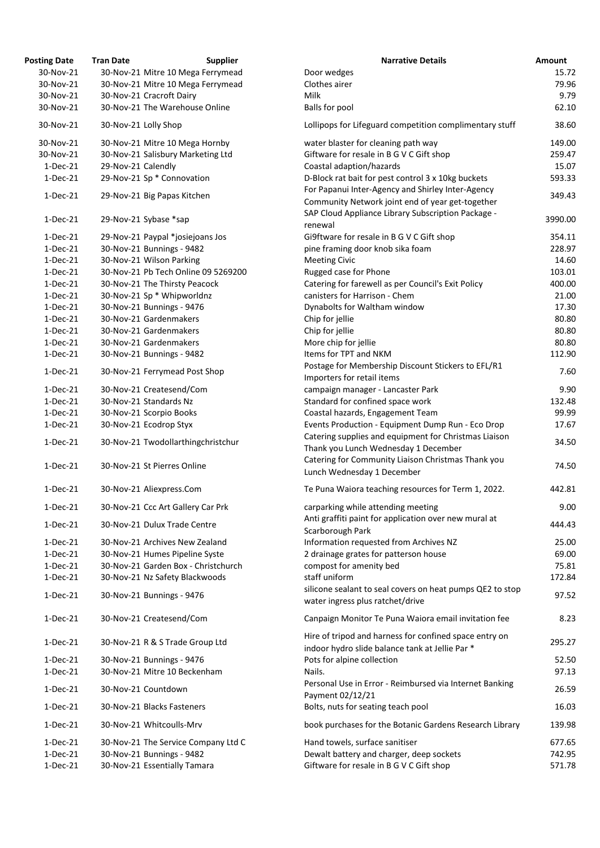| <b>Posting Date</b> | <b>Tran Date</b>   | <b>Supplier</b>                     | <b>Narrative Details</b>                                                                                  | Amount  |
|---------------------|--------------------|-------------------------------------|-----------------------------------------------------------------------------------------------------------|---------|
| 30-Nov-21           |                    | 30-Nov-21 Mitre 10 Mega Ferrymead   | Door wedges                                                                                               | 15.72   |
| 30-Nov-21           |                    | 30-Nov-21 Mitre 10 Mega Ferrymead   | Clothes airer                                                                                             | 79.96   |
| 30-Nov-21           |                    | 30-Nov-21 Cracroft Dairy            | Milk                                                                                                      | 9.79    |
| 30-Nov-21           |                    | 30-Nov-21 The Warehouse Online      | <b>Balls for pool</b>                                                                                     | 62.10   |
| 30-Nov-21           |                    | 30-Nov-21 Lolly Shop                | Lollipops for Lifeguard competition complimentary stuff                                                   | 38.60   |
| 30-Nov-21           |                    | 30-Nov-21 Mitre 10 Mega Hornby      | water blaster for cleaning path way                                                                       | 149.00  |
| 30-Nov-21           |                    | 30-Nov-21 Salisbury Marketing Ltd   | Giftware for resale in B G V C Gift shop                                                                  | 259.47  |
| $1-Dec-21$          | 29-Nov-21 Calendly |                                     | Coastal adaption/hazards                                                                                  | 15.07   |
| $1-Dec-21$          |                    | 29-Nov-21 Sp * Connovation          | D-Block rat bait for pest control 3 x 10kg buckets                                                        | 593.33  |
| $1-Dec-21$          |                    | 29-Nov-21 Big Papas Kitchen         | For Papanui Inter-Agency and Shirley Inter-Agency<br>Community Network joint end of year get-together     | 349.43  |
| $1-Dec-21$          |                    | 29-Nov-21 Sybase *sap               | SAP Cloud Appliance Library Subscription Package -<br>renewal                                             | 3990.00 |
| $1-Dec-21$          |                    | 29-Nov-21 Paypal *josiejoans Jos    | Gi9ftware for resale in B G V C Gift shop                                                                 | 354.11  |
| $1-Dec-21$          |                    | 30-Nov-21 Bunnings - 9482           | pine framing door knob sika foam                                                                          | 228.97  |
| $1-Dec-21$          |                    | 30-Nov-21 Wilson Parking            | <b>Meeting Civic</b>                                                                                      | 14.60   |
| $1-Dec-21$          |                    | 30-Nov-21 Pb Tech Online 09 5269200 | Rugged case for Phone                                                                                     | 103.01  |
| $1-Dec-21$          |                    | 30-Nov-21 The Thirsty Peacock       | Catering for farewell as per Council's Exit Policy                                                        | 400.00  |
| $1-Dec-21$          |                    | 30-Nov-21 Sp * Whipworldnz          | canisters for Harrison - Chem                                                                             | 21.00   |
| $1-Dec-21$          |                    | 30-Nov-21 Bunnings - 9476           | Dynabolts for Waltham window                                                                              | 17.30   |
| $1-Dec-21$          |                    | 30-Nov-21 Gardenmakers              | Chip for jellie                                                                                           | 80.80   |
| $1-Dec-21$          |                    | 30-Nov-21 Gardenmakers              | Chip for jellie                                                                                           | 80.80   |
| $1-Dec-21$          |                    | 30-Nov-21 Gardenmakers              | More chip for jellie                                                                                      | 80.80   |
|                     |                    |                                     | Items for TPT and NKM                                                                                     |         |
| $1-Dec-21$          |                    | 30-Nov-21 Bunnings - 9482           |                                                                                                           | 112.90  |
| $1-Dec-21$          |                    | 30-Nov-21 Ferrymead Post Shop       | Postage for Membership Discount Stickers to EFL/R1<br>Importers for retail items                          | 7.60    |
| $1-Dec-21$          |                    | 30-Nov-21 Createsend/Com            | campaign manager - Lancaster Park                                                                         | 9.90    |
| 1-Dec-21            |                    | 30-Nov-21 Standards Nz              | Standard for confined space work                                                                          | 132.48  |
| $1-Dec-21$          |                    | 30-Nov-21 Scorpio Books             | Coastal hazards, Engagement Team                                                                          | 99.99   |
| $1-Dec-21$          |                    | 30-Nov-21 Ecodrop Styx              | Events Production - Equipment Dump Run - Eco Drop                                                         | 17.67   |
| $1-Dec-21$          |                    | 30-Nov-21 Twodollarthingchristchur  | Catering supplies and equipment for Christmas Liaison<br>Thank you Lunch Wednesday 1 December             | 34.50   |
| $1-Dec-21$          |                    | 30-Nov-21 St Pierres Online         | Catering for Community Liaison Christmas Thank you<br>Lunch Wednesday 1 December                          | 74.50   |
| $1-Dec-21$          |                    | 30-Nov-21 Aliexpress.Com            | Te Puna Waiora teaching resources for Term 1, 2022.                                                       | 442.81  |
| $1-Dec-21$          |                    | 30-Nov-21 Ccc Art Gallery Car Prk   | carparking while attending meeting<br>Anti graffiti paint for application over new mural at               | 9.00    |
| $1-Dec-21$          |                    | 30-Nov-21 Dulux Trade Centre        | Scarborough Park                                                                                          | 444.43  |
| $1-Dec-21$          |                    | 30-Nov-21 Archives New Zealand      | Information requested from Archives NZ                                                                    | 25.00   |
| $1-Dec-21$          |                    | 30-Nov-21 Humes Pipeline Syste      | 2 drainage grates for patterson house                                                                     | 69.00   |
| $1-Dec-21$          |                    | 30-Nov-21 Garden Box - Christchurch | compost for amenity bed                                                                                   | 75.81   |
| $1-Dec-21$          |                    | 30-Nov-21 Nz Safety Blackwoods      | staff uniform                                                                                             | 172.84  |
| $1-Dec-21$          |                    | 30-Nov-21 Bunnings - 9476           | silicone sealant to seal covers on heat pumps QE2 to stop<br>water ingress plus ratchet/drive             | 97.52   |
| $1-Dec-21$          |                    | 30-Nov-21 Createsend/Com            | Canpaign Monitor Te Puna Waiora email invitation fee                                                      | 8.23    |
| $1-Dec-21$          |                    | 30-Nov-21 R & S Trade Group Ltd     | Hire of tripod and harness for confined space entry on<br>indoor hydro slide balance tank at Jellie Par * | 295.27  |
| $1-Dec-21$          |                    | 30-Nov-21 Bunnings - 9476           | Pots for alpine collection                                                                                | 52.50   |
| $1-Dec-21$          |                    | 30-Nov-21 Mitre 10 Beckenham        | Nails.                                                                                                    | 97.13   |
| $1-Dec-21$          |                    | 30-Nov-21 Countdown                 | Personal Use in Error - Reimbursed via Internet Banking<br>Payment 02/12/21                               | 26.59   |
| $1-Dec-21$          |                    | 30-Nov-21 Blacks Fasteners          | Bolts, nuts for seating teach pool                                                                        | 16.03   |
| $1-Dec-21$          |                    | 30-Nov-21 Whitcoulls-Mrv            | book purchases for the Botanic Gardens Research Library                                                   | 139.98  |
| $1-Dec-21$          |                    | 30-Nov-21 The Service Company Ltd C | Hand towels, surface sanitiser                                                                            | 677.65  |
| $1-Dec-21$          |                    | 30-Nov-21 Bunnings - 9482           | Dewalt battery and charger, deep sockets                                                                  | 742.95  |
| $1-Dec-21$          |                    | 30-Nov-21 Essentially Tamara        | Giftware for resale in B G V C Gift shop                                                                  | 571.78  |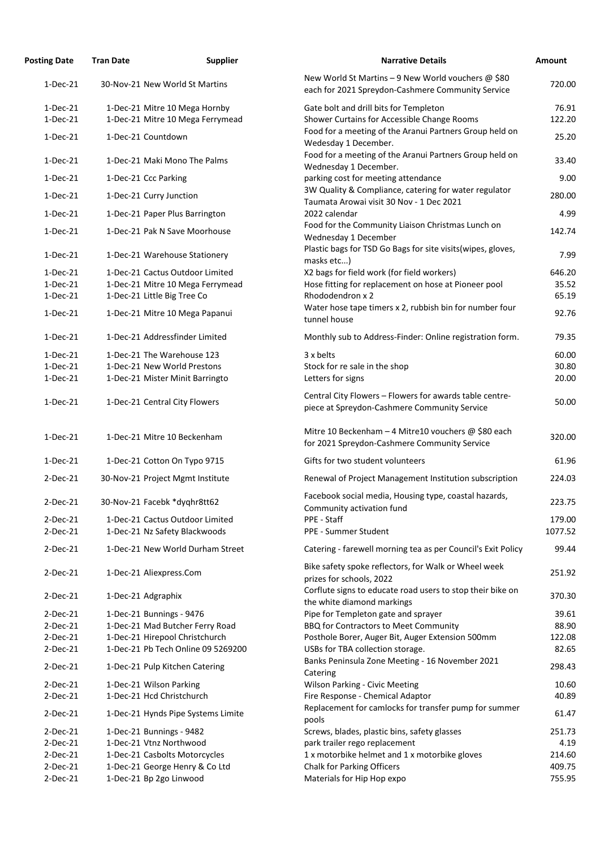| <b>Tran Date</b> | <b>Supplier</b> | <b>Narrative Details</b>                                                                                                                                                                                                                                                                                                                                                                                                                                                                                                                                                                                                                                                                                                                                                                                                                                                                                                                                                                                                                                                                                                                                                                                                                                                                                                                            | <b>Amount</b>                                                                                                                                                                                                                                                                                                                                                                                                                    |
|------------------|-----------------|-----------------------------------------------------------------------------------------------------------------------------------------------------------------------------------------------------------------------------------------------------------------------------------------------------------------------------------------------------------------------------------------------------------------------------------------------------------------------------------------------------------------------------------------------------------------------------------------------------------------------------------------------------------------------------------------------------------------------------------------------------------------------------------------------------------------------------------------------------------------------------------------------------------------------------------------------------------------------------------------------------------------------------------------------------------------------------------------------------------------------------------------------------------------------------------------------------------------------------------------------------------------------------------------------------------------------------------------------------|----------------------------------------------------------------------------------------------------------------------------------------------------------------------------------------------------------------------------------------------------------------------------------------------------------------------------------------------------------------------------------------------------------------------------------|
|                  |                 | New World St Martins - 9 New World vouchers @ \$80<br>each for 2021 Spreydon-Cashmere Community Service                                                                                                                                                                                                                                                                                                                                                                                                                                                                                                                                                                                                                                                                                                                                                                                                                                                                                                                                                                                                                                                                                                                                                                                                                                             | 720.00                                                                                                                                                                                                                                                                                                                                                                                                                           |
|                  |                 | Gate bolt and drill bits for Templeton                                                                                                                                                                                                                                                                                                                                                                                                                                                                                                                                                                                                                                                                                                                                                                                                                                                                                                                                                                                                                                                                                                                                                                                                                                                                                                              | 76.91                                                                                                                                                                                                                                                                                                                                                                                                                            |
|                  |                 | Shower Curtains for Accessible Change Rooms                                                                                                                                                                                                                                                                                                                                                                                                                                                                                                                                                                                                                                                                                                                                                                                                                                                                                                                                                                                                                                                                                                                                                                                                                                                                                                         | 122.20                                                                                                                                                                                                                                                                                                                                                                                                                           |
|                  |                 | Food for a meeting of the Aranui Partners Group held on<br>Wedesday 1 December.                                                                                                                                                                                                                                                                                                                                                                                                                                                                                                                                                                                                                                                                                                                                                                                                                                                                                                                                                                                                                                                                                                                                                                                                                                                                     | 25.20                                                                                                                                                                                                                                                                                                                                                                                                                            |
|                  |                 | Food for a meeting of the Aranui Partners Group held on<br>Wednesday 1 December.                                                                                                                                                                                                                                                                                                                                                                                                                                                                                                                                                                                                                                                                                                                                                                                                                                                                                                                                                                                                                                                                                                                                                                                                                                                                    | 33.40                                                                                                                                                                                                                                                                                                                                                                                                                            |
|                  |                 | parking cost for meeting attendance                                                                                                                                                                                                                                                                                                                                                                                                                                                                                                                                                                                                                                                                                                                                                                                                                                                                                                                                                                                                                                                                                                                                                                                                                                                                                                                 | 9.00                                                                                                                                                                                                                                                                                                                                                                                                                             |
|                  |                 | 3W Quality & Compliance, catering for water regulator                                                                                                                                                                                                                                                                                                                                                                                                                                                                                                                                                                                                                                                                                                                                                                                                                                                                                                                                                                                                                                                                                                                                                                                                                                                                                               | 280.00                                                                                                                                                                                                                                                                                                                                                                                                                           |
|                  |                 | 2022 calendar                                                                                                                                                                                                                                                                                                                                                                                                                                                                                                                                                                                                                                                                                                                                                                                                                                                                                                                                                                                                                                                                                                                                                                                                                                                                                                                                       | 4.99                                                                                                                                                                                                                                                                                                                                                                                                                             |
|                  |                 | Food for the Community Liaison Christmas Lunch on<br>Wednesday 1 December                                                                                                                                                                                                                                                                                                                                                                                                                                                                                                                                                                                                                                                                                                                                                                                                                                                                                                                                                                                                                                                                                                                                                                                                                                                                           | 142.74                                                                                                                                                                                                                                                                                                                                                                                                                           |
|                  |                 | Plastic bags for TSD Go Bags for site visits (wipes, gloves,<br>masks etc)                                                                                                                                                                                                                                                                                                                                                                                                                                                                                                                                                                                                                                                                                                                                                                                                                                                                                                                                                                                                                                                                                                                                                                                                                                                                          | 7.99                                                                                                                                                                                                                                                                                                                                                                                                                             |
|                  |                 | X2 bags for field work (for field workers)                                                                                                                                                                                                                                                                                                                                                                                                                                                                                                                                                                                                                                                                                                                                                                                                                                                                                                                                                                                                                                                                                                                                                                                                                                                                                                          | 646.20                                                                                                                                                                                                                                                                                                                                                                                                                           |
|                  |                 | Hose fitting for replacement on hose at Pioneer pool                                                                                                                                                                                                                                                                                                                                                                                                                                                                                                                                                                                                                                                                                                                                                                                                                                                                                                                                                                                                                                                                                                                                                                                                                                                                                                | 35.52                                                                                                                                                                                                                                                                                                                                                                                                                            |
|                  |                 |                                                                                                                                                                                                                                                                                                                                                                                                                                                                                                                                                                                                                                                                                                                                                                                                                                                                                                                                                                                                                                                                                                                                                                                                                                                                                                                                                     | 65.19                                                                                                                                                                                                                                                                                                                                                                                                                            |
|                  |                 | tunnel house                                                                                                                                                                                                                                                                                                                                                                                                                                                                                                                                                                                                                                                                                                                                                                                                                                                                                                                                                                                                                                                                                                                                                                                                                                                                                                                                        | 92.76                                                                                                                                                                                                                                                                                                                                                                                                                            |
|                  |                 | Monthly sub to Address-Finder: Online registration form.                                                                                                                                                                                                                                                                                                                                                                                                                                                                                                                                                                                                                                                                                                                                                                                                                                                                                                                                                                                                                                                                                                                                                                                                                                                                                            | 79.35                                                                                                                                                                                                                                                                                                                                                                                                                            |
|                  |                 | 3 x belts                                                                                                                                                                                                                                                                                                                                                                                                                                                                                                                                                                                                                                                                                                                                                                                                                                                                                                                                                                                                                                                                                                                                                                                                                                                                                                                                           | 60.00                                                                                                                                                                                                                                                                                                                                                                                                                            |
|                  |                 | Stock for re sale in the shop                                                                                                                                                                                                                                                                                                                                                                                                                                                                                                                                                                                                                                                                                                                                                                                                                                                                                                                                                                                                                                                                                                                                                                                                                                                                                                                       | 30.80                                                                                                                                                                                                                                                                                                                                                                                                                            |
|                  |                 | Letters for signs                                                                                                                                                                                                                                                                                                                                                                                                                                                                                                                                                                                                                                                                                                                                                                                                                                                                                                                                                                                                                                                                                                                                                                                                                                                                                                                                   | 20.00                                                                                                                                                                                                                                                                                                                                                                                                                            |
|                  |                 | Central City Flowers - Flowers for awards table centre-<br>piece at Spreydon-Cashmere Community Service                                                                                                                                                                                                                                                                                                                                                                                                                                                                                                                                                                                                                                                                                                                                                                                                                                                                                                                                                                                                                                                                                                                                                                                                                                             | 50.00                                                                                                                                                                                                                                                                                                                                                                                                                            |
|                  |                 | Mitre 10 Beckenham - 4 Mitre10 vouchers @ \$80 each<br>for 2021 Spreydon-Cashmere Community Service                                                                                                                                                                                                                                                                                                                                                                                                                                                                                                                                                                                                                                                                                                                                                                                                                                                                                                                                                                                                                                                                                                                                                                                                                                                 | 320.00                                                                                                                                                                                                                                                                                                                                                                                                                           |
|                  |                 | Gifts for two student volunteers                                                                                                                                                                                                                                                                                                                                                                                                                                                                                                                                                                                                                                                                                                                                                                                                                                                                                                                                                                                                                                                                                                                                                                                                                                                                                                                    | 61.96                                                                                                                                                                                                                                                                                                                                                                                                                            |
|                  |                 | Renewal of Project Management Institution subscription                                                                                                                                                                                                                                                                                                                                                                                                                                                                                                                                                                                                                                                                                                                                                                                                                                                                                                                                                                                                                                                                                                                                                                                                                                                                                              | 224.03                                                                                                                                                                                                                                                                                                                                                                                                                           |
|                  |                 | Facebook social media, Housing type, coastal hazards,                                                                                                                                                                                                                                                                                                                                                                                                                                                                                                                                                                                                                                                                                                                                                                                                                                                                                                                                                                                                                                                                                                                                                                                                                                                                                               | 223.75                                                                                                                                                                                                                                                                                                                                                                                                                           |
|                  |                 | PPE - Staff                                                                                                                                                                                                                                                                                                                                                                                                                                                                                                                                                                                                                                                                                                                                                                                                                                                                                                                                                                                                                                                                                                                                                                                                                                                                                                                                         | 179.00                                                                                                                                                                                                                                                                                                                                                                                                                           |
|                  |                 | PPE - Summer Student                                                                                                                                                                                                                                                                                                                                                                                                                                                                                                                                                                                                                                                                                                                                                                                                                                                                                                                                                                                                                                                                                                                                                                                                                                                                                                                                | 1077.52                                                                                                                                                                                                                                                                                                                                                                                                                          |
|                  |                 | Catering - farewell morning tea as per Council's Exit Policy                                                                                                                                                                                                                                                                                                                                                                                                                                                                                                                                                                                                                                                                                                                                                                                                                                                                                                                                                                                                                                                                                                                                                                                                                                                                                        | 99.44                                                                                                                                                                                                                                                                                                                                                                                                                            |
|                  |                 | Bike safety spoke reflectors, for Walk or Wheel week<br>prizes for schools, 2022                                                                                                                                                                                                                                                                                                                                                                                                                                                                                                                                                                                                                                                                                                                                                                                                                                                                                                                                                                                                                                                                                                                                                                                                                                                                    | 251.92                                                                                                                                                                                                                                                                                                                                                                                                                           |
|                  |                 | Corflute signs to educate road users to stop their bike on                                                                                                                                                                                                                                                                                                                                                                                                                                                                                                                                                                                                                                                                                                                                                                                                                                                                                                                                                                                                                                                                                                                                                                                                                                                                                          | 370.30                                                                                                                                                                                                                                                                                                                                                                                                                           |
|                  |                 | Pipe for Templeton gate and sprayer                                                                                                                                                                                                                                                                                                                                                                                                                                                                                                                                                                                                                                                                                                                                                                                                                                                                                                                                                                                                                                                                                                                                                                                                                                                                                                                 | 39.61                                                                                                                                                                                                                                                                                                                                                                                                                            |
|                  |                 | BBQ for Contractors to Meet Community                                                                                                                                                                                                                                                                                                                                                                                                                                                                                                                                                                                                                                                                                                                                                                                                                                                                                                                                                                                                                                                                                                                                                                                                                                                                                                               | 88.90                                                                                                                                                                                                                                                                                                                                                                                                                            |
|                  |                 | Posthole Borer, Auger Bit, Auger Extension 500mm                                                                                                                                                                                                                                                                                                                                                                                                                                                                                                                                                                                                                                                                                                                                                                                                                                                                                                                                                                                                                                                                                                                                                                                                                                                                                                    | 122.08                                                                                                                                                                                                                                                                                                                                                                                                                           |
|                  |                 |                                                                                                                                                                                                                                                                                                                                                                                                                                                                                                                                                                                                                                                                                                                                                                                                                                                                                                                                                                                                                                                                                                                                                                                                                                                                                                                                                     | 82.65                                                                                                                                                                                                                                                                                                                                                                                                                            |
|                  |                 |                                                                                                                                                                                                                                                                                                                                                                                                                                                                                                                                                                                                                                                                                                                                                                                                                                                                                                                                                                                                                                                                                                                                                                                                                                                                                                                                                     | 298.43                                                                                                                                                                                                                                                                                                                                                                                                                           |
|                  |                 | <b>Wilson Parking - Civic Meeting</b>                                                                                                                                                                                                                                                                                                                                                                                                                                                                                                                                                                                                                                                                                                                                                                                                                                                                                                                                                                                                                                                                                                                                                                                                                                                                                                               | 10.60                                                                                                                                                                                                                                                                                                                                                                                                                            |
|                  |                 | Fire Response - Chemical Adaptor                                                                                                                                                                                                                                                                                                                                                                                                                                                                                                                                                                                                                                                                                                                                                                                                                                                                                                                                                                                                                                                                                                                                                                                                                                                                                                                    | 40.89                                                                                                                                                                                                                                                                                                                                                                                                                            |
|                  |                 | Replacement for camlocks for transfer pump for summer                                                                                                                                                                                                                                                                                                                                                                                                                                                                                                                                                                                                                                                                                                                                                                                                                                                                                                                                                                                                                                                                                                                                                                                                                                                                                               | 61.47                                                                                                                                                                                                                                                                                                                                                                                                                            |
|                  |                 |                                                                                                                                                                                                                                                                                                                                                                                                                                                                                                                                                                                                                                                                                                                                                                                                                                                                                                                                                                                                                                                                                                                                                                                                                                                                                                                                                     | 251.73                                                                                                                                                                                                                                                                                                                                                                                                                           |
|                  |                 |                                                                                                                                                                                                                                                                                                                                                                                                                                                                                                                                                                                                                                                                                                                                                                                                                                                                                                                                                                                                                                                                                                                                                                                                                                                                                                                                                     | 4.19                                                                                                                                                                                                                                                                                                                                                                                                                             |
|                  |                 |                                                                                                                                                                                                                                                                                                                                                                                                                                                                                                                                                                                                                                                                                                                                                                                                                                                                                                                                                                                                                                                                                                                                                                                                                                                                                                                                                     | 214.60                                                                                                                                                                                                                                                                                                                                                                                                                           |
|                  |                 | <b>Chalk for Parking Officers</b>                                                                                                                                                                                                                                                                                                                                                                                                                                                                                                                                                                                                                                                                                                                                                                                                                                                                                                                                                                                                                                                                                                                                                                                                                                                                                                                   | 409.75                                                                                                                                                                                                                                                                                                                                                                                                                           |
|                  |                 | Materials for Hip Hop expo                                                                                                                                                                                                                                                                                                                                                                                                                                                                                                                                                                                                                                                                                                                                                                                                                                                                                                                                                                                                                                                                                                                                                                                                                                                                                                                          | 755.95                                                                                                                                                                                                                                                                                                                                                                                                                           |
|                  |                 | 30-Nov-21 New World St Martins<br>1-Dec-21 Mitre 10 Mega Hornby<br>1-Dec-21 Mitre 10 Mega Ferrymead<br>1-Dec-21 Countdown<br>1-Dec-21 Maki Mono The Palms<br>1-Dec-21 Ccc Parking<br>1-Dec-21 Curry Junction<br>1-Dec-21 Paper Plus Barrington<br>1-Dec-21 Pak N Save Moorhouse<br>1-Dec-21 Warehouse Stationery<br>1-Dec-21 Cactus Outdoor Limited<br>1-Dec-21 Mitre 10 Mega Ferrymead<br>1-Dec-21 Little Big Tree Co<br>1-Dec-21 Mitre 10 Mega Papanui<br>1-Dec-21 Addressfinder Limited<br>1-Dec-21 The Warehouse 123<br>1-Dec-21 New World Prestons<br>1-Dec-21 Mister Minit Barringto<br>1-Dec-21 Central City Flowers<br>1-Dec-21 Mitre 10 Beckenham<br>1-Dec-21 Cotton On Typo 9715<br>30-Nov-21 Project Mgmt Institute<br>30-Nov-21 Facebk *dyqhr8tt62<br>1-Dec-21 Cactus Outdoor Limited<br>1-Dec-21 Nz Safety Blackwoods<br>1-Dec-21 New World Durham Street<br>1-Dec-21 Aliexpress.Com<br>1-Dec-21 Adgraphix<br>1-Dec-21 Bunnings - 9476<br>1-Dec-21 Mad Butcher Ferry Road<br>1-Dec-21 Hirepool Christchurch<br>1-Dec-21 Pb Tech Online 09 5269200<br>1-Dec-21 Pulp Kitchen Catering<br>1-Dec-21 Wilson Parking<br>1-Dec-21 Hcd Christchurch<br>1-Dec-21 Hynds Pipe Systems Limite<br>1-Dec-21 Bunnings - 9482<br>1-Dec-21 Vtnz Northwood<br>1-Dec-21 Casbolts Motorcycles<br>1-Dec-21 George Henry & Co Ltd<br>1-Dec-21 Bp 2go Linwood | Taumata Arowai visit 30 Nov - 1 Dec 2021<br>Rhododendron x 2<br>Water hose tape timers x 2, rubbish bin for number four<br>Community activation fund<br>the white diamond markings<br>USBs for TBA collection storage.<br>Banks Peninsula Zone Meeting - 16 November 2021<br>Catering<br>pools<br>Screws, blades, plastic bins, safety glasses<br>park trailer rego replacement<br>1 x motorbike helmet and 1 x motorbike gloves |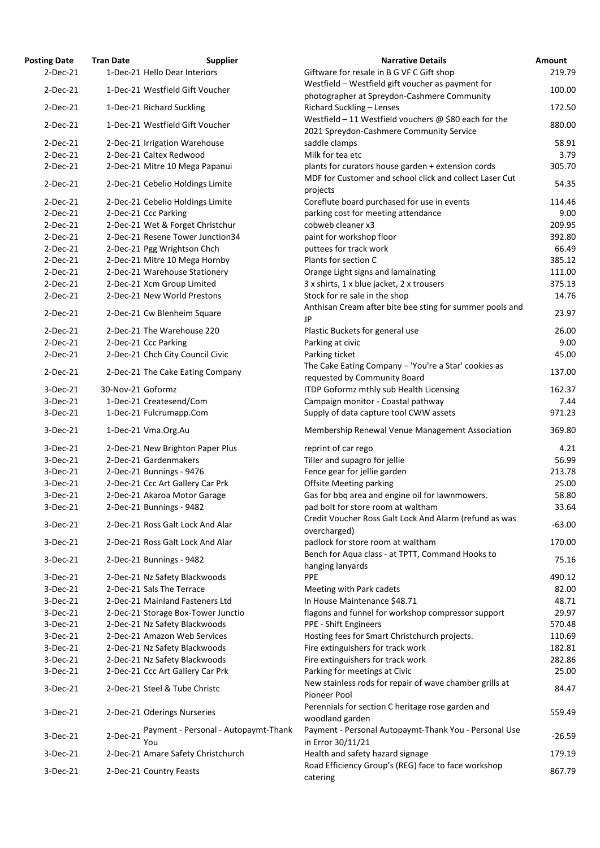| <b>Posting Date</b> | <b>Tran Date</b>  | <b>Supplier</b>                             | <b>Narrative Details</b>                                                                                 | Amount   |
|---------------------|-------------------|---------------------------------------------|----------------------------------------------------------------------------------------------------------|----------|
| $2-Dec-21$          |                   | 1-Dec-21 Hello Dear Interiors               | Giftware for resale in B G VF C Gift shop                                                                | 219.79   |
| $2-Dec-21$          |                   | 1-Dec-21 Westfield Gift Voucher             | Westfield - Westfield gift voucher as payment for                                                        | 100.00   |
|                     |                   |                                             | photographer at Spreydon-Cashmere Community                                                              |          |
| $2-Dec-21$          |                   | 1-Dec-21 Richard Suckling                   | Richard Suckling - Lenses                                                                                | 172.50   |
| $2-Dec-21$          |                   | 1-Dec-21 Westfield Gift Voucher             | Westfield - 11 Westfield vouchers $\omega$ \$80 each for the<br>2021 Spreydon-Cashmere Community Service | 880.00   |
| $2-Dec-21$          |                   | 2-Dec-21 Irrigation Warehouse               | saddle clamps                                                                                            | 58.91    |
| $2-Dec-21$          |                   | 2-Dec-21 Caltex Redwood                     | Milk for tea etc                                                                                         | 3.79     |
| $2-Dec-21$          |                   | 2-Dec-21 Mitre 10 Mega Papanui              | plants for curators house garden + extension cords                                                       | 305.70   |
| $2-Dec-21$          |                   | 2-Dec-21 Cebelio Holdings Limite            | MDF for Customer and school click and collect Laser Cut                                                  | 54.35    |
|                     |                   |                                             | projects                                                                                                 |          |
| $2-Dec-21$          |                   | 2-Dec-21 Cebelio Holdings Limite            | Coreflute board purchased for use in events                                                              | 114.46   |
| $2-Dec-21$          |                   | 2-Dec-21 Ccc Parking                        | parking cost for meeting attendance                                                                      | 9.00     |
| $2-Dec-21$          |                   | 2-Dec-21 Wet & Forget Christchur            | cobweb cleaner x3                                                                                        | 209.95   |
| $2-Dec-21$          |                   | 2-Dec-21 Resene Tower Junction34            | paint for workshop floor                                                                                 | 392.80   |
| $2-Dec-21$          |                   | 2-Dec-21 Pgg Wrightson Chch                 | puttees for track work                                                                                   | 66.49    |
| $2-Dec-21$          |                   | 2-Dec-21 Mitre 10 Mega Hornby               | Plants for section C                                                                                     | 385.12   |
| $2-Dec-21$          |                   | 2-Dec-21 Warehouse Stationery               | Orange Light signs and lamainating                                                                       | 111.00   |
| $2-Dec-21$          |                   | 2-Dec-21 Xcm Group Limited                  | 3 x shirts, 1 x blue jacket, 2 x trousers                                                                | 375.13   |
| $2-Dec-21$          |                   | 2-Dec-21 New World Prestons                 | Stock for re sale in the shop                                                                            | 14.76    |
| $2-Dec-21$          |                   | 2-Dec-21 Cw Blenheim Square                 | Anthisan Cream after bite bee sting for summer pools and<br>JP                                           | 23.97    |
| $2-Dec-21$          |                   | 2-Dec-21 The Warehouse 220                  | Plastic Buckets for general use                                                                          | 26.00    |
| $2-Dec-21$          |                   | 2-Dec-21 Ccc Parking                        | Parking at civic                                                                                         | 9.00     |
| $2-Dec-21$          |                   | 2-Dec-21 Chch City Council Civic            | Parking ticket                                                                                           | 45.00    |
| $2-Dec-21$          |                   | 2-Dec-21 The Cake Eating Company            | The Cake Eating Company - 'You're a Star' cookies as<br>requested by Community Board                     | 137.00   |
| 3-Dec-21            | 30-Nov-21 Goformz |                                             | ITDP Goformz mthly sub Health Licensing                                                                  | 162.37   |
| 3-Dec-21            |                   | 1-Dec-21 Createsend/Com                     | Campaign monitor - Coastal pathway                                                                       | 7.44     |
| $3-Dec-21$          |                   | 1-Dec-21 Fulcrumapp.Com                     | Supply of data capture tool CWW assets                                                                   | 971.23   |
| $3-Dec-21$          |                   | 1-Dec-21 Vma.Org.Au                         | Membership Renewal Venue Management Association                                                          | 369.80   |
|                     |                   |                                             |                                                                                                          |          |
| $3-Dec-21$          |                   | 2-Dec-21 New Brighton Paper Plus            | reprint of car rego                                                                                      | 4.21     |
| $3-Dec-21$          |                   | 2-Dec-21 Gardenmakers                       | Tiller and supagro for jellie                                                                            | 56.99    |
| $3-Dec-21$          |                   | 2-Dec-21 Bunnings - 9476                    | Fence gear for jellie garden                                                                             | 213.78   |
| 3-Dec-21            |                   | 2-Dec-21 Ccc Art Gallery Car Prk            | <b>Offsite Meeting parking</b>                                                                           | 25.00    |
| $3-Dec-21$          |                   | 2-Dec-21 Akaroa Motor Garage                | Gas for bbq area and engine oil for lawnmowers.                                                          | 58.80    |
| $3-Dec-21$          |                   | 2-Dec-21 Bunnings - 9482                    | pad bolt for store room at waltham                                                                       | 33.64    |
| $3-Dec-21$          |                   | 2-Dec-21 Ross Galt Lock And Alar            | Credit Voucher Ross Galt Lock And Alarm (refund as was<br>overcharged)                                   | $-63.00$ |
| 3-Dec-21            |                   | 2-Dec-21 Ross Galt Lock And Alar            | padlock for store room at waltham                                                                        | 170.00   |
|                     |                   |                                             | Bench for Aqua class - at TPTT, Command Hooks to                                                         |          |
| 3-Dec-21            |                   | 2-Dec-21 Bunnings - 9482                    | hanging lanyards                                                                                         | 75.16    |
| 3-Dec-21            |                   | 2-Dec-21 Nz Safety Blackwoods               | <b>PPE</b>                                                                                               | 490.12   |
| $3-Dec-21$          |                   | 2-Dec-21 Sals The Terrace                   | Meeting with Park cadets                                                                                 | 82.00    |
| 3-Dec-21            |                   | 2-Dec-21 Mainland Fasteners Ltd             | In House Maintenance \$48.71                                                                             | 48.71    |
| $3-Dec-21$          |                   | 2-Dec-21 Storage Box-Tower Junctio          | flagons and funnel for workshop compressor support                                                       | 29.97    |
| $3-Dec-21$          |                   | 2-Dec-21 Nz Safety Blackwoods               | PPE - Shift Engineers                                                                                    | 570.48   |
| 3-Dec-21            |                   | 2-Dec-21 Amazon Web Services                | Hosting fees for Smart Christchurch projects.                                                            | 110.69   |
| $3-Dec-21$          |                   | 2-Dec-21 Nz Safety Blackwoods               | Fire extinguishers for track work                                                                        | 182.81   |
| $3-Dec-21$          |                   | 2-Dec-21 Nz Safety Blackwoods               | Fire extinguishers for track work                                                                        | 282.86   |
| $3-Dec-21$          |                   | 2-Dec-21 Ccc Art Gallery Car Prk            | Parking for meetings at Civic                                                                            | 25.00    |
| 3-Dec-21            |                   | 2-Dec-21 Steel & Tube Christc               | New stainless rods for repair of wave chamber grills at                                                  | 84.47    |
| $3-Dec-21$          |                   | 2-Dec-21 Oderings Nurseries                 | Pioneer Pool<br>Perennials for section C heritage rose garden and                                        | 559.49   |
|                     |                   |                                             | woodland garden                                                                                          |          |
| $3-Dec-21$          | 2-Dec-21          | Payment - Personal - Autopaymt-Thank<br>You | Payment - Personal Autopaymt-Thank You - Personal Use<br>in Error 30/11/21                               | $-26.59$ |
| 3-Dec-21            |                   | 2-Dec-21 Amare Safety Christchurch          | Health and safety hazard signage                                                                         | 179.19   |
| 3-Dec-21            |                   | 2-Dec-21 Country Feasts                     | Road Efficiency Group's (REG) face to face workshop                                                      | 867.79   |
|                     |                   |                                             | catering                                                                                                 |          |

| <b>Narrative Details</b>                                                                                 | Amount          |
|----------------------------------------------------------------------------------------------------------|-----------------|
| Giftware for resale in B G VF C Gift shop                                                                | 219.79          |
| Westfield - Westfield gift voucher as payment for                                                        | 100.00          |
| photographer at Spreydon-Cashmere Community                                                              |                 |
| Richard Suckling - Lenses                                                                                | 172.50          |
| Westfield - 11 Westfield vouchers $\omega$ \$80 each for the<br>2021 Spreydon-Cashmere Community Service | 880.00          |
| saddle clamps                                                                                            | 58.91           |
| Milk for tea etc                                                                                         | 3.79            |
| plants for curators house garden + extension cords                                                       | 305.70          |
| MDF for Customer and school click and collect Laser Cut                                                  | 54.35           |
| projects                                                                                                 |                 |
| Coreflute board purchased for use in events                                                              | 114.46          |
| parking cost for meeting attendance                                                                      | 9.00            |
| cobweb cleaner x3                                                                                        | 209.95          |
| paint for workshop floor                                                                                 | 392.80          |
| puttees for track work                                                                                   | 66.49           |
| Plants for section C                                                                                     | 385.12          |
| Orange Light signs and lamainating                                                                       | 111.00          |
| 3 x shirts, 1 x blue jacket, 2 x trousers<br>Stock for re sale in the shop                               | 375.13<br>14.76 |
| Anthisan Cream after bite bee sting for summer pools and                                                 |                 |
| JP                                                                                                       | 23.97           |
| Plastic Buckets for general use                                                                          | 26.00           |
| Parking at civic                                                                                         | 9.00            |
| Parking ticket                                                                                           | 45.00           |
| The Cake Eating Company - 'You're a Star' cookies as                                                     |                 |
| requested by Community Board                                                                             | 137.00          |
| <b>ITDP Goformz mthly sub Health Licensing</b>                                                           | 162.37          |
| Campaign monitor - Coastal pathway                                                                       | 7.44            |
| Supply of data capture tool CWW assets                                                                   | 971.23          |
| Membership Renewal Venue Management Association                                                          | 369.80          |
| reprint of car rego                                                                                      | 4.21            |
| Tiller and supagro for jellie                                                                            | 56.99           |
| Fence gear for jellie garden                                                                             | 213.78          |
| <b>Offsite Meeting parking</b>                                                                           | 25.00           |
| Gas for bbq area and engine oil for lawnmowers.                                                          | 58.80           |
| pad bolt for store room at waltham                                                                       | 33.64           |
| Credit Voucher Ross Galt Lock And Alarm (refund as was                                                   | $-63.00$        |
| overcharged)                                                                                             |                 |
| padlock for store room at waltham                                                                        | 170.00          |
| Bench for Aqua class - at TPTT, Command Hooks to                                                         | 75.16           |
| hanging lanyards                                                                                         |                 |
| <b>PPE</b>                                                                                               | 490.12          |
| Meeting with Park cadets<br>In House Maintenance \$48.71                                                 | 82.00<br>48.71  |
| flagons and funnel for workshop compressor support                                                       | 29.97           |
| <b>PPE - Shift Engineers</b>                                                                             | 570.48          |
| Hosting fees for Smart Christchurch projects.                                                            | 110.69          |
| Fire extinguishers for track work                                                                        | 182.81          |
| Fire extinguishers for track work                                                                        | 282.86          |
| Parking for meetings at Civic                                                                            | 25.00           |
| New stainless rods for repair of wave chamber grills at                                                  |                 |
| <b>Pioneer Pool</b>                                                                                      | 84.47           |
| Perennials for section C heritage rose garden and                                                        |                 |
| woodland garden                                                                                          | 559.49          |
| Payment - Personal Autopaymt-Thank You - Personal Use                                                    | $-26.59$        |
| in Error 30/11/21                                                                                        |                 |
| Health and safety hazard signage                                                                         | 179.19          |
| Road Efficiency Group's (REG) face to face workshop                                                      | 867.79          |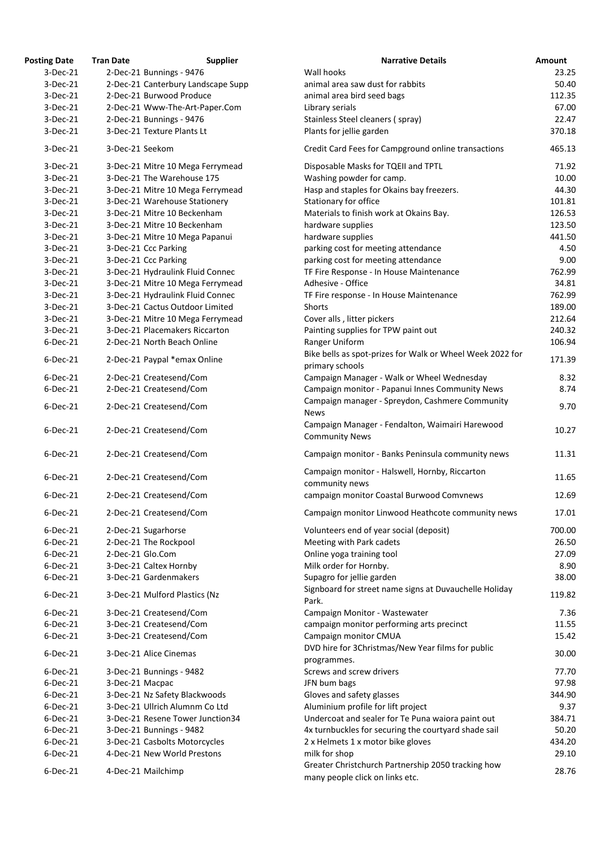| <b>Posting Date</b> | <b>Tran Date</b> | <b>Supplier</b>                    | <b>Narrative Details</b>                                                                | <b>Amount</b> |
|---------------------|------------------|------------------------------------|-----------------------------------------------------------------------------------------|---------------|
| $3-Dec-21$          |                  | 2-Dec-21 Bunnings - 9476           | Wall hooks                                                                              | 23.25         |
| $3-Dec-21$          |                  | 2-Dec-21 Canterbury Landscape Supp | animal area saw dust for rabbits                                                        | 50.40         |
| $3-Dec-21$          |                  | 2-Dec-21 Burwood Produce           | animal area bird seed bags                                                              | 112.35        |
| $3-Dec-21$          |                  | 2-Dec-21 Www-The-Art-Paper.Com     | Library serials                                                                         | 67.00         |
| $3-Dec-21$          |                  | 2-Dec-21 Bunnings - 9476           | Stainless Steel cleaners (spray)                                                        | 22.47         |
| $3-Dec-21$          |                  | 3-Dec-21 Texture Plants Lt         | Plants for jellie garden                                                                | 370.18        |
| $3-Dec-21$          | 3-Dec-21 Seekom  |                                    | Credit Card Fees for Campground online transactions                                     | 465.13        |
| $3-Dec-21$          |                  | 3-Dec-21 Mitre 10 Mega Ferrymead   | Disposable Masks for TQEII and TPTL                                                     | 71.92         |
| 3-Dec-21            |                  | 3-Dec-21 The Warehouse 175         | Washing powder for camp.                                                                | 10.00         |
| $3-Dec-21$          |                  | 3-Dec-21 Mitre 10 Mega Ferrymead   | Hasp and staples for Okains bay freezers.                                               | 44.30         |
| 3-Dec-21            |                  | 3-Dec-21 Warehouse Stationery      | Stationary for office                                                                   | 101.81        |
| 3-Dec-21            |                  | 3-Dec-21 Mitre 10 Beckenham        | Materials to finish work at Okains Bay.                                                 | 126.53        |
| $3-Dec-21$          |                  | 3-Dec-21 Mitre 10 Beckenham        | hardware supplies                                                                       | 123.50        |
| 3-Dec-21            |                  | 3-Dec-21 Mitre 10 Mega Papanui     | hardware supplies                                                                       | 441.50        |
| $3-Dec-21$          |                  | 3-Dec-21 Ccc Parking               | parking cost for meeting attendance                                                     | 4.50          |
| $3-Dec-21$          |                  | 3-Dec-21 Ccc Parking               | parking cost for meeting attendance                                                     | 9.00          |
| $3-Dec-21$          |                  | 3-Dec-21 Hydraulink Fluid Connec   | TF Fire Response - In House Maintenance                                                 | 762.99        |
| $3-Dec-21$          |                  | 3-Dec-21 Mitre 10 Mega Ferrymead   | Adhesive - Office                                                                       | 34.81         |
| $3-Dec-21$          |                  | 3-Dec-21 Hydraulink Fluid Connec   | TF Fire response - In House Maintenance                                                 | 762.99        |
| 3-Dec-21            |                  | 3-Dec-21 Cactus Outdoor Limited    | Shorts                                                                                  | 189.00        |
| $3-Dec-21$          |                  | 3-Dec-21 Mitre 10 Mega Ferrymead   | Cover alls, litter pickers                                                              | 212.64        |
| $3-Dec-21$          |                  | 3-Dec-21 Placemakers Riccarton     | Painting supplies for TPW paint out                                                     | 240.32        |
| $6$ -Dec-21         |                  | 2-Dec-21 North Beach Online        | Ranger Uniform                                                                          | 106.94        |
| $6$ -Dec-21         |                  | 2-Dec-21 Paypal *emax Online       | Bike bells as spot-prizes for Walk or Wheel Week 2022 for<br>primary schools            | 171.39        |
| 6-Dec-21            |                  | 2-Dec-21 Createsend/Com            | Campaign Manager - Walk or Wheel Wednesday                                              | 8.32          |
| $6$ -Dec-21         |                  | 2-Dec-21 Createsend/Com            | Campaign monitor - Papanui Innes Community News                                         | 8.74          |
| $6$ -Dec-21         |                  | 2-Dec-21 Createsend/Com            | Campaign manager - Spreydon, Cashmere Community                                         | 9.70          |
| $6$ -Dec-21         |                  | 2-Dec-21 Createsend/Com            | <b>News</b><br>Campaign Manager - Fendalton, Waimairi Harewood<br><b>Community News</b> | 10.27         |
| $6$ -Dec-21         |                  | 2-Dec-21 Createsend/Com            | Campaign monitor - Banks Peninsula community news                                       | 11.31         |
| $6$ -Dec-21         |                  | 2-Dec-21 Createsend/Com            | Campaign monitor - Halswell, Hornby, Riccarton                                          | 11.65         |
| 6-Dec-21            |                  | 2-Dec-21 Createsend/Com            | community news<br>campaign monitor Coastal Burwood Comvnews                             | 12.69         |
| 6-Dec-21            |                  | 2-Dec-21 Createsend/Com            | Campaign monitor Linwood Heathcote community news                                       | 17.01         |
| $6$ -Dec-21         |                  | 2-Dec-21 Sugarhorse                | Volunteers end of year social (deposit)                                                 | 700.00        |
| $6$ -Dec-21         |                  | 2-Dec-21 The Rockpool              | Meeting with Park cadets                                                                | 26.50         |
| $6$ -Dec-21         | 2-Dec-21 Glo.Com |                                    | Online yoga training tool                                                               | 27.09         |
| $6$ -Dec-21         |                  | 3-Dec-21 Caltex Hornby             | Milk order for Hornby.                                                                  | 8.90          |
| $6$ -Dec-21         |                  | 3-Dec-21 Gardenmakers              | Supagro for jellie garden                                                               | 38.00         |
|                     |                  |                                    | Signboard for street name signs at Duvauchelle Holiday                                  |               |
| $6$ -Dec-21         |                  | 3-Dec-21 Mulford Plastics (Nz      | Park.                                                                                   | 119.82        |
| 6-Dec-21            |                  | 3-Dec-21 Createsend/Com            | Campaign Monitor - Wastewater                                                           | 7.36          |
| $6$ -Dec-21         |                  | 3-Dec-21 Createsend/Com            | campaign monitor performing arts precinct                                               | 11.55         |
| $6$ -Dec-21         |                  | 3-Dec-21 Createsend/Com            | Campaign monitor CMUA                                                                   | 15.42         |
| $6$ -Dec-21         |                  | 3-Dec-21 Alice Cinemas             | DVD hire for 3Christmas/New Year films for public<br>programmes.                        | 30.00         |
| $6$ -Dec-21         |                  | 3-Dec-21 Bunnings - 9482           | Screws and screw drivers                                                                | 77.70         |
| $6$ -Dec-21         | 3-Dec-21 Macpac  |                                    | JFN bum bags                                                                            | 97.98         |
| $6$ -Dec-21         |                  | 3-Dec-21 Nz Safety Blackwoods      | Gloves and safety glasses                                                               | 344.90        |
| 6-Dec-21            |                  | 3-Dec-21 Ullrich Alumnm Co Ltd     | Aluminium profile for lift project                                                      | 9.37          |
| $6$ -Dec-21         |                  | 3-Dec-21 Resene Tower Junction34   | Undercoat and sealer for Te Puna waiora paint out                                       | 384.71        |
| $6$ -Dec-21         |                  | 3-Dec-21 Bunnings - 9482           | 4x turnbuckles for securing the courtyard shade sail                                    | 50.20         |
| $6$ -Dec-21         |                  | 3-Dec-21 Casbolts Motorcycles      | 2 x Helmets 1 x motor bike gloves                                                       | 434.20        |
| 6-Dec-21            |                  | 4-Dec-21 New World Prestons        | milk for shop                                                                           | 29.10         |
| 6-Dec-21            |                  | 4-Dec-21 Mailchimp                 | Greater Christchurch Partnership 2050 tracking how<br>many people click on links etc.   | 28.76         |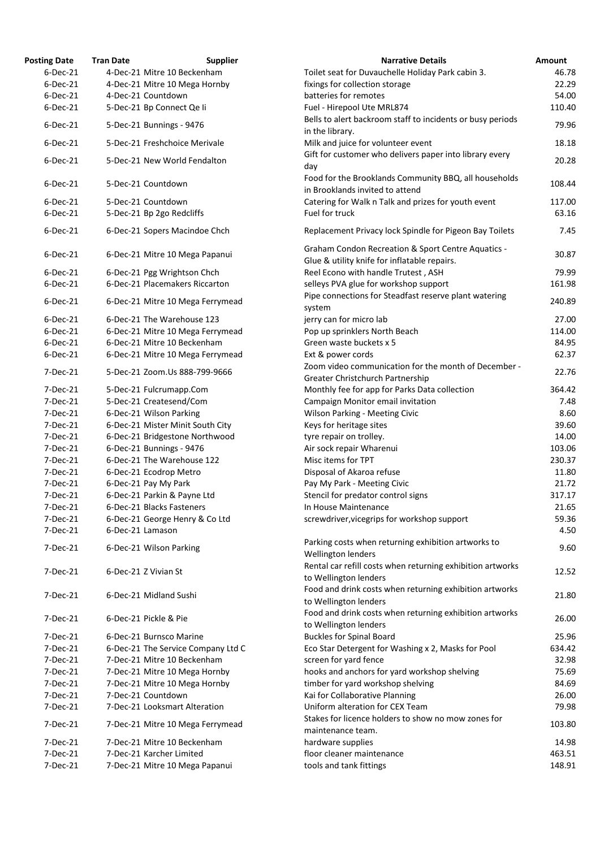| <b>Posting Date</b> | <b>Tran Date</b>                                                  | <b>Narrative Details</b><br><b>Supplier</b>                                              | Amount |
|---------------------|-------------------------------------------------------------------|------------------------------------------------------------------------------------------|--------|
| $6$ -Dec-21         | 4-Dec-21 Mitre 10 Beckenham                                       | Toilet seat for Duvauchelle Holiday Park cabin 3.                                        | 46.78  |
| $6$ -Dec-21         | 4-Dec-21 Mitre 10 Mega Hornby                                     | fixings for collection storage                                                           | 22.29  |
| $6$ -Dec-21         | 4-Dec-21 Countdown                                                | batteries for remotes                                                                    | 54.00  |
| $6$ -Dec-21         | 5-Dec-21 Bp Connect Qe li                                         | Fuel - Hirepool Ute MRL874                                                               | 110.40 |
| 6-Dec-21            | 5-Dec-21 Bunnings - 9476                                          | Bells to alert backroom staff to incidents or busy periods<br>in the library.            | 79.96  |
| 6-Dec-21            | 5-Dec-21 Freshchoice Merivale                                     | Milk and juice for volunteer event                                                       | 18.18  |
| 6-Dec-21            | 5-Dec-21 New World Fendalton                                      | Gift for customer who delivers paper into library every<br>day                           | 20.28  |
| 6-Dec-21            | 5-Dec-21 Countdown                                                | Food for the Brooklands Community BBQ, all households<br>in Brooklands invited to attend | 108.44 |
| $6$ -Dec-21         | 5-Dec-21 Countdown                                                | Catering for Walk n Talk and prizes for youth event                                      | 117.00 |
| 6-Dec-21            | 5-Dec-21 Bp 2go Redcliffs                                         | Fuel for truck                                                                           | 63.16  |
| $6$ -Dec-21         | 6-Dec-21 Sopers Macindoe Chch                                     | Replacement Privacy lock Spindle for Pigeon Bay Toilets                                  | 7.45   |
| $6$ -Dec-21         | 6-Dec-21 Mitre 10 Mega Papanui                                    | <b>Graham Condon Recreation &amp; Sport Centre Aquatics -</b>                            | 30.87  |
|                     |                                                                   | Glue & utility knife for inflatable repairs.                                             |        |
| 6-Dec-21            | 6-Dec-21 Pgg Wrightson Chch                                       | Reel Econo with handle Trutest, ASH                                                      | 79.99  |
| 6-Dec-21            | 6-Dec-21 Placemakers Riccarton                                    | selleys PVA glue for workshop support                                                    | 161.98 |
| 6-Dec-21            | 6-Dec-21 Mitre 10 Mega Ferrymead                                  | Pipe connections for Steadfast reserve plant watering<br>system                          | 240.89 |
| $6$ -Dec-21         | 6-Dec-21 The Warehouse 123                                        | jerry can for micro lab                                                                  | 27.00  |
| $6$ -Dec-21         | 6-Dec-21 Mitre 10 Mega Ferrymead                                  | Pop up sprinklers North Beach                                                            | 114.00 |
| 6-Dec-21            | 6-Dec-21 Mitre 10 Beckenham                                       | Green waste buckets x 5                                                                  | 84.95  |
| $6$ -Dec-21         |                                                                   | Ext & power cords                                                                        | 62.37  |
| 7-Dec-21            | 6-Dec-21 Mitre 10 Mega Ferrymead<br>5-Dec-21 Zoom.Us 888-799-9666 | Zoom video communication for the month of December -                                     | 22.76  |
|                     |                                                                   | Greater Christchurch Partnership                                                         |        |
| $7-Dec-21$          | 5-Dec-21 Fulcrumapp.Com                                           | Monthly fee for app for Parks Data collection                                            | 364.42 |
| 7-Dec-21            | 5-Dec-21 Createsend/Com                                           | Campaign Monitor email invitation                                                        | 7.48   |
| $7-Dec-21$          | 6-Dec-21 Wilson Parking                                           | Wilson Parking - Meeting Civic                                                           | 8.60   |
| 7-Dec-21            | 6-Dec-21 Mister Minit South City                                  | Keys for heritage sites                                                                  | 39.60  |
| 7-Dec-21            | 6-Dec-21 Bridgestone Northwood                                    | tyre repair on trolley.                                                                  | 14.00  |
| 7-Dec-21            | 6-Dec-21 Bunnings - 9476                                          | Air sock repair Wharenui                                                                 | 103.06 |
| 7-Dec-21            | 6-Dec-21 The Warehouse 122                                        | Misc items for TPT                                                                       | 230.37 |
| 7-Dec-21            | 6-Dec-21 Ecodrop Metro                                            | Disposal of Akaroa refuse                                                                | 11.80  |
| 7-Dec-21            | 6-Dec-21 Pay My Park                                              | Pay My Park - Meeting Civic                                                              | 21.72  |
| 7-Dec-21            | 6-Dec-21 Parkin & Payne Ltd                                       | Stencil for predator control signs                                                       | 317.17 |
| 7-Dec-21            | 6-Dec-21 Blacks Fasteners                                         | In House Maintenance                                                                     | 21.65  |
| 7-Dec-21            | 6-Dec-21 George Henry & Co Ltd                                    | screwdriver, vicegrips for workshop support                                              | 59.36  |
| 7-Dec-21            | 6-Dec-21 Lamason                                                  |                                                                                          | 4.50   |
| $7-Dec-21$          | 6-Dec-21 Wilson Parking                                           | Parking costs when returning exhibition artworks to<br>Wellington lenders                | 9.60   |
| 7-Dec-21            | 6-Dec-21 Z Vivian St                                              | Rental car refill costs when returning exhibition artworks                               | 12.52  |
|                     |                                                                   | to Wellington lenders                                                                    |        |
| 7-Dec-21            | 6-Dec-21 Midland Sushi                                            | Food and drink costs when returning exhibition artworks<br>to Wellington lenders         | 21.80  |
| 7-Dec-21            | 6-Dec-21 Pickle & Pie                                             | Food and drink costs when returning exhibition artworks<br>to Wellington lenders         | 26.00  |
| $7-Dec-21$          | 6-Dec-21 Burnsco Marine                                           | <b>Buckles for Spinal Board</b>                                                          | 25.96  |
| $7-Dec-21$          | 6-Dec-21 The Service Company Ltd C                                | Eco Star Detergent for Washing x 2, Masks for Pool                                       | 634.42 |
| 7-Dec-21            | 7-Dec-21 Mitre 10 Beckenham                                       | screen for yard fence                                                                    | 32.98  |
| 7-Dec-21            | 7-Dec-21 Mitre 10 Mega Hornby                                     | hooks and anchors for yard workshop shelving                                             | 75.69  |
| 7-Dec-21            | 7-Dec-21 Mitre 10 Mega Hornby                                     | timber for yard workshop shelving                                                        | 84.69  |
| 7-Dec-21            | 7-Dec-21 Countdown                                                | Kai for Collaborative Planning                                                           | 26.00  |
| 7-Dec-21            | 7-Dec-21 Looksmart Alteration                                     | Uniform alteration for CEX Team                                                          | 79.98  |
| 7-Dec-21            | 7-Dec-21 Mitre 10 Mega Ferrymead                                  | Stakes for licence holders to show no mow zones for                                      | 103.80 |
|                     |                                                                   | maintenance team.                                                                        |        |
| 7-Dec-21            | 7-Dec-21 Mitre 10 Beckenham                                       | hardware supplies                                                                        | 14.98  |
| 7-Dec-21            | 7-Dec-21 Karcher Limited                                          | floor cleaner maintenance                                                                | 463.51 |
| 7-Dec-21            | 7-Dec-21 Mitre 10 Mega Papanui                                    | tools and tank fittings                                                                  | 148.91 |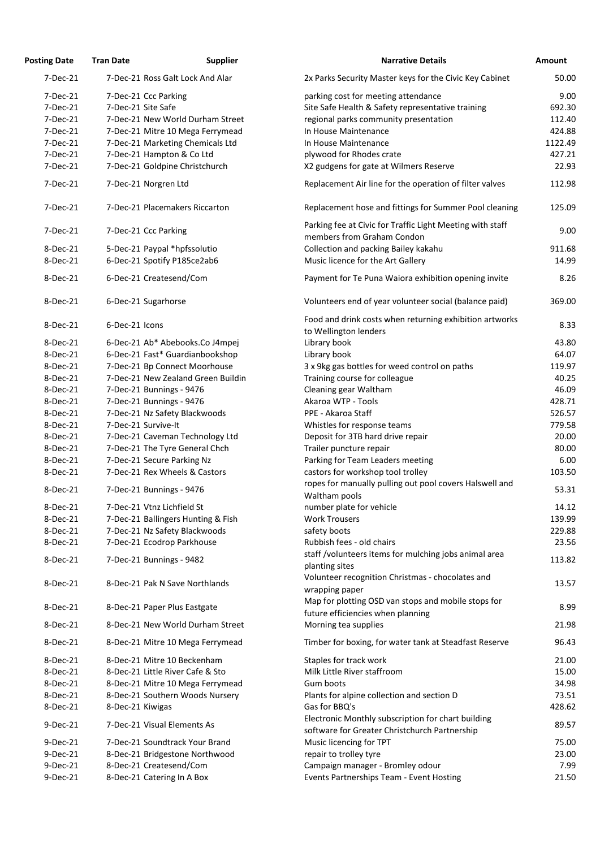| <b>Posting Date</b>  | <b>Tran Date</b> | <b>Supplier</b>                                                      | <b>Narrative Details</b>                                                         | <b>Amount</b>  |
|----------------------|------------------|----------------------------------------------------------------------|----------------------------------------------------------------------------------|----------------|
| 7-Dec-21             |                  | 7-Dec-21 Ross Galt Lock And Alar                                     | 2x Parks Security Master keys for the Civic Key Cabinet                          | 50.00          |
| 7-Dec-21             |                  | 7-Dec-21 Ccc Parking                                                 | parking cost for meeting attendance                                              | 9.00           |
| 7-Dec-21             |                  | 7-Dec-21 Site Safe                                                   | Site Safe Health & Safety representative training                                | 692.30         |
| 7-Dec-21             |                  | 7-Dec-21 New World Durham Street                                     | regional parks community presentation                                            | 112.40         |
| 7-Dec-21             |                  | 7-Dec-21 Mitre 10 Mega Ferrymead                                     | In House Maintenance                                                             | 424.88         |
| 7-Dec-21             |                  | 7-Dec-21 Marketing Chemicals Ltd                                     | In House Maintenance                                                             | 1122.49        |
| 7-Dec-21             |                  | 7-Dec-21 Hampton & Co Ltd                                            | plywood for Rhodes crate                                                         | 427.21         |
| 7-Dec-21             |                  | 7-Dec-21 Goldpine Christchurch                                       | X2 gudgens for gate at Wilmers Reserve                                           | 22.93          |
| 7-Dec-21             |                  | 7-Dec-21 Norgren Ltd                                                 | Replacement Air line for the operation of filter valves                          | 112.98         |
| 7-Dec-21             |                  | 7-Dec-21 Placemakers Riccarton                                       | Replacement hose and fittings for Summer Pool cleaning                           | 125.09         |
|                      |                  |                                                                      | Parking fee at Civic for Traffic Light Meeting with staff                        |                |
| 7-Dec-21             |                  | 7-Dec-21 Ccc Parking                                                 | members from Graham Condon                                                       | 9.00           |
| 8-Dec-21             |                  | 5-Dec-21 Paypal *hpfssolutio                                         | Collection and packing Bailey kakahu                                             | 911.68         |
| 8-Dec-21             |                  | 6-Dec-21 Spotify P185ce2ab6                                          | Music licence for the Art Gallery                                                | 14.99          |
| 8-Dec-21             |                  | 6-Dec-21 Createsend/Com                                              | Payment for Te Puna Waiora exhibition opening invite                             | 8.26           |
| 8-Dec-21             |                  | 6-Dec-21 Sugarhorse                                                  | Volunteers end of year volunteer social (balance paid)                           | 369.00         |
|                      |                  |                                                                      |                                                                                  |                |
| 8-Dec-21             | 6-Dec-21 Icons   |                                                                      | Food and drink costs when returning exhibition artworks<br>to Wellington lenders | 8.33           |
| 8-Dec-21             |                  | 6-Dec-21 Ab* Abebooks.Co J4mpej                                      | Library book                                                                     | 43.80          |
| 8-Dec-21             |                  | 6-Dec-21 Fast* Guardianbookshop                                      | Library book                                                                     | 64.07          |
| 8-Dec-21             |                  | 7-Dec-21 Bp Connect Moorhouse                                        | 3 x 9kg gas bottles for weed control on paths                                    | 119.97         |
| 8-Dec-21             |                  | 7-Dec-21 New Zealand Green Buildin                                   | Training course for colleague                                                    | 40.25          |
| 8-Dec-21             |                  | 7-Dec-21 Bunnings - 9476                                             | Cleaning gear Waltham                                                            | 46.09          |
| 8-Dec-21             |                  | 7-Dec-21 Bunnings - 9476                                             | Akaroa WTP - Tools                                                               | 428.71         |
| 8-Dec-21             |                  | 7-Dec-21 Nz Safety Blackwoods                                        | PPE - Akaroa Staff                                                               | 526.57         |
| 8-Dec-21             |                  | 7-Dec-21 Survive-It                                                  | Whistles for response teams                                                      | 779.58         |
| 8-Dec-21             |                  | 7-Dec-21 Caveman Technology Ltd                                      | Deposit for 3TB hard drive repair                                                | 20.00          |
| 8-Dec-21             |                  | 7-Dec-21 The Tyre General Chch                                       | Trailer puncture repair                                                          | 80.00          |
| 8-Dec-21             |                  | 7-Dec-21 Secure Parking Nz                                           | Parking for Team Leaders meeting                                                 | 6.00           |
| 8-Dec-21             |                  | 7-Dec-21 Rex Wheels & Castors                                        | castors for workshop tool trolley                                                | 103.50         |
|                      |                  |                                                                      | ropes for manually pulling out pool covers Halswell and                          |                |
| 8-Dec-21             |                  | 7-Dec-21 Bunnings - 9476                                             | Waltham pools                                                                    | 53.31          |
| 8-Dec-21             |                  | 7-Dec-21 Vtnz Lichfield St                                           | number plate for vehicle                                                         | 14.12          |
| 8-Dec-21             |                  | 7-Dec-21 Ballingers Hunting & Fish                                   | <b>Work Trousers</b>                                                             | 139.99         |
| 8-Dec-21             |                  | 7-Dec-21 Nz Safety Blackwoods                                        | safety boots                                                                     | 229.88         |
| 8-Dec-21             |                  | 7-Dec-21 Ecodrop Parkhouse                                           | Rubbish fees - old chairs                                                        | 23.56          |
|                      |                  |                                                                      | staff /volunteers items for mulching jobs animal area                            |                |
| 8-Dec-21             |                  | 7-Dec-21 Bunnings - 9482                                             | planting sites                                                                   | 113.82         |
| 8-Dec-21             |                  | 8-Dec-21 Pak N Save Northlands                                       | Volunteer recognition Christmas - chocolates and<br>wrapping paper               | 13.57          |
|                      |                  |                                                                      | Map for plotting OSD van stops and mobile stops for                              |                |
| 8-Dec-21             |                  | 8-Dec-21 Paper Plus Eastgate                                         | future efficiencies when planning                                                | 8.99           |
| 8-Dec-21<br>8-Dec-21 |                  | 8-Dec-21 New World Durham Street<br>8-Dec-21 Mitre 10 Mega Ferrymead | Morning tea supplies<br>Timber for boxing, for water tank at Steadfast Reserve   | 21.98<br>96.43 |
| 8-Dec-21             |                  | 8-Dec-21 Mitre 10 Beckenham                                          | Staples for track work                                                           | 21.00          |
| 8-Dec-21             |                  | 8-Dec-21 Little River Cafe & Sto                                     | Milk Little River staffroom                                                      | 15.00          |
|                      |                  |                                                                      |                                                                                  |                |
| 8-Dec-21             |                  | 8-Dec-21 Mitre 10 Mega Ferrymead                                     | Gum boots                                                                        | 34.98          |
| 8-Dec-21             |                  | 8-Dec-21 Southern Woods Nursery                                      | Plants for alpine collection and section D                                       | 73.51          |
| 8-Dec-21             | 8-Dec-21 Kiwigas |                                                                      | Gas for BBQ's<br>Electronic Monthly subscription for chart building              | 428.62         |
| 9-Dec-21             |                  | 7-Dec-21 Visual Elements As                                          | software for Greater Christchurch Partnership                                    | 89.57          |
| 9-Dec-21             |                  | 7-Dec-21 Soundtrack Your Brand                                       | Music licencing for TPT                                                          | 75.00          |
| 9-Dec-21             |                  | 8-Dec-21 Bridgestone Northwood                                       | repair to trolley tyre                                                           | 23.00          |
| 9-Dec-21             |                  | 8-Dec-21 Createsend/Com                                              | Campaign manager - Bromley odour                                                 | 7.99           |
| 9-Dec-21             |                  | 8-Dec-21 Catering In A Box                                           | Events Partnerships Team - Event Hosting                                         | 21.50          |

| <b>Narrative Details</b>                                                | <b>Amount</b> |
|-------------------------------------------------------------------------|---------------|
| 2x Parks Security Master keys for the Civic Key Cabinet                 | 50.00         |
| parking cost for meeting attendance                                     | 9.00          |
| Site Safe Health & Safety representative training                       | 692.30        |
| regional parks community presentation                                   | 112.40        |
| In House Maintenance                                                    | 424.88        |
| In House Maintenance                                                    | 1122.49       |
| plywood for Rhodes crate                                                | 427.21        |
| X2 gudgens for gate at Wilmers Reserve                                  | 22.93         |
| Replacement Air line for the operation of filter valves                 | 112.98        |
| Replacement hose and fittings for Summer Pool cleaning                  | 125.09        |
| Parking fee at Civic for Traffic Light Meeting with staff               | 9.00          |
| members from Graham Condon                                              |               |
| Collection and packing Bailey kakahu                                    | 911.68        |
| Music licence for the Art Gallery                                       | 14.99         |
| Payment for Te Puna Waiora exhibition opening invite                    | 8.26          |
| Volunteers end of year volunteer social (balance paid)                  | 369.00        |
| Food and drink costs when returning exhibition artworks                 | 8.33          |
| to Wellington lenders                                                   |               |
| Library book                                                            | 43.80         |
| Library book                                                            | 64.07         |
| 3 x 9kg gas bottles for weed control on paths                           | 119.97        |
| Training course for colleague                                           | 40.25         |
| Cleaning gear Waltham                                                   | 46.09         |
| Akaroa WTP - Tools                                                      | 428.71        |
| PPE - Akaroa Staff                                                      | 526.57        |
| Whistles for response teams                                             | 779.58        |
| Deposit for 3TB hard drive repair                                       | 20.00         |
| Trailer puncture repair                                                 | 80.00         |
| Parking for Team Leaders meeting                                        | 6.00          |
| castors for workshop tool trolley                                       | 103.50        |
| ropes for manually pulling out pool covers Halswell and                 | 53.31         |
| Waltham pools                                                           |               |
| number plate for vehicle                                                | 14.12         |
| <b>Work Trousers</b>                                                    | 139.99        |
| safety boots                                                            | 229.88        |
| Rubbish fees - old chairs                                               | 23.56         |
| staff /volunteers items for mulching jobs animal area<br>planting sites | 113.82        |
| Volunteer recognition Christmas - chocolates and<br>wrapping paper      | 13.57         |
| Map for plotting OSD van stops and mobile stops for                     |               |
| future efficiencies when planning                                       | 8.99          |
| Morning tea supplies                                                    | 21.98         |
| Timber for boxing, for water tank at Steadfast Reserve                  | 96.43         |
| Staples for track work                                                  | 21.00         |
| Milk Little River staffroom                                             | 15.00         |
| Gum boots                                                               | 34.98         |
| Plants for alpine collection and section D                              | 73.51         |
| Gas for BBQ's                                                           | 428.62        |
| Electronic Monthly subscription for chart building                      | 89.57         |
| software for Greater Christchurch Partnership                           |               |
| Music licencing for TPT                                                 | 75.00         |
| repair to trolley tyre                                                  | 23.00         |
| Campaign manager - Bromley odour                                        | 7.99          |
| Events Partnerships Team - Event Hosting                                | 21.50         |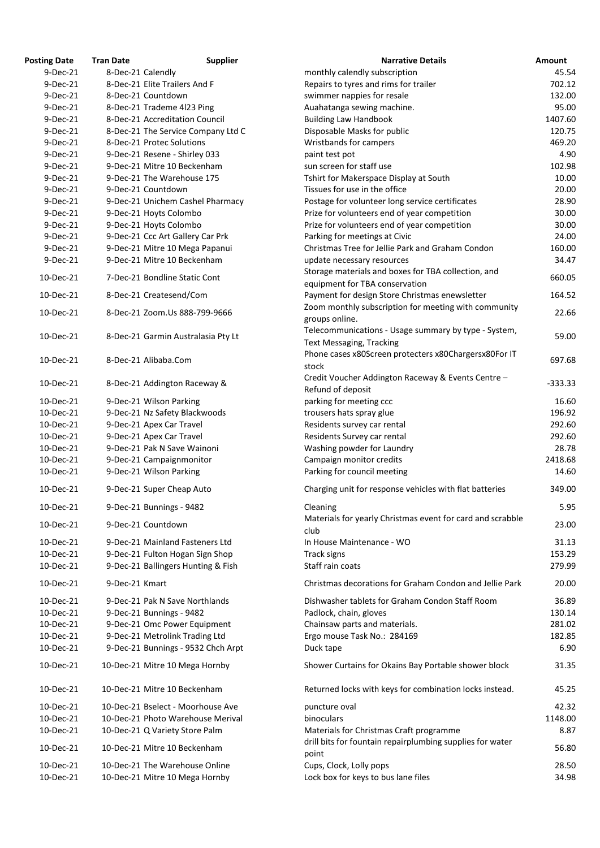| <b>Posting Date</b> | <b>Tran Date</b>  | <b>Supplier</b>                    | <b>Narrative Details</b>                                   | Amount    |
|---------------------|-------------------|------------------------------------|------------------------------------------------------------|-----------|
| $9$ -Dec-21         | 8-Dec-21 Calendly |                                    | monthly calendly subscription                              | 45.54     |
| $9-Dec-21$          |                   | 8-Dec-21 Elite Trailers And F      | Repairs to tyres and rims for trailer                      | 702.12    |
| 9-Dec-21            |                   | 8-Dec-21 Countdown                 | swimmer nappies for resale                                 | 132.00    |
| 9-Dec-21            |                   | 8-Dec-21 Trademe 4l23 Ping         | Auahatanga sewing machine.                                 | 95.00     |
| 9-Dec-21            |                   | 8-Dec-21 Accreditation Council     | <b>Building Law Handbook</b>                               | 1407.60   |
| 9-Dec-21            |                   | 8-Dec-21 The Service Company Ltd C | Disposable Masks for public                                | 120.75    |
| 9-Dec-21            |                   | 8-Dec-21 Protec Solutions          | Wristbands for campers                                     | 469.20    |
| 9-Dec-21            |                   | 9-Dec-21 Resene - Shirley 033      | paint test pot                                             | 4.90      |
| 9-Dec-21            |                   | 9-Dec-21 Mitre 10 Beckenham        | sun screen for staff use                                   | 102.98    |
| 9-Dec-21            |                   | 9-Dec-21 The Warehouse 175         | Tshirt for Makerspace Display at South                     | 10.00     |
| 9-Dec-21            |                   | 9-Dec-21 Countdown                 | Tissues for use in the office                              | 20.00     |
| 9-Dec-21            |                   | 9-Dec-21 Unichem Cashel Pharmacy   | Postage for volunteer long service certificates            | 28.90     |
| 9-Dec-21            |                   | 9-Dec-21 Hoyts Colombo             | Prize for volunteers end of year competition               | 30.00     |
| 9-Dec-21            |                   | 9-Dec-21 Hoyts Colombo             | Prize for volunteers end of year competition               | 30.00     |
| 9-Dec-21            |                   | 9-Dec-21 Ccc Art Gallery Car Prk   | Parking for meetings at Civic                              | 24.00     |
| 9-Dec-21            |                   | 9-Dec-21 Mitre 10 Mega Papanui     | Christmas Tree for Jellie Park and Graham Condon           | 160.00    |
| 9-Dec-21            |                   | 9-Dec-21 Mitre 10 Beckenham        | update necessary resources                                 | 34.47     |
|                     |                   |                                    | Storage materials and boxes for TBA collection, and        |           |
| 10-Dec-21           |                   | 7-Dec-21 Bondline Static Cont      | equipment for TBA conservation                             | 660.05    |
| 10-Dec-21           |                   | 8-Dec-21 Createsend/Com            | Payment for design Store Christmas enewsletter             | 164.52    |
|                     |                   |                                    | Zoom monthly subscription for meeting with community       |           |
| 10-Dec-21           |                   | 8-Dec-21 Zoom.Us 888-799-9666      | groups online.                                             | 22.66     |
|                     |                   |                                    | Telecommunications - Usage summary by type - System,       |           |
| 10-Dec-21           |                   | 8-Dec-21 Garmin Australasia Pty Lt | <b>Text Messaging, Tracking</b>                            | 59.00     |
|                     |                   |                                    | Phone cases x80Screen protecters x80Chargersx80For IT      |           |
| 10-Dec-21           |                   | 8-Dec-21 Alibaba.Com               | stock                                                      | 697.68    |
|                     |                   |                                    | Credit Voucher Addington Raceway & Events Centre -         |           |
| 10-Dec-21           |                   | 8-Dec-21 Addington Raceway &       | Refund of deposit                                          | $-333.33$ |
| 10-Dec-21           |                   | 9-Dec-21 Wilson Parking            | parking for meeting ccc                                    | 16.60     |
| 10-Dec-21           |                   | 9-Dec-21 Nz Safety Blackwoods      | trousers hats spray glue                                   | 196.92    |
| 10-Dec-21           |                   | 9-Dec-21 Apex Car Travel           | Residents survey car rental                                | 292.60    |
| 10-Dec-21           |                   | 9-Dec-21 Apex Car Travel           | Residents Survey car rental                                | 292.60    |
| 10-Dec-21           |                   | 9-Dec-21 Pak N Save Wainoni        | Washing powder for Laundry                                 | 28.78     |
| 10-Dec-21           |                   | 9-Dec-21 Campaignmonitor           | Campaign monitor credits                                   | 2418.68   |
| 10-Dec-21           |                   | 9-Dec-21 Wilson Parking            | Parking for council meeting                                | 14.60     |
|                     |                   |                                    |                                                            |           |
| 10-Dec-21           |                   | 9-Dec-21 Super Cheap Auto          | Charging unit for response vehicles with flat batteries    | 349.00    |
| 10-Dec-21           |                   | 9-Dec-21 Bunnings - 9482           | Cleaning                                                   | 5.95      |
|                     |                   |                                    | Materials for yearly Christmas event for card and scrabble | 23.00     |
| 10-Dec-21           |                   | 9-Dec-21 Countdown                 | club                                                       |           |
| 10-Dec-21           |                   | 9-Dec-21 Mainland Fasteners Ltd    | In House Maintenance - WO                                  | 31.13     |
| 10-Dec-21           |                   | 9-Dec-21 Fulton Hogan Sign Shop    | Track signs                                                | 153.29    |
| 10-Dec-21           |                   | 9-Dec-21 Ballingers Hunting & Fish | Staff rain coats                                           | 279.99    |
| 10-Dec-21           | 9-Dec-21 Kmart    |                                    | Christmas decorations for Graham Condon and Jellie Park    | 20.00     |
| 10-Dec-21           |                   | 9-Dec-21 Pak N Save Northlands     | Dishwasher tablets for Graham Condon Staff Room            | 36.89     |
| 10-Dec-21           |                   | 9-Dec-21 Bunnings - 9482           | Padlock, chain, gloves                                     | 130.14    |
| 10-Dec-21           |                   | 9-Dec-21 Omc Power Equipment       | Chainsaw parts and materials.                              | 281.02    |
| 10-Dec-21           |                   | 9-Dec-21 Metrolink Trading Ltd     | Ergo mouse Task No.: 284169                                | 182.85    |
| 10-Dec-21           |                   | 9-Dec-21 Bunnings - 9532 Chch Arpt | Duck tape                                                  | 6.90      |
| 10-Dec-21           |                   |                                    |                                                            | 31.35     |
|                     |                   | 10-Dec-21 Mitre 10 Mega Hornby     | Shower Curtains for Okains Bay Portable shower block       |           |
| 10-Dec-21           |                   | 10-Dec-21 Mitre 10 Beckenham       | Returned locks with keys for combination locks instead.    | 45.25     |
| 10-Dec-21           |                   | 10-Dec-21 Bselect - Moorhouse Ave  | puncture oval                                              | 42.32     |
| 10-Dec-21           |                   | 10-Dec-21 Photo Warehouse Merival  | binoculars                                                 | 1148.00   |
| 10-Dec-21           |                   | 10-Dec-21 Q Variety Store Palm     | Materials for Christmas Craft programme                    | 8.87      |
|                     |                   |                                    | drill bits for fountain repairplumbing supplies for water  |           |
| 10-Dec-21           |                   | 10-Dec-21 Mitre 10 Beckenham       | point                                                      | 56.80     |
| 10-Dec-21           |                   | 10-Dec-21 The Warehouse Online     | Cups, Clock, Lolly pops                                    | 28.50     |
| 10-Dec-21           |                   | 10-Dec-21 Mitre 10 Mega Hornby     | Lock box for keys to bus lane files                        | 34.98     |
|                     |                   |                                    |                                                            |           |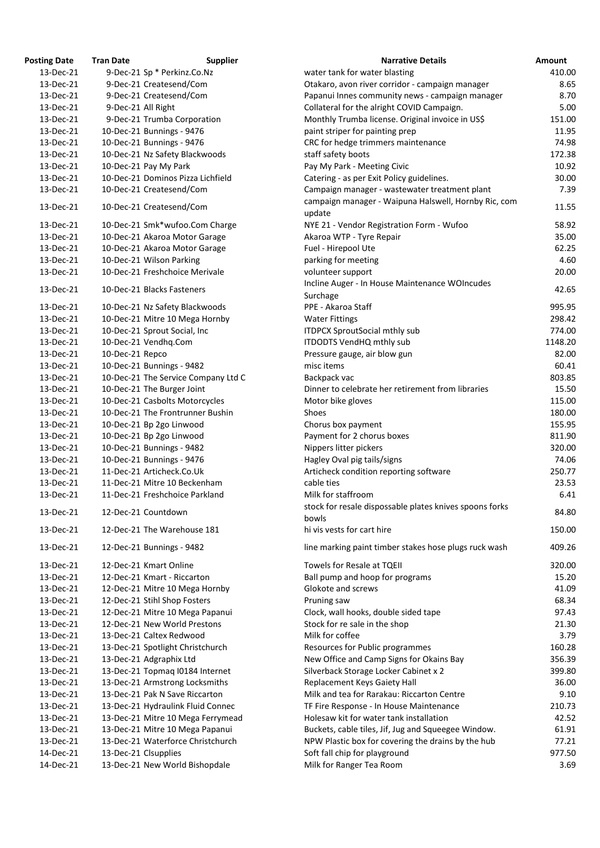| <b>Posting Date</b> | <b>Tran Date</b>   | <b>Supplier</b>                     | <b>Narrative Details</b>                                         |
|---------------------|--------------------|-------------------------------------|------------------------------------------------------------------|
| 13-Dec-21           |                    | 9-Dec-21 Sp * Perkinz.Co.Nz         | water tank for water blasting                                    |
| 13-Dec-21           |                    | 9-Dec-21 Createsend/Com             | Otakaro, avon river corridor - campaign manager                  |
| 13-Dec-21           |                    | 9-Dec-21 Createsend/Com             | Papanui Innes community news - campaign manager                  |
| 13-Dec-21           | 9-Dec-21 All Right |                                     | Collateral for the alright COVID Campaign.                       |
| 13-Dec-21           |                    | 9-Dec-21 Trumba Corporation         | Monthly Trumba license. Original invoice in US\$                 |
| 13-Dec-21           |                    | 10-Dec-21 Bunnings - 9476           | paint striper for painting prep                                  |
| 13-Dec-21           |                    | 10-Dec-21 Bunnings - 9476           | CRC for hedge trimmers maintenance                               |
| 13-Dec-21           |                    | 10-Dec-21 Nz Safety Blackwoods      | staff safety boots                                               |
| 13-Dec-21           |                    | 10-Dec-21 Pay My Park               | Pay My Park - Meeting Civic                                      |
| 13-Dec-21           |                    | 10-Dec-21 Dominos Pizza Lichfield   | Catering - as per Exit Policy guidelines.                        |
| 13-Dec-21           |                    | 10-Dec-21 Createsend/Com            | Campaign manager - wastewater treatment plant                    |
| 13-Dec-21           |                    | 10-Dec-21 Createsend/Com            | campaign manager - Waipuna Halswell, Hornby Ric, com<br>update   |
| 13-Dec-21           |                    | 10-Dec-21 Smk*wufoo.Com Charge      | NYE 21 - Vendor Registration Form - Wufoo                        |
| 13-Dec-21           |                    | 10-Dec-21 Akaroa Motor Garage       | Akaroa WTP - Tyre Repair                                         |
| 13-Dec-21           |                    | 10-Dec-21 Akaroa Motor Garage       | Fuel - Hirepool Ute                                              |
| 13-Dec-21           |                    | 10-Dec-21 Wilson Parking            | parking for meeting                                              |
| 13-Dec-21           |                    | 10-Dec-21 Freshchoice Merivale      | volunteer support                                                |
|                     |                    |                                     | Incline Auger - In House Maintenance WOIncudes                   |
| 13-Dec-21           |                    | 10-Dec-21 Blacks Fasteners          | Surchage                                                         |
| 13-Dec-21           |                    | 10-Dec-21 Nz Safety Blackwoods      | PPE - Akaroa Staff                                               |
| 13-Dec-21           |                    | 10-Dec-21 Mitre 10 Mega Hornby      | <b>Water Fittings</b>                                            |
| 13-Dec-21           |                    | 10-Dec-21 Sprout Social, Inc        | <b>ITDPCX SproutSocial mthly sub</b>                             |
| 13-Dec-21           |                    | 10-Dec-21 Vendhq.Com                | ITDODTS VendHQ mthly sub                                         |
| 13-Dec-21           | 10-Dec-21 Repco    |                                     | Pressure gauge, air blow gun                                     |
| 13-Dec-21           |                    | 10-Dec-21 Bunnings - 9482           | misc items                                                       |
| 13-Dec-21           |                    | 10-Dec-21 The Service Company Ltd C | Backpack vac                                                     |
| 13-Dec-21           |                    | 10-Dec-21 The Burger Joint          | Dinner to celebrate her retirement from libraries                |
| 13-Dec-21           |                    | 10-Dec-21 Casbolts Motorcycles      | Motor bike gloves                                                |
| 13-Dec-21           |                    | 10-Dec-21 The Frontrunner Bushin    | <b>Shoes</b>                                                     |
| 13-Dec-21           |                    | 10-Dec-21 Bp 2go Linwood            | Chorus box payment                                               |
| 13-Dec-21           |                    | 10-Dec-21 Bp 2go Linwood            | Payment for 2 chorus boxes                                       |
| 13-Dec-21           |                    | 10-Dec-21 Bunnings - 9482           | Nippers litter pickers                                           |
| 13-Dec-21           |                    | 10-Dec-21 Bunnings - 9476           | Hagley Oval pig tails/signs                                      |
| 13-Dec-21           |                    | 11-Dec-21 Articheck.Co.Uk           | Articheck condition reporting software                           |
| 13-Dec-21           |                    | 11-Dec-21 Mitre 10 Beckenham        | cable ties                                                       |
| 13-Dec-21           |                    | 11-Dec-21 Freshchoice Parkland      | Milk for staffroom                                               |
| 13-Dec-21           |                    | 12-Dec-21 Countdown                 | stock for resale dispossable plates knives spoons forks<br>bowls |
| 13-Dec-21           |                    | 12-Dec-21 The Warehouse 181         | hi vis vests for cart hire                                       |
| 13-Dec-21           |                    | 12-Dec-21 Bunnings - 9482           | line marking paint timber stakes hose plugs ruck wash            |
| 13-Dec-21           |                    | 12-Dec-21 Kmart Online              | <b>Towels for Resale at TQEII</b>                                |
| 13-Dec-21           |                    | 12-Dec-21 Kmart - Riccarton         | Ball pump and hoop for programs                                  |
| 13-Dec-21           |                    | 12-Dec-21 Mitre 10 Mega Hornby      | Glokote and screws                                               |
| 13-Dec-21           |                    | 12-Dec-21 Stihl Shop Fosters        | Pruning saw                                                      |
| 13-Dec-21           |                    | 12-Dec-21 Mitre 10 Mega Papanui     | Clock, wall hooks, double sided tape                             |
| 13-Dec-21           |                    | 12-Dec-21 New World Prestons        | Stock for re sale in the shop                                    |
| 13-Dec-21           |                    | 13-Dec-21 Caltex Redwood            | Milk for coffee                                                  |
| 13-Dec-21           |                    | 13-Dec-21 Spotlight Christchurch    | Resources for Public programmes                                  |
| 13-Dec-21           |                    | 13-Dec-21 Adgraphix Ltd             | New Office and Camp Signs for Okains Bay                         |
| 13-Dec-21           |                    | 13-Dec-21 Topmag I0184 Internet     | Silverback Storage Locker Cabinet x 2                            |
| 13-Dec-21           |                    | 13-Dec-21 Armstrong Locksmiths      | Replacement Keys Gaiety Hall                                     |
| 13-Dec-21           |                    | 13-Dec-21 Pak N Save Riccarton      | Milk and tea for Rarakau: Riccarton Centre                       |
| 13-Dec-21           |                    | 13-Dec-21 Hydraulink Fluid Connec   | TF Fire Response - In House Maintenance                          |
| 13-Dec-21           |                    | 13-Dec-21 Mitre 10 Mega Ferrymead   | Holesaw kit for water tank installation                          |
| 13-Dec-21           |                    | 13-Dec-21 Mitre 10 Mega Papanui     | Buckets, cable tiles, Jif, Jug and Squeegee Window.              |
| 13-Dec-21           |                    | 13-Dec-21 Waterforce Christchurch   | NPW Plastic box for covering the drains by the hub               |
| 14-Dec-21           |                    | 13-Dec-21 Clsupplies                | Soft fall chip for playground                                    |
| 14-Dec-21           |                    | 13-Dec-21 New World Bishopdale      | Milk for Ranger Tea Room                                         |

| ting Date | Tran Date          | <b>Supplier</b>                     | <b>Narrative Details</b>                                       | Amount  |
|-----------|--------------------|-------------------------------------|----------------------------------------------------------------|---------|
| 13-Dec-21 |                    | 9-Dec-21 Sp * Perkinz.Co.Nz         | water tank for water blasting                                  | 410.00  |
| 13-Dec-21 |                    | 9-Dec-21 Createsend/Com             | Otakaro, avon river corridor - campaign manager                | 8.65    |
| 13-Dec-21 |                    | 9-Dec-21 Createsend/Com             | Papanui Innes community news - campaign manager                | 8.70    |
| 13-Dec-21 | 9-Dec-21 All Right |                                     | Collateral for the alright COVID Campaign.                     | 5.00    |
| 13-Dec-21 |                    | 9-Dec-21 Trumba Corporation         | Monthly Trumba license. Original invoice in US\$               | 151.00  |
| 13-Dec-21 |                    | 10-Dec-21 Bunnings - 9476           | paint striper for painting prep                                | 11.95   |
| 13-Dec-21 |                    | 10-Dec-21 Bunnings - 9476           | CRC for hedge trimmers maintenance                             | 74.98   |
| 13-Dec-21 |                    | 10-Dec-21 Nz Safety Blackwoods      | staff safety boots                                             | 172.38  |
| 13-Dec-21 |                    | 10-Dec-21 Pay My Park               | Pay My Park - Meeting Civic                                    | 10.92   |
| 13-Dec-21 |                    | 10-Dec-21 Dominos Pizza Lichfield   | Catering - as per Exit Policy guidelines.                      | 30.00   |
| 13-Dec-21 |                    | 10-Dec-21 Createsend/Com            | Campaign manager - wastewater treatment plant                  | 7.39    |
| 13-Dec-21 |                    | 10-Dec-21 Createsend/Com            | campaign manager - Waipuna Halswell, Hornby Ric, com<br>update | 11.55   |
| 13-Dec-21 |                    | 10-Dec-21 Smk*wufoo.Com Charge      | NYE 21 - Vendor Registration Form - Wufoo                      | 58.92   |
| 13-Dec-21 |                    | 10-Dec-21 Akaroa Motor Garage       | Akaroa WTP - Tyre Repair                                       | 35.00   |
| 13-Dec-21 |                    | 10-Dec-21 Akaroa Motor Garage       | Fuel - Hirepool Ute                                            | 62.25   |
| 13-Dec-21 |                    | 10-Dec-21 Wilson Parking            | parking for meeting                                            | 4.60    |
| 13-Dec-21 |                    | 10-Dec-21 Freshchoice Merivale      | volunteer support                                              | 20.00   |
|           |                    |                                     | Incline Auger - In House Maintenance WOIncudes                 |         |
| 13-Dec-21 |                    | 10-Dec-21 Blacks Fasteners          | Surchage                                                       | 42.65   |
|           |                    |                                     | PPE - Akaroa Staff                                             |         |
| 13-Dec-21 |                    | 10-Dec-21 Nz Safety Blackwoods      |                                                                | 995.95  |
| 13-Dec-21 |                    | 10-Dec-21 Mitre 10 Mega Hornby      | <b>Water Fittings</b>                                          | 298.42  |
| 13-Dec-21 |                    | 10-Dec-21 Sprout Social, Inc        | <b>ITDPCX SproutSocial mthly sub</b>                           | 774.00  |
| 13-Dec-21 |                    | 10-Dec-21 Vendhq.Com                | ITDODTS VendHQ mthly sub                                       | 1148.20 |
| 13-Dec-21 | 10-Dec-21 Repco    |                                     | Pressure gauge, air blow gun                                   | 82.00   |
| 13-Dec-21 |                    | 10-Dec-21 Bunnings - 9482           | misc items                                                     | 60.41   |
| 13-Dec-21 |                    | 10-Dec-21 The Service Company Ltd C | Backpack vac                                                   | 803.85  |
| 13-Dec-21 |                    | 10-Dec-21 The Burger Joint          | Dinner to celebrate her retirement from libraries              | 15.50   |
| 13-Dec-21 |                    | 10-Dec-21 Casbolts Motorcycles      | Motor bike gloves                                              | 115.00  |
| 13-Dec-21 |                    | 10-Dec-21 The Frontrunner Bushin    | Shoes                                                          | 180.00  |
| 13-Dec-21 |                    | 10-Dec-21 Bp 2go Linwood            | Chorus box payment                                             | 155.95  |
| 13-Dec-21 |                    | 10-Dec-21 Bp 2go Linwood            | Payment for 2 chorus boxes                                     | 811.90  |
| 13-Dec-21 |                    | 10-Dec-21 Bunnings - 9482           | Nippers litter pickers                                         | 320.00  |
| 13-Dec-21 |                    | 10-Dec-21 Bunnings - 9476           | Hagley Oval pig tails/signs                                    | 74.06   |
| 13-Dec-21 |                    | 11-Dec-21 Articheck.Co.Uk           | Articheck condition reporting software                         | 250.77  |
| 13-Dec-21 |                    | 11-Dec-21 Mitre 10 Beckenham        | cable ties                                                     | 23.53   |
| 13-Dec-21 |                    | 11-Dec-21 Freshchoice Parkland      | Milk for staffroom                                             | 6.41    |
|           |                    |                                     | stock for resale dispossable plates knives spoons forks        |         |
| 13-Dec-21 |                    | 12-Dec-21 Countdown                 | bowls                                                          | 84.80   |
| 13-Dec-21 |                    | 12-Dec-21 The Warehouse 181         | hi vis vests for cart hire                                     | 150.00  |
| 13-Dec-21 |                    | 12-Dec-21 Bunnings - 9482           | line marking paint timber stakes hose plugs ruck wash          | 409.26  |
| 13-Dec-21 |                    | 12-Dec-21 Kmart Online              | <b>Towels for Resale at TQEII</b>                              | 320.00  |
| 13-Dec-21 |                    | 12-Dec-21 Kmart - Riccarton         | Ball pump and hoop for programs                                | 15.20   |
| 13-Dec-21 |                    | 12-Dec-21 Mitre 10 Mega Hornby      | Glokote and screws                                             | 41.09   |
| 13-Dec-21 |                    | 12-Dec-21 Stihl Shop Fosters        | Pruning saw                                                    | 68.34   |
| 13-Dec-21 |                    | 12-Dec-21 Mitre 10 Mega Papanui     | Clock, wall hooks, double sided tape                           | 97.43   |
| 13-Dec-21 |                    | 12-Dec-21 New World Prestons        | Stock for re sale in the shop                                  | 21.30   |
| 13-Dec-21 |                    | 13-Dec-21 Caltex Redwood            | Milk for coffee                                                | 3.79    |
| 13-Dec-21 |                    | 13-Dec-21 Spotlight Christchurch    | Resources for Public programmes                                | 160.28  |
| 13-Dec-21 |                    | 13-Dec-21 Adgraphix Ltd             | New Office and Camp Signs for Okains Bay                       | 356.39  |
| 13-Dec-21 |                    | 13-Dec-21 Topmaq I0184 Internet     | Silverback Storage Locker Cabinet x 2                          | 399.80  |
| 13-Dec-21 |                    | 13-Dec-21 Armstrong Locksmiths      | Replacement Keys Gaiety Hall                                   | 36.00   |
| 13-Dec-21 |                    | 13-Dec-21 Pak N Save Riccarton      | Milk and tea for Rarakau: Riccarton Centre                     | 9.10    |
| 13-Dec-21 |                    | 13-Dec-21 Hydraulink Fluid Connec   | TF Fire Response - In House Maintenance                        | 210.73  |
| 13-Dec-21 |                    | 13-Dec-21 Mitre 10 Mega Ferrymead   | Holesaw kit for water tank installation                        | 42.52   |
| 13-Dec-21 |                    | 13-Dec-21 Mitre 10 Mega Papanui     | Buckets, cable tiles, Jif, Jug and Squeegee Window.            | 61.91   |
| 13-Dec-21 |                    | 13-Dec-21 Waterforce Christchurch   | NPW Plastic box for covering the drains by the hub             | 77.21   |
| 14-Dec-21 |                    | 13-Dec-21 Clsupplies                | Soft fall chip for playground                                  | 977.50  |
| 14-Dec-21 |                    | 13-Dec-21 New World Bishopdale      | Milk for Ranger Tea Room                                       | 3.69    |
|           |                    |                                     |                                                                |         |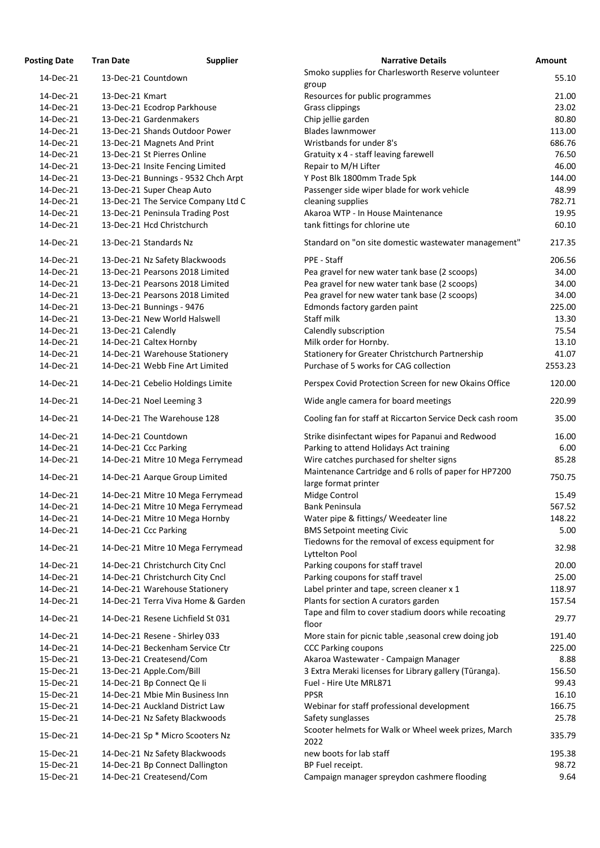| <b>Posting Date</b> | <b>Tran Date</b>   | <b>Supplier</b>                     | <b>Narrative Details</b>                                                      | <b>Amount</b> |
|---------------------|--------------------|-------------------------------------|-------------------------------------------------------------------------------|---------------|
| 14-Dec-21           |                    | 13-Dec-21 Countdown                 | Smoko supplies for Charlesworth Reserve volunteer<br>group                    | 55.10         |
| 14-Dec-21           | 13-Dec-21 Kmart    |                                     | Resources for public programmes                                               | 21.00         |
| 14-Dec-21           |                    | 13-Dec-21 Ecodrop Parkhouse         | <b>Grass clippings</b>                                                        | 23.02         |
| 14-Dec-21           |                    | 13-Dec-21 Gardenmakers              | Chip jellie garden                                                            | 80.80         |
| 14-Dec-21           |                    | 13-Dec-21 Shands Outdoor Power      | <b>Blades lawnmower</b>                                                       | 113.00        |
| 14-Dec-21           |                    | 13-Dec-21 Magnets And Print         | Wristbands for under 8's                                                      | 686.76        |
| 14-Dec-21           |                    | 13-Dec-21 St Pierres Online         | Gratuity x 4 - staff leaving farewell                                         | 76.50         |
| 14-Dec-21           |                    | 13-Dec-21 Insite Fencing Limited    | Repair to M/H Lifter                                                          | 46.00         |
| 14-Dec-21           |                    | 13-Dec-21 Bunnings - 9532 Chch Arpt | Y Post Blk 1800mm Trade 5pk                                                   | 144.00        |
| 14-Dec-21           |                    | 13-Dec-21 Super Cheap Auto          | Passenger side wiper blade for work vehicle                                   | 48.99         |
| 14-Dec-21           |                    | 13-Dec-21 The Service Company Ltd C | cleaning supplies                                                             | 782.71        |
| 14-Dec-21           |                    | 13-Dec-21 Peninsula Trading Post    | Akaroa WTP - In House Maintenance                                             | 19.95         |
| 14-Dec-21           |                    | 13-Dec-21 Hcd Christchurch          | tank fittings for chlorine ute                                                | 60.10         |
| 14-Dec-21           |                    | 13-Dec-21 Standards Nz              | Standard on "on site domestic wastewater management"                          | 217.35        |
| 14-Dec-21           |                    | 13-Dec-21 Nz Safety Blackwoods      | PPE - Staff                                                                   | 206.56        |
| 14-Dec-21           |                    | 13-Dec-21 Pearsons 2018 Limited     | Pea gravel for new water tank base (2 scoops)                                 | 34.00         |
| 14-Dec-21           |                    | 13-Dec-21 Pearsons 2018 Limited     | Pea gravel for new water tank base (2 scoops)                                 | 34.00         |
| 14-Dec-21           |                    | 13-Dec-21 Pearsons 2018 Limited     | Pea gravel for new water tank base (2 scoops)                                 | 34.00         |
| 14-Dec-21           |                    | 13-Dec-21 Bunnings - 9476           | Edmonds factory garden paint                                                  | 225.00        |
| 14-Dec-21           |                    | 13-Dec-21 New World Halswell        | Staff milk                                                                    | 13.30         |
| 14-Dec-21           | 13-Dec-21 Calendly |                                     | Calendly subscription                                                         | 75.54         |
| 14-Dec-21           |                    | 14-Dec-21 Caltex Hornby             | Milk order for Hornby.                                                        | 13.10         |
| 14-Dec-21           |                    | 14-Dec-21 Warehouse Stationery      | Stationery for Greater Christchurch Partnership                               | 41.07         |
| 14-Dec-21           |                    | 14-Dec-21 Webb Fine Art Limited     | Purchase of 5 works for CAG collection                                        | 2553.23       |
| 14-Dec-21           |                    | 14-Dec-21 Cebelio Holdings Limite   | Perspex Covid Protection Screen for new Okains Office                         | 120.00        |
| 14-Dec-21           |                    | 14-Dec-21 Noel Leeming 3            | Wide angle camera for board meetings                                          | 220.99        |
| 14-Dec-21           |                    | 14-Dec-21 The Warehouse 128         | Cooling fan for staff at Riccarton Service Deck cash room                     | 35.00         |
| 14-Dec-21           |                    | 14-Dec-21 Countdown                 | Strike disinfectant wipes for Papanui and Redwood                             | 16.00         |
| 14-Dec-21           |                    | 14-Dec-21 Ccc Parking               | Parking to attend Holidays Act training                                       | 6.00          |
| 14-Dec-21           |                    | 14-Dec-21 Mitre 10 Mega Ferrymead   | Wire catches purchased for shelter signs                                      | 85.28         |
| 14-Dec-21           |                    | 14-Dec-21 Aarque Group Limited      | Maintenance Cartridge and 6 rolls of paper for HP7200<br>large format printer | 750.75        |
| 14-Dec-21           |                    | 14-Dec-21 Mitre 10 Mega Ferrymead   | Midge Control                                                                 | 15.49         |
| 14-Dec-21           |                    | 14-Dec-21 Mitre 10 Mega Ferrymead   | <b>Bank Peninsula</b>                                                         | 567.52        |
| 14-Dec-21           |                    | 14-Dec-21 Mitre 10 Mega Hornby      | Water pipe & fittings/ Weedeater line                                         | 148.22        |
| 14-Dec-21           |                    | 14-Dec-21 Ccc Parking               | <b>BMS Setpoint meeting Civic</b>                                             | 5.00          |
|                     |                    |                                     | Tiedowns for the removal of excess equipment for                              |               |
| 14-Dec-21           |                    | 14-Dec-21 Mitre 10 Mega Ferrymead   | Lyttelton Pool                                                                | 32.98         |
| 14-Dec-21           |                    | 14-Dec-21 Christchurch City Cncl    | Parking coupons for staff travel                                              | 20.00         |
| 14-Dec-21           |                    | 14-Dec-21 Christchurch City Cncl    | Parking coupons for staff travel                                              | 25.00         |
| 14-Dec-21           |                    | 14-Dec-21 Warehouse Stationery      | Label printer and tape, screen cleaner x 1                                    | 118.97        |
| 14-Dec-21           |                    | 14-Dec-21 Terra Viva Home & Garden  | Plants for section A curators garden                                          | 157.54        |
| 14-Dec-21           |                    | 14-Dec-21 Resene Lichfield St 031   | Tape and film to cover stadium doors while recoating<br>floor                 | 29.77         |
| 14-Dec-21           |                    | 14-Dec-21 Resene - Shirley 033      | More stain for picnic table, seasonal crew doing job                          | 191.40        |
| 14-Dec-21           |                    | 14-Dec-21 Beckenham Service Ctr     | <b>CCC Parking coupons</b>                                                    | 225.00        |
| 15-Dec-21           |                    | 13-Dec-21 Createsend/Com            | Akaroa Wastewater - Campaign Manager                                          | 8.88          |
| 15-Dec-21           |                    | 13-Dec-21 Apple.Com/Bill            | 3 Extra Meraki licenses for Library gallery (Tūranga).                        | 156.50        |
| 15-Dec-21           |                    | 14-Dec-21 Bp Connect Qe li          | Fuel - Hire Ute MRL871                                                        | 99.43         |
| 15-Dec-21           |                    | 14-Dec-21 Mbie Min Business Inn     | <b>PPSR</b>                                                                   | 16.10         |
| 15-Dec-21           |                    | 14-Dec-21 Auckland District Law     | Webinar for staff professional development                                    | 166.75        |
| 15-Dec-21           |                    | 14-Dec-21 Nz Safety Blackwoods      | Safety sunglasses                                                             | 25.78         |
| 15-Dec-21           |                    | 14-Dec-21 Sp * Micro Scooters Nz    | Scooter helmets for Walk or Wheel week prizes, March<br>2022                  | 335.79        |
| 15-Dec-21           |                    | 14-Dec-21 Nz Safety Blackwoods      | new boots for lab staff                                                       | 195.38        |
| 15-Dec-21           |                    | 14-Dec-21 Bp Connect Dallington     | BP Fuel receipt.                                                              | 98.72         |
| 15-Dec-21           |                    | 14-Dec-21 Createsend/Com            | Campaign manager spreydon cashmere flooding                                   | 9.64          |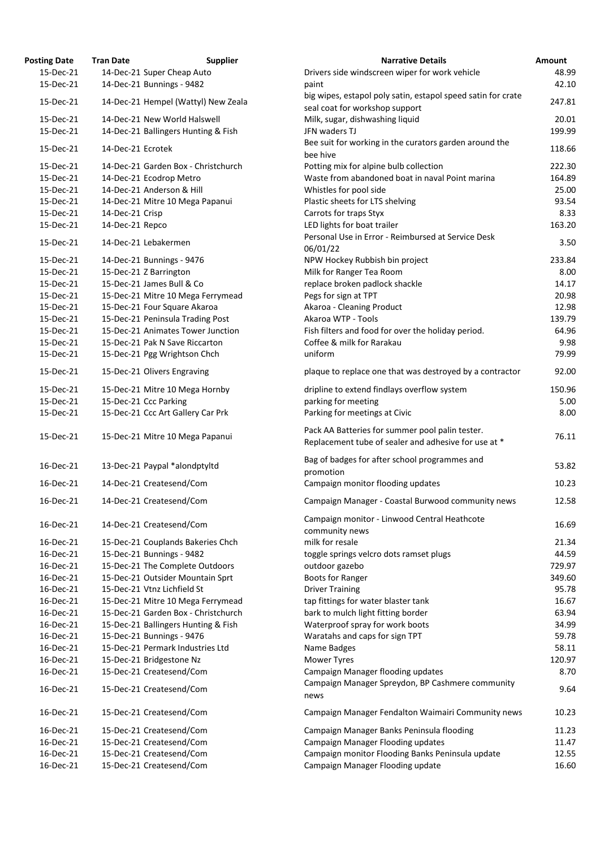| <b>osting Date</b> | <b>Tran Date</b>  | <b>Supplier</b>                     | <b>Narrative Details</b>                                                                                |
|--------------------|-------------------|-------------------------------------|---------------------------------------------------------------------------------------------------------|
| 15-Dec-21          |                   | 14-Dec-21 Super Cheap Auto          | Drivers side windscreen wiper for work vehicle                                                          |
| 15-Dec-21          |                   | 14-Dec-21 Bunnings - 9482           | paint                                                                                                   |
| 15-Dec-21          |                   | 14-Dec-21 Hempel (Wattyl) New Zeala | big wipes, estapol poly satin, estapol speed satin for cra<br>seal coat for workshop support            |
| 15-Dec-21          |                   | 14-Dec-21 New World Halswell        | Milk, sugar, dishwashing liquid                                                                         |
| 15-Dec-21          |                   | 14-Dec-21 Ballingers Hunting & Fish | JFN waders TJ                                                                                           |
| 15-Dec-21          | 14-Dec-21 Ecrotek |                                     | Bee suit for working in the curators garden around the<br>bee hive                                      |
| 15-Dec-21          |                   | 14-Dec-21 Garden Box - Christchurch | Potting mix for alpine bulb collection                                                                  |
| 15-Dec-21          |                   | 14-Dec-21 Ecodrop Metro             | Waste from abandoned boat in naval Point marina                                                         |
| 15-Dec-21          |                   | 14-Dec-21 Anderson & Hill           | Whistles for pool side                                                                                  |
| 15-Dec-21          |                   | 14-Dec-21 Mitre 10 Mega Papanui     | Plastic sheets for LTS shelving                                                                         |
| 15-Dec-21          | 14-Dec-21 Crisp   |                                     | Carrots for traps Styx                                                                                  |
| 15-Dec-21          | 14-Dec-21 Repco   |                                     | LED lights for boat trailer                                                                             |
| 15-Dec-21          |                   | 14-Dec-21 Lebakermen                | Personal Use in Error - Reimbursed at Service Desk<br>06/01/22                                          |
| 15-Dec-21          |                   | 14-Dec-21 Bunnings - 9476           | NPW Hockey Rubbish bin project                                                                          |
| 15-Dec-21          |                   | 15-Dec-21 Z Barrington              | Milk for Ranger Tea Room                                                                                |
| 15-Dec-21          |                   | 15-Dec-21 James Bull & Co           |                                                                                                         |
|                    |                   |                                     | replace broken padlock shackle                                                                          |
| 15-Dec-21          |                   | 15-Dec-21 Mitre 10 Mega Ferrymead   | Pegs for sign at TPT                                                                                    |
| 15-Dec-21          |                   | 15-Dec-21 Four Square Akaroa        | Akaroa - Cleaning Product                                                                               |
| 15-Dec-21          |                   | 15-Dec-21 Peninsula Trading Post    | Akaroa WTP - Tools                                                                                      |
| 15-Dec-21          |                   | 15-Dec-21 Animates Tower Junction   | Fish filters and food for over the holiday period.                                                      |
| 15-Dec-21          |                   | 15-Dec-21 Pak N Save Riccarton      | Coffee & milk for Rarakau                                                                               |
| 15-Dec-21          |                   | 15-Dec-21 Pgg Wrightson Chch        | uniform                                                                                                 |
| 15-Dec-21          |                   | 15-Dec-21 Olivers Engraving         | plaque to replace one that was destroyed by a contract                                                  |
| 15-Dec-21          |                   | 15-Dec-21 Mitre 10 Mega Hornby      | dripline to extend findlays overflow system                                                             |
| 15-Dec-21          |                   | 15-Dec-21 Ccc Parking               | parking for meeting                                                                                     |
| 15-Dec-21          |                   | 15-Dec-21 Ccc Art Gallery Car Prk   | Parking for meetings at Civic                                                                           |
| 15-Dec-21          |                   | 15-Dec-21 Mitre 10 Mega Papanui     | Pack AA Batteries for summer pool palin tester.<br>Replacement tube of sealer and adhesive for use at * |
| 16-Dec-21          |                   | 13-Dec-21 Paypal *alondptyltd       | Bag of badges for after school programmes and<br>promotion                                              |
| 16-Dec-21          |                   | 14-Dec-21 Createsend/Com            | Campaign monitor flooding updates                                                                       |
| 16-Dec-21          |                   | 14-Dec-21 Createsend/Com            | Campaign Manager - Coastal Burwood community new                                                        |
| 16-Dec-21          |                   | 14-Dec-21 Createsend/Com            | Campaign monitor - Linwood Central Heathcote                                                            |
|                    |                   |                                     | community news                                                                                          |
| 16-Dec-21          |                   | 15-Dec-21 Couplands Bakeries Chch   | milk for resale                                                                                         |
| 16-Dec-21          |                   | 15-Dec-21 Bunnings - 9482           | toggle springs velcro dots ramset plugs                                                                 |
| 16-Dec-21          |                   | 15-Dec-21 The Complete Outdoors     | outdoor gazebo                                                                                          |
| 16-Dec-21          |                   | 15-Dec-21 Outsider Mountain Sprt    | <b>Boots for Ranger</b>                                                                                 |
| 16-Dec-21          |                   | 15-Dec-21 Vtnz Lichfield St         | <b>Driver Training</b>                                                                                  |
| 16-Dec-21          |                   | 15-Dec-21 Mitre 10 Mega Ferrymead   | tap fittings for water blaster tank                                                                     |
| 16-Dec-21          |                   | 15-Dec-21 Garden Box - Christchurch | bark to mulch light fitting border                                                                      |
| 16-Dec-21          |                   | 15-Dec-21 Ballingers Hunting & Fish | Waterproof spray for work boots                                                                         |
| 16-Dec-21          |                   | 15-Dec-21 Bunnings - 9476           | Waratahs and caps for sign TPT                                                                          |
| 16-Dec-21          |                   | 15-Dec-21 Permark Industries Ltd    | Name Badges                                                                                             |
| 16-Dec-21          |                   | 15-Dec-21 Bridgestone Nz            | <b>Mower Tyres</b>                                                                                      |
| 16-Dec-21          |                   | 15-Dec-21 Createsend/Com            | Campaign Manager flooding updates                                                                       |
| 16-Dec-21          |                   | 15-Dec-21 Createsend/Com            | Campaign Manager Spreydon, BP Cashmere communit<br>news                                                 |
| 16-Dec-21          |                   | 15-Dec-21 Createsend/Com            | Campaign Manager Fendalton Waimairi Community ne                                                        |
| 16-Dec-21          |                   | 15-Dec-21 Createsend/Com            | Campaign Manager Banks Peninsula flooding                                                               |
| 16-Dec-21          |                   | 15-Dec-21 Createsend/Com            | Campaign Manager Flooding updates                                                                       |
| 16-Dec-21          |                   | 15-Dec-21 Createsend/Com            | Campaign monitor Flooding Banks Peninsula update                                                        |
| 16-Dec-21          |                   | 15-Dec-21 Createsend/Com            | Campaign Manager Flooding update                                                                        |
|                    |                   |                                     |                                                                                                         |

| <b>Posting Date</b> | <b>Tran Date</b>  | <b>Supplier</b>                     | <b>Narrative Details</b>                                                                                | Amount |
|---------------------|-------------------|-------------------------------------|---------------------------------------------------------------------------------------------------------|--------|
| 15-Dec-21           |                   | 14-Dec-21 Super Cheap Auto          | Drivers side windscreen wiper for work vehicle                                                          | 48.99  |
| 15-Dec-21           |                   | 14-Dec-21 Bunnings - 9482           | paint                                                                                                   | 42.10  |
| 15-Dec-21           |                   | 14-Dec-21 Hempel (Wattyl) New Zeala | big wipes, estapol poly satin, estapol speed satin for crate<br>seal coat for workshop support          | 247.81 |
| 15-Dec-21           |                   | 14-Dec-21 New World Halswell        | Milk, sugar, dishwashing liquid                                                                         | 20.01  |
| 15-Dec-21           |                   | 14-Dec-21 Ballingers Hunting & Fish | JFN waders TJ<br>Bee suit for working in the curators garden around the                                 | 199.99 |
| 15-Dec-21           | 14-Dec-21 Ecrotek |                                     | bee hive                                                                                                | 118.66 |
| 15-Dec-21           |                   | 14-Dec-21 Garden Box - Christchurch | Potting mix for alpine bulb collection                                                                  | 222.30 |
| 15-Dec-21           |                   | 14-Dec-21 Ecodrop Metro             | Waste from abandoned boat in naval Point marina                                                         | 164.89 |
| 15-Dec-21           |                   | 14-Dec-21 Anderson & Hill           | Whistles for pool side                                                                                  | 25.00  |
| 15-Dec-21           |                   | 14-Dec-21 Mitre 10 Mega Papanui     | Plastic sheets for LTS shelving                                                                         | 93.54  |
| 15-Dec-21           | 14-Dec-21 Crisp   |                                     | Carrots for traps Styx                                                                                  | 8.33   |
| 15-Dec-21           | 14-Dec-21 Repco   |                                     | LED lights for boat trailer                                                                             | 163.20 |
| 15-Dec-21           |                   | 14-Dec-21 Lebakermen                | Personal Use in Error - Reimbursed at Service Desk<br>06/01/22                                          | 3.50   |
| 15-Dec-21           |                   | 14-Dec-21 Bunnings - 9476           | NPW Hockey Rubbish bin project                                                                          | 233.84 |
| 15-Dec-21           |                   | 15-Dec-21 Z Barrington              | Milk for Ranger Tea Room                                                                                | 8.00   |
| 15-Dec-21           |                   | 15-Dec-21 James Bull & Co           | replace broken padlock shackle                                                                          | 14.17  |
| 15-Dec-21           |                   | 15-Dec-21 Mitre 10 Mega Ferrymead   | Pegs for sign at TPT                                                                                    | 20.98  |
| 15-Dec-21           |                   | 15-Dec-21 Four Square Akaroa        | Akaroa - Cleaning Product                                                                               | 12.98  |
| 15-Dec-21           |                   | 15-Dec-21 Peninsula Trading Post    | Akaroa WTP - Tools                                                                                      | 139.79 |
| 15-Dec-21           |                   | 15-Dec-21 Animates Tower Junction   | Fish filters and food for over the holiday period.                                                      | 64.96  |
| 15-Dec-21           |                   | 15-Dec-21 Pak N Save Riccarton      | Coffee & milk for Rarakau                                                                               | 9.98   |
| 15-Dec-21           |                   | 15-Dec-21 Pgg Wrightson Chch        | uniform                                                                                                 | 79.99  |
|                     |                   |                                     | plaque to replace one that was destroyed by a contractor                                                |        |
| 15-Dec-21           |                   | 15-Dec-21 Olivers Engraving         |                                                                                                         | 92.00  |
| 15-Dec-21           |                   | 15-Dec-21 Mitre 10 Mega Hornby      | dripline to extend findlays overflow system                                                             | 150.96 |
| 15-Dec-21           |                   | 15-Dec-21 Ccc Parking               | parking for meeting                                                                                     | 5.00   |
| 15-Dec-21           |                   | 15-Dec-21 Ccc Art Gallery Car Prk   | Parking for meetings at Civic                                                                           | 8.00   |
| 15-Dec-21           |                   | 15-Dec-21 Mitre 10 Mega Papanui     | Pack AA Batteries for summer pool palin tester.<br>Replacement tube of sealer and adhesive for use at * | 76.11  |
| 16-Dec-21           |                   | 13-Dec-21 Paypal *alondptyltd       | Bag of badges for after school programmes and<br>promotion                                              | 53.82  |
| 16-Dec-21           |                   | 14-Dec-21 Createsend/Com            | Campaign monitor flooding updates                                                                       | 10.23  |
| 16-Dec-21           |                   | 14-Dec-21 Createsend/Com            | Campaign Manager - Coastal Burwood community news                                                       | 12.58  |
| 16-Dec-21           |                   | 14-Dec-21 Createsend/Com            | Campaign monitor - Linwood Central Heathcote                                                            | 16.69  |
|                     |                   |                                     | community news                                                                                          |        |
| 16-Dec-21           |                   | 15-Dec-21 Couplands Bakeries Chch   | milk for resale                                                                                         | 21.34  |
| 16-Dec-21           |                   | 15-Dec-21 Bunnings - 9482           | toggle springs velcro dots ramset plugs                                                                 | 44.59  |
| 16-Dec-21           |                   | 15-Dec-21 The Complete Outdoors     | outdoor gazebo                                                                                          | 729.97 |
| 16-Dec-21           |                   | 15-Dec-21 Outsider Mountain Sprt    | Boots for Ranger                                                                                        | 349.60 |
| 16-Dec-21           |                   | 15-Dec-21 Vtnz Lichfield St         | <b>Driver Training</b>                                                                                  | 95.78  |
| 16-Dec-21           |                   | 15-Dec-21 Mitre 10 Mega Ferrymead   | tap fittings for water blaster tank                                                                     | 16.67  |
| 16-Dec-21           |                   | 15-Dec-21 Garden Box - Christchurch | bark to mulch light fitting border                                                                      | 63.94  |
| 16-Dec-21           |                   | 15-Dec-21 Ballingers Hunting & Fish | Waterproof spray for work boots                                                                         | 34.99  |
| 16-Dec-21           |                   | 15-Dec-21 Bunnings - 9476           | Waratahs and caps for sign TPT                                                                          | 59.78  |
| 16-Dec-21           |                   | 15-Dec-21 Permark Industries Ltd    | Name Badges                                                                                             | 58.11  |
| 16-Dec-21           |                   | 15-Dec-21 Bridgestone Nz            | Mower Tyres                                                                                             | 120.97 |
| 16-Dec-21           |                   | 15-Dec-21 Createsend/Com            | Campaign Manager flooding updates                                                                       | 8.70   |
| 16-Dec-21           |                   | 15-Dec-21 Createsend/Com            | Campaign Manager Spreydon, BP Cashmere community<br>news                                                | 9.64   |
| 16-Dec-21           |                   | 15-Dec-21 Createsend/Com            | Campaign Manager Fendalton Waimairi Community news                                                      | 10.23  |
| 16-Dec-21           |                   | 15-Dec-21 Createsend/Com            | Campaign Manager Banks Peninsula flooding                                                               | 11.23  |
| 16-Dec-21           |                   | 15-Dec-21 Createsend/Com            | Campaign Manager Flooding updates                                                                       | 11.47  |
| 16-Dec-21           |                   | 15-Dec-21 Createsend/Com            | Campaign monitor Flooding Banks Peninsula update                                                        | 12.55  |
| 16-Dec-21           |                   | 15-Dec-21 Createsend/Com            | Campaign Manager Flooding update                                                                        | 16.60  |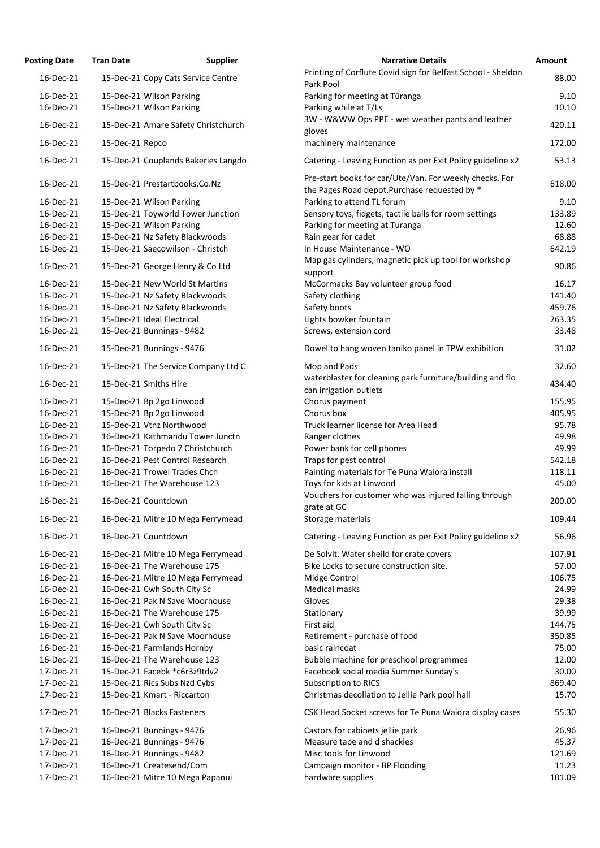| <b>Osting Date</b> | <b>Tran Date</b><br><b>Supplier</b> | <b>Narrative Details</b>                                                                                 |
|--------------------|-------------------------------------|----------------------------------------------------------------------------------------------------------|
| 16-Dec-21          | 15-Dec-21 Copy Cats Service Centre  | Printing of Corflute Covid sign for Belfast School - Sheld                                               |
|                    |                                     | Park Pool                                                                                                |
| 16-Dec-21          | 15-Dec-21 Wilson Parking            | Parking for meeting at Tūranga                                                                           |
| 16-Dec-21          | 15-Dec-21 Wilson Parking            | Parking while at T/Ls                                                                                    |
| 16-Dec-21          | 15-Dec-21 Amare Safety Christchurch | 3W - W&WW Ops PPE - wet weather pants and leather<br>gloves                                              |
| 16-Dec-21          | 15-Dec-21 Repco                     | machinery maintenance                                                                                    |
| 16-Dec-21          | 15-Dec-21 Couplands Bakeries Langdo | Catering - Leaving Function as per Exit Policy guideline x                                               |
| 16-Dec-21          | 15-Dec-21 Prestartbooks.Co.Nz       | Pre-start books for car/Ute/Van. For weekly checks. For<br>the Pages Road depot. Purchase requested by * |
| 16-Dec-21          | 15-Dec-21 Wilson Parking            | Parking to attend TL forum                                                                               |
| 16-Dec-21          | 15-Dec-21 Toyworld Tower Junction   | Sensory toys, fidgets, tactile balls for room settings                                                   |
| 16-Dec-21          | 15-Dec-21 Wilson Parking            | Parking for meeting at Turanga                                                                           |
| 16-Dec-21          | 15-Dec-21 Nz Safety Blackwoods      | Rain gear for cadet                                                                                      |
| 16-Dec-21          | 15-Dec-21 Saecowilson - Christch    | In House Maintenance - WO                                                                                |
| 16-Dec-21          | 15-Dec-21 George Henry & Co Ltd     | Map gas cylinders, magnetic pick up tool for workshop<br>support                                         |
| 16-Dec-21          | 15-Dec-21 New World St Martins      | McCormacks Bay volunteer group food                                                                      |
| 16-Dec-21          | 15-Dec-21 Nz Safety Blackwoods      | Safety clothing                                                                                          |
| 16-Dec-21          | 15-Dec-21 Nz Safety Blackwoods      | Safety boots                                                                                             |
| 16-Dec-21          | 15-Dec-21 Ideal Electrical          | Lights bowker fountain                                                                                   |
| 16-Dec-21          | 15-Dec-21 Bunnings - 9482           | Screws, extension cord                                                                                   |
| 16-Dec-21          | 15-Dec-21 Bunnings - 9476           | Dowel to hang woven taniko panel in TPW exhibition                                                       |
| 16-Dec-21          | 15-Dec-21 The Service Company Ltd C | Mop and Pads                                                                                             |
| 16-Dec-21          | 15-Dec-21 Smiths Hire               | waterblaster for cleaning park furniture/building and flo<br>can irrigation outlets                      |
| 16-Dec-21          | 15-Dec-21 Bp 2go Linwood            | Chorus payment                                                                                           |
| 16-Dec-21          | 15-Dec-21 Bp 2go Linwood            | Chorus box                                                                                               |
| 16-Dec-21          | 15-Dec-21 Vtnz Northwood            | Truck learner license for Area Head                                                                      |
| 16-Dec-21          | 16-Dec-21 Kathmandu Tower Junctn    | Ranger clothes                                                                                           |
| 16-Dec-21          | 16-Dec-21 Torpedo 7 Christchurch    | Power bank for cell phones                                                                               |
| 16-Dec-21          | 16-Dec-21 Pest Control Research     | Traps for pest control                                                                                   |
| 16-Dec-21          | 16-Dec-21 Trowel Trades Chch        | Painting materials for Te Puna Waiora install                                                            |
| 16-Dec-21          | 16-Dec-21 The Warehouse 123         | Toys for kids at Linwood                                                                                 |
| 16-Dec-21          | 16-Dec-21 Countdown                 | Vouchers for customer who was injured falling through<br>grate at GC                                     |
| 16-Dec-21          | 16-Dec-21 Mitre 10 Mega Ferrymead   | Storage materials                                                                                        |
| 16-Dec-21          | 16-Dec-21 Countdown                 | Catering - Leaving Function as per Exit Policy guideline x                                               |
| 16-Dec-21          | 16-Dec-21 Mitre 10 Mega Ferrymead   | De Solvit, Water sheild for crate covers                                                                 |
| 16-Dec-21          | 16-Dec-21 The Warehouse 175         | Bike Locks to secure construction site.                                                                  |
| 16-Dec-21          | 16-Dec-21 Mitre 10 Mega Ferrymead   | Midge Control                                                                                            |
| 16-Dec-21          | 16-Dec-21 Cwh South City Sc         | <b>Medical masks</b>                                                                                     |
| 16-Dec-21          | 16-Dec-21 Pak N Save Moorhouse      | Gloves                                                                                                   |
| 16-Dec-21          | 16-Dec-21 The Warehouse 175         | Stationary                                                                                               |
| 16-Dec-21          | 16-Dec-21 Cwh South City Sc         | First aid                                                                                                |
| 16-Dec-21          | 16-Dec-21 Pak N Save Moorhouse      | Retirement - purchase of food                                                                            |
| 16-Dec-21          | 16-Dec-21 Farmlands Hornby          | basic raincoat                                                                                           |
| 16-Dec-21          | 16-Dec-21 The Warehouse 123         | Bubble machine for preschool programmes                                                                  |
| 17-Dec-21          | 15-Dec-21 Facebk *c6r3z9tdv2        | Facebook social media Summer Sunday's                                                                    |
| 17-Dec-21          | 15-Dec-21 Rics Subs Nzd Cybs        | <b>Subscription to RICS</b>                                                                              |
| 17-Dec-21          | 15-Dec-21 Kmart - Riccarton         | Christmas decollation to Jellie Park pool hall                                                           |
| 17-Dec-21          | 16-Dec-21 Blacks Fasteners          | CSK Head Socket screws for Te Puna Waiora display case                                                   |
| 17-Dec-21          | 16-Dec-21 Bunnings - 9476           | Castors for cabinets jellie park                                                                         |
| 17-Dec-21          | 16-Dec-21 Bunnings - 9476           | Measure tape and d shackles                                                                              |
| 17-Dec-21          | 16-Dec-21 Bunnings - 9482           | Misc tools for Linwood                                                                                   |
| 17-Dec-21          | 16-Dec-21 Createsend/Com            | Campaign monitor - BP Flooding                                                                           |
| 17-Dec-21          | 16-Dec-21 Mitre 10 Mega Papanui     | hardware supplies                                                                                        |

| <b>Posting Date</b> | <b>Tran Date</b> | <b>Supplier</b>                     | <b>Narrative Details</b>                                                                                 | <b>Amount</b> |
|---------------------|------------------|-------------------------------------|----------------------------------------------------------------------------------------------------------|---------------|
| 16-Dec-21           |                  | 15-Dec-21 Copy Cats Service Centre  | Printing of Corflute Covid sign for Belfast School - Sheldon<br>Park Pool                                | 88.00         |
| 16-Dec-21           |                  | 15-Dec-21 Wilson Parking            | Parking for meeting at Tūranga                                                                           | 9.10          |
| 16-Dec-21           |                  | 15-Dec-21 Wilson Parking            | Parking while at T/Ls                                                                                    | 10.10         |
| 16-Dec-21           |                  | 15-Dec-21 Amare Safety Christchurch | 3W - W&WW Ops PPE - wet weather pants and leather<br>gloves                                              | 420.11        |
| 16-Dec-21           | 15-Dec-21 Repco  |                                     | machinery maintenance                                                                                    | 172.00        |
| 16-Dec-21           |                  | 15-Dec-21 Couplands Bakeries Langdo | Catering - Leaving Function as per Exit Policy guideline x2                                              | 53.13         |
| 16-Dec-21           |                  | 15-Dec-21 Prestartbooks.Co.Nz       | Pre-start books for car/Ute/Van. For weekly checks. For<br>the Pages Road depot. Purchase requested by * | 618.00        |
| 16-Dec-21           |                  | 15-Dec-21 Wilson Parking            | Parking to attend TL forum                                                                               | 9.10          |
| 16-Dec-21           |                  | 15-Dec-21 Toyworld Tower Junction   | Sensory toys, fidgets, tactile balls for room settings                                                   | 133.89        |
| 16-Dec-21           |                  | 15-Dec-21 Wilson Parking            | Parking for meeting at Turanga                                                                           | 12.60         |
| 16-Dec-21           |                  | 15-Dec-21 Nz Safety Blackwoods      | Rain gear for cadet                                                                                      | 68.88         |
| 16-Dec-21           |                  | 15-Dec-21 Saecowilson - Christch    | In House Maintenance - WO                                                                                | 642.19        |
| 16-Dec-21           |                  | 15-Dec-21 George Henry & Co Ltd     | Map gas cylinders, magnetic pick up tool for workshop<br>support                                         | 90.86         |
| 16-Dec-21           |                  | 15-Dec-21 New World St Martins      | McCormacks Bay volunteer group food                                                                      | 16.17         |
| 16-Dec-21           |                  | 15-Dec-21 Nz Safety Blackwoods      | Safety clothing                                                                                          | 141.40        |
| 16-Dec-21           |                  | 15-Dec-21 Nz Safety Blackwoods      | Safety boots                                                                                             | 459.76        |
| 16-Dec-21           |                  | 15-Dec-21 Ideal Electrical          | Lights bowker fountain                                                                                   | 263.35        |
| 16-Dec-21           |                  | 15-Dec-21 Bunnings - 9482           | Screws, extension cord                                                                                   | 33.48         |
| 16-Dec-21           |                  | 15-Dec-21 Bunnings - 9476           | Dowel to hang woven taniko panel in TPW exhibition                                                       | 31.02         |
| 16-Dec-21           |                  | 15-Dec-21 The Service Company Ltd C | Mop and Pads                                                                                             | 32.60         |
| 16-Dec-21           |                  | 15-Dec-21 Smiths Hire               | waterblaster for cleaning park furniture/building and flo<br>can irrigation outlets                      | 434.40        |
| 16-Dec-21           |                  | 15-Dec-21 Bp 2go Linwood            | Chorus payment                                                                                           | 155.95        |
| 16-Dec-21           |                  | 15-Dec-21 Bp 2go Linwood            | Chorus box                                                                                               | 405.95        |
| 16-Dec-21           |                  | 15-Dec-21 Vtnz Northwood            | Truck learner license for Area Head                                                                      | 95.78         |
| 16-Dec-21           |                  | 16-Dec-21 Kathmandu Tower Junctn    | Ranger clothes                                                                                           | 49.98         |
| 16-Dec-21           |                  | 16-Dec-21 Torpedo 7 Christchurch    | Power bank for cell phones                                                                               | 49.99         |
| 16-Dec-21           |                  | 16-Dec-21 Pest Control Research     | Traps for pest control                                                                                   | 542.18        |
| 16-Dec-21           |                  | 16-Dec-21 Trowel Trades Chch        | Painting materials for Te Puna Waiora install                                                            | 118.11        |
| 16-Dec-21           |                  | 16-Dec-21 The Warehouse 123         | Toys for kids at Linwood                                                                                 | 45.00         |
| 16-Dec-21           |                  | 16-Dec-21 Countdown                 | Vouchers for customer who was injured falling through                                                    | 200.00        |
| 16-Dec-21           |                  | 16-Dec-21 Mitre 10 Mega Ferrymead   | grate at GC<br>Storage materials                                                                         | 109.44        |
| 16-Dec-21           |                  | 16-Dec-21 Countdown                 | Catering - Leaving Function as per Exit Policy guideline x2                                              | 56.96         |
| 16-Dec-21           |                  | 16-Dec-21 Mitre 10 Mega Ferrymead   | De Solvit, Water sheild for crate covers                                                                 | 107.91        |
| 16-Dec-21           |                  | 16-Dec-21 The Warehouse 175         | Bike Locks to secure construction site.                                                                  | 57.00         |
| 16-Dec-21           |                  | 16-Dec-21 Mitre 10 Mega Ferrymead   | Midge Control                                                                                            | 106.75        |
| 16-Dec-21           |                  | 16-Dec-21 Cwh South City Sc         | <b>Medical masks</b>                                                                                     | 24.99         |
| 16-Dec-21           |                  | 16-Dec-21 Pak N Save Moorhouse      | Gloves                                                                                                   | 29.38         |
| 16-Dec-21           |                  | 16-Dec-21 The Warehouse 175         | Stationary                                                                                               | 39.99         |
| 16-Dec-21           |                  | 16-Dec-21 Cwh South City Sc         | First aid                                                                                                | 144.75        |
| 16-Dec-21           |                  | 16-Dec-21 Pak N Save Moorhouse      | Retirement - purchase of food                                                                            | 350.85        |
| 16-Dec-21           |                  | 16-Dec-21 Farmlands Hornby          | basic raincoat                                                                                           | 75.00         |
| 16-Dec-21           |                  | 16-Dec-21 The Warehouse 123         |                                                                                                          | 12.00         |
|                     |                  |                                     | Bubble machine for preschool programmes                                                                  |               |
| 17-Dec-21           |                  | 15-Dec-21 Facebk *c6r3z9tdv2        | Facebook social media Summer Sunday's                                                                    | 30.00         |
| 17-Dec-21           |                  | 15-Dec-21 Rics Subs Nzd Cybs        | <b>Subscription to RICS</b>                                                                              | 869.40        |
| 17-Dec-21           |                  | 15-Dec-21 Kmart - Riccarton         | Christmas decollation to Jellie Park pool hall                                                           | 15.70         |
| 17-Dec-21           |                  | 16-Dec-21 Blacks Fasteners          | CSK Head Socket screws for Te Puna Waiora display cases                                                  | 55.30         |
| 17-Dec-21           |                  | 16-Dec-21 Bunnings - 9476           | Castors for cabinets jellie park                                                                         | 26.96         |
| 17-Dec-21           |                  | 16-Dec-21 Bunnings - 9476           | Measure tape and d shackles                                                                              | 45.37         |
| 17-Dec-21           |                  | 16-Dec-21 Bunnings - 9482           | Misc tools for Linwood                                                                                   | 121.69        |
| 17-Dec-21           |                  | 16-Dec-21 Createsend/Com            | Campaign monitor - BP Flooding                                                                           | 11.23         |
| 17-Dec-21           |                  | 16-Dec-21 Mitre 10 Mega Papanui     | hardware supplies                                                                                        | 101.09        |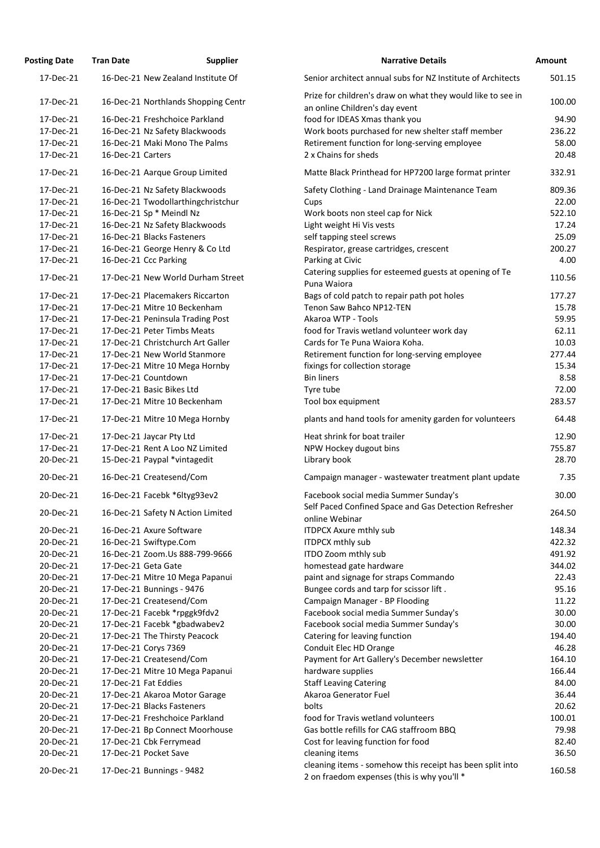| <b>Posting Date</b>    | <b>Tran Date</b>  | <b>Supplier</b>                                  | <b>Narrative Details</b>                                                                                 | <b>Amount</b> |
|------------------------|-------------------|--------------------------------------------------|----------------------------------------------------------------------------------------------------------|---------------|
| 17-Dec-21              |                   | 16-Dec-21 New Zealand Institute Of               | Senior architect annual subs for NZ Institute of Architects                                              | 501.          |
| 17-Dec-21              |                   | 16-Dec-21 Northlands Shopping Centr              | Prize for children's draw on what they would like to see in<br>an online Children's day event            | 100.          |
| 17-Dec-21              |                   | 16-Dec-21 Freshchoice Parkland                   | food for IDEAS Xmas thank you                                                                            | 94.           |
| 17-Dec-21              |                   | 16-Dec-21 Nz Safety Blackwoods                   | Work boots purchased for new shelter staff member                                                        | 236.          |
| 17-Dec-21              |                   | 16-Dec-21 Maki Mono The Palms                    | Retirement function for long-serving employee                                                            | 58.           |
| 17-Dec-21              | 16-Dec-21 Carters |                                                  | 2 x Chains for sheds                                                                                     | 20.           |
| 17-Dec-21              |                   | 16-Dec-21 Aarque Group Limited                   | Matte Black Printhead for HP7200 large format printer                                                    | 332.          |
| 17-Dec-21              |                   | 16-Dec-21 Nz Safety Blackwoods                   | Safety Clothing - Land Drainage Maintenance Team                                                         | 809.          |
| 17-Dec-21              |                   | 16-Dec-21 Twodollarthingchristchur               | Cups                                                                                                     | 22.           |
| 17-Dec-21              |                   | 16-Dec-21 Sp * Meindl Nz                         | Work boots non steel cap for Nick                                                                        | 522.          |
| 17-Dec-21              |                   | 16-Dec-21 Nz Safety Blackwoods                   | Light weight Hi Vis vests                                                                                | 17.           |
| 17-Dec-21              |                   | 16-Dec-21 Blacks Fasteners                       | self tapping steel screws                                                                                | 25.           |
| 17-Dec-21              |                   | 16-Dec-21 George Henry & Co Ltd                  | Respirator, grease cartridges, crescent                                                                  | 200.          |
| 17-Dec-21              |                   | 16-Dec-21 Ccc Parking                            | Parking at Civic                                                                                         | 4.            |
| 17-Dec-21              |                   | 17-Dec-21 New World Durham Street                | Catering supplies for esteemed guests at opening of Te<br>Puna Waiora                                    | 110.          |
| 17-Dec-21              |                   | 17-Dec-21 Placemakers Riccarton                  | Bags of cold patch to repair path pot holes                                                              | 177.          |
| 17-Dec-21              |                   | 17-Dec-21 Mitre 10 Beckenham                     | Tenon Saw Bahco NP12-TEN                                                                                 | 15.           |
| 17-Dec-21              |                   | 17-Dec-21 Peninsula Trading Post                 | Akaroa WTP - Tools                                                                                       | 59.           |
| 17-Dec-21              |                   | 17-Dec-21 Peter Timbs Meats                      | food for Travis wetland volunteer work day                                                               | 62.           |
| 17-Dec-21              |                   | 17-Dec-21 Christchurch Art Galler                | Cards for Te Puna Waiora Koha.                                                                           | 10.           |
| 17-Dec-21              |                   | 17-Dec-21 New World Stanmore                     | Retirement function for long-serving employee                                                            | 277.          |
| 17-Dec-21              |                   | 17-Dec-21 Mitre 10 Mega Hornby                   | fixings for collection storage                                                                           | 15.           |
| 17-Dec-21              |                   | 17-Dec-21 Countdown                              | <b>Bin liners</b>                                                                                        | 8.            |
| 17-Dec-21              |                   | 17-Dec-21 Basic Bikes Ltd                        | Tyre tube                                                                                                | 72.           |
| 17-Dec-21              |                   | 17-Dec-21 Mitre 10 Beckenham                     | Tool box equipment                                                                                       | 283.          |
| 17-Dec-21              |                   | 17-Dec-21 Mitre 10 Mega Hornby                   | plants and hand tools for amenity garden for volunteers                                                  | 64.           |
| 17-Dec-21              |                   | 17-Dec-21 Jaycar Pty Ltd                         | Heat shrink for boat trailer                                                                             | 12.           |
| 17-Dec-21              |                   | 17-Dec-21 Rent A Loo NZ Limited                  | NPW Hockey dugout bins                                                                                   | 755.          |
| 20-Dec-21              |                   | 15-Dec-21 Paypal *vintagedit                     | Library book                                                                                             | 28.           |
| 20-Dec-21              |                   | 16-Dec-21 Createsend/Com                         | Campaign manager - wastewater treatment plant update                                                     | 7.            |
| 20-Dec-21              |                   | 16-Dec-21 Facebk *6ltyg93ev2                     | Facebook social media Summer Sunday's<br>Self Paced Confined Space and Gas Detection Refresher           | 30.           |
| 20-Dec-21              |                   | 16-Dec-21 Safety N Action Limited                | online Webinar                                                                                           | 264.          |
| 20-Dec-21              |                   | 16-Dec-21 Axure Software                         | <b>ITDPCX Axure mthly sub</b>                                                                            | 148.          |
| 20-Dec-21              |                   | 16-Dec-21 Swiftype.Com                           | <b>ITDPCX mthly sub</b>                                                                                  | 422.          |
| 20-Dec-21              |                   | 16-Dec-21 Zoom.Us 888-799-9666                   | ITDO Zoom mthly sub                                                                                      | 491.          |
| 20-Dec-21              |                   | 17-Dec-21 Geta Gate                              | homestead gate hardware                                                                                  | 344.          |
| 20-Dec-21              |                   | 17-Dec-21 Mitre 10 Mega Papanui                  | paint and signage for straps Commando                                                                    | 22.           |
| 20-Dec-21              |                   | 17-Dec-21 Bunnings - 9476                        | Bungee cords and tarp for scissor lift.                                                                  | 95.           |
| 20-Dec-21              |                   | 17-Dec-21 Createsend/Com                         | Campaign Manager - BP Flooding                                                                           | 11.           |
| 20-Dec-21              |                   | 17-Dec-21 Facebk *rpggk9fdv2                     | Facebook social media Summer Sunday's                                                                    | 30.           |
| 20-Dec-21              |                   | 17-Dec-21 Facebk *gbadwabev2                     | Facebook social media Summer Sunday's                                                                    | 30.           |
| 20-Dec-21              |                   | 17-Dec-21 The Thirsty Peacock                    | Catering for leaving function                                                                            | 194.          |
| 20-Dec-21              |                   | 17-Dec-21 Corys 7369                             | Conduit Elec HD Orange                                                                                   | 46.           |
| 20-Dec-21              |                   | 17-Dec-21 Createsend/Com                         | Payment for Art Gallery's December newsletter                                                            | 164.          |
| 20-Dec-21              |                   | 17-Dec-21 Mitre 10 Mega Papanui                  | hardware supplies                                                                                        | 166.          |
| 20-Dec-21              |                   | 17-Dec-21 Fat Eddies                             | <b>Staff Leaving Catering</b>                                                                            | 84.           |
| 20-Dec-21              |                   | 17-Dec-21 Akaroa Motor Garage                    | Akaroa Generator Fuel                                                                                    | 36.           |
| 20-Dec-21              |                   | 17-Dec-21 Blacks Fasteners                       | bolts                                                                                                    | 20.           |
| 20-Dec-21              |                   | 17-Dec-21 Freshchoice Parkland                   | food for Travis wetland volunteers                                                                       | 100.          |
| 20-Dec-21              |                   | 17-Dec-21 Bp Connect Moorhouse                   | Gas bottle refills for CAG staffroom BBQ                                                                 | 79.           |
| 20-Dec-21<br>20-Dec-21 |                   | 17-Dec-21 Cbk Ferrymead<br>17-Dec-21 Pocket Save | Cost for leaving function for food<br>cleaning items                                                     | 82.<br>36.    |
| 20-Dec-21              |                   | 17-Dec-21 Bunnings - 9482                        | cleaning items - somehow this receipt has been split into<br>2 on fraedom expenses (this is why you'll * | 160.          |

| ung Date               | Tran Date         | supplier                                                  | Narrative Details                                                                                        | Amount          |
|------------------------|-------------------|-----------------------------------------------------------|----------------------------------------------------------------------------------------------------------|-----------------|
| 17-Dec-21              |                   | 16-Dec-21 New Zealand Institute Of                        | Senior architect annual subs for NZ Institute of Architects                                              | 501.15          |
| 17-Dec-21              |                   | 16-Dec-21 Northlands Shopping Centr                       | Prize for children's draw on what they would like to see in<br>an online Children's day event            | 100.00          |
| 17-Dec-21              |                   | 16-Dec-21 Freshchoice Parkland                            | food for IDEAS Xmas thank you                                                                            | 94.90           |
| 17-Dec-21              |                   | 16-Dec-21 Nz Safety Blackwoods                            | Work boots purchased for new shelter staff member                                                        | 236.22          |
| 17-Dec-21              |                   | 16-Dec-21 Maki Mono The Palms                             | Retirement function for long-serving employee                                                            | 58.00           |
| 17-Dec-21              | 16-Dec-21 Carters |                                                           | 2 x Chains for sheds                                                                                     | 20.48           |
| 17-Dec-21              |                   | 16-Dec-21 Aarque Group Limited                            | Matte Black Printhead for HP7200 large format printer                                                    | 332.91          |
| 17-Dec-21              |                   | 16-Dec-21 Nz Safety Blackwoods                            | Safety Clothing - Land Drainage Maintenance Team                                                         | 809.36          |
| 17-Dec-21              |                   | 16-Dec-21 Twodollarthingchristchur                        | Cups                                                                                                     | 22.00           |
| 17-Dec-21              |                   | 16-Dec-21 Sp * Meindl Nz                                  | Work boots non steel cap for Nick                                                                        | 522.10          |
| 17-Dec-21              |                   | 16-Dec-21 Nz Safety Blackwoods                            | Light weight Hi Vis vests                                                                                | 17.24           |
| 17-Dec-21              |                   | 16-Dec-21 Blacks Fasteners                                | self tapping steel screws                                                                                | 25.09           |
| 17-Dec-21              |                   | 16-Dec-21 George Henry & Co Ltd                           | Respirator, grease cartridges, crescent                                                                  | 200.27          |
| 17-Dec-21              |                   | 16-Dec-21 Ccc Parking                                     | Parking at Civic<br>Catering supplies for esteemed guests at opening of Te                               | 4.00            |
| 17-Dec-21              |                   | 17-Dec-21 New World Durham Street                         | Puna Waiora                                                                                              | 110.56          |
| 17-Dec-21              |                   | 17-Dec-21 Placemakers Riccarton                           | Bags of cold patch to repair path pot holes                                                              | 177.27          |
| 17-Dec-21              |                   | 17-Dec-21 Mitre 10 Beckenham                              | Tenon Saw Bahco NP12-TEN                                                                                 | 15.78           |
| 17-Dec-21              |                   | 17-Dec-21 Peninsula Trading Post                          | Akaroa WTP - Tools                                                                                       | 59.95           |
| 17-Dec-21              |                   | 17-Dec-21 Peter Timbs Meats                               | food for Travis wetland volunteer work day                                                               | 62.11           |
| 17-Dec-21              |                   | 17-Dec-21 Christchurch Art Galler                         | Cards for Te Puna Waiora Koha.                                                                           | 10.03           |
| 17-Dec-21              |                   | 17-Dec-21 New World Stanmore                              | Retirement function for long-serving employee                                                            | 277.44          |
| 17-Dec-21              |                   | 17-Dec-21 Mitre 10 Mega Hornby                            | fixings for collection storage                                                                           | 15.34           |
| 17-Dec-21              |                   | 17-Dec-21 Countdown                                       | <b>Bin liners</b>                                                                                        | 8.58            |
| 17-Dec-21<br>17-Dec-21 |                   | 17-Dec-21 Basic Bikes Ltd<br>17-Dec-21 Mitre 10 Beckenham | Tyre tube<br>Tool box equipment                                                                          | 72.00<br>283.57 |
|                        |                   |                                                           |                                                                                                          |                 |
| 17-Dec-21              |                   | 17-Dec-21 Mitre 10 Mega Hornby                            | plants and hand tools for amenity garden for volunteers                                                  | 64.48           |
| 17-Dec-21              |                   | 17-Dec-21 Jaycar Pty Ltd                                  | Heat shrink for boat trailer                                                                             | 12.90           |
| 17-Dec-21              |                   | 17-Dec-21 Rent A Loo NZ Limited                           | NPW Hockey dugout bins                                                                                   | 755.87          |
| 20-Dec-21              |                   | 15-Dec-21 Paypal *vintagedit                              | Library book                                                                                             | 28.70           |
| 20-Dec-21              |                   | 16-Dec-21 Createsend/Com                                  | Campaign manager - wastewater treatment plant update                                                     | 7.35            |
| 20-Dec-21              |                   | 16-Dec-21 Facebk *6ltyg93ev2                              | Facebook social media Summer Sunday's<br>Self Paced Confined Space and Gas Detection Refresher           | 30.00           |
| 20-Dec-21              |                   | 16-Dec-21 Safety N Action Limited                         | online Webinar                                                                                           | 264.50          |
| 20-Dec-21              |                   | 16-Dec-21 Axure Software                                  | <b>ITDPCX Axure mthly sub</b>                                                                            | 148.34          |
| 20-Dec-21              |                   | 16-Dec-21 Swiftype.Com                                    | <b>ITDPCX mthly sub</b>                                                                                  | 422.32          |
| 20-Dec-21              |                   | 16-Dec-21 Zoom.Us 888-799-9666                            | ITDO Zoom mthly sub                                                                                      | 491.92          |
| 20-Dec-21              |                   | 17-Dec-21 Geta Gate                                       | homestead gate hardware                                                                                  | 344.02          |
| 20-Dec-21              |                   | 17-Dec-21 Mitre 10 Mega Papanui                           | paint and signage for straps Commando                                                                    | 22.43           |
| 20-Dec-21              |                   | 17-Dec-21 Bunnings - 9476                                 | Bungee cords and tarp for scissor lift.                                                                  | 95.16           |
| 20-Dec-21              |                   | 17-Dec-21 Createsend/Com                                  | Campaign Manager - BP Flooding                                                                           | 11.22           |
| 20-Dec-21              |                   | 17-Dec-21 Facebk *rpggk9fdv2                              | Facebook social media Summer Sunday's                                                                    | 30.00           |
| 20-Dec-21<br>20-Dec-21 |                   | 17-Dec-21 Facebk *gbadwabev2                              | Facebook social media Summer Sunday's                                                                    | 30.00<br>194.40 |
| 20-Dec-21              |                   | 17-Dec-21 The Thirsty Peacock<br>17-Dec-21 Corys 7369     | Catering for leaving function<br>Conduit Elec HD Orange                                                  | 46.28           |
| 20-Dec-21              |                   | 17-Dec-21 Createsend/Com                                  | Payment for Art Gallery's December newsletter                                                            | 164.10          |
| 20-Dec-21              |                   | 17-Dec-21 Mitre 10 Mega Papanui                           | hardware supplies                                                                                        | 166.44          |
| 20-Dec-21              |                   | 17-Dec-21 Fat Eddies                                      | <b>Staff Leaving Catering</b>                                                                            | 84.00           |
| 20-Dec-21              |                   | 17-Dec-21 Akaroa Motor Garage                             | Akaroa Generator Fuel                                                                                    | 36.44           |
| 20-Dec-21              |                   | 17-Dec-21 Blacks Fasteners                                | bolts                                                                                                    | 20.62           |
| 20-Dec-21              |                   | 17-Dec-21 Freshchoice Parkland                            | food for Travis wetland volunteers                                                                       | 100.01          |
| 20-Dec-21              |                   | 17-Dec-21 Bp Connect Moorhouse                            | Gas bottle refills for CAG staffroom BBQ                                                                 | 79.98           |
| 20-Dec-21              |                   | 17-Dec-21 Cbk Ferrymead                                   | Cost for leaving function for food                                                                       | 82.40           |
| 20-Dec-21              |                   | 17-Dec-21 Pocket Save                                     | cleaning items                                                                                           | 36.50           |
| 20-Dec-21              |                   | 17-Dec-21 Bunnings - 9482                                 | cleaning items - somehow this receipt has been split into<br>2 on fraedom expenses (this is why you'll * | 160.58          |
|                        |                   |                                                           |                                                                                                          |                 |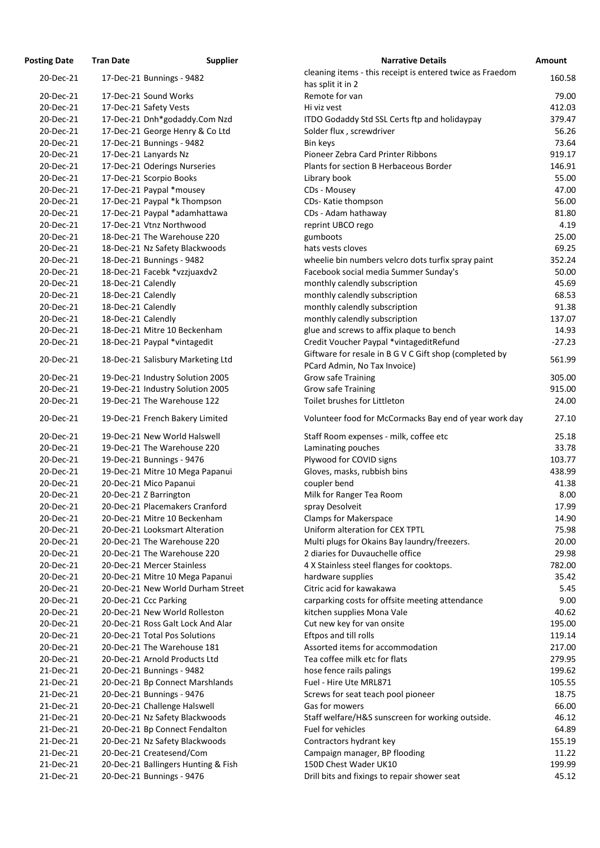| <b>Posting Date</b>    | <b>Tran Date</b>   | <b>Supplier</b>                                                  | <b>Narrative Details</b>                                                    |
|------------------------|--------------------|------------------------------------------------------------------|-----------------------------------------------------------------------------|
| 20-Dec-21              |                    | 17-Dec-21 Bunnings - 9482                                        | cleaning items - this receipt is entered twice as Frae<br>has split it in 2 |
| 20-Dec-21              |                    | 17-Dec-21 Sound Works                                            | Remote for van                                                              |
| 20-Dec-21              |                    | 17-Dec-21 Safety Vests                                           | Hi viz vest                                                                 |
| 20-Dec-21              |                    | 17-Dec-21 Dnh*godaddy.Com Nzd                                    | ITDO Godaddy Std SSL Certs ftp and holidaypay                               |
| 20-Dec-21              |                    | 17-Dec-21 George Henry & Co Ltd                                  | Solder flux, screwdriver                                                    |
| 20-Dec-21              |                    | 17-Dec-21 Bunnings - 9482                                        | Bin keys                                                                    |
| 20-Dec-21              |                    | 17-Dec-21 Lanyards Nz                                            | Pioneer Zebra Card Printer Ribbons                                          |
| 20-Dec-21              |                    | 17-Dec-21 Oderings Nurseries                                     | Plants for section B Herbaceous Border                                      |
| 20-Dec-21              |                    | 17-Dec-21 Scorpio Books                                          | Library book                                                                |
| 20-Dec-21              |                    | 17-Dec-21 Paypal *mousey                                         | CDs - Mousey                                                                |
| 20-Dec-21              |                    | 17-Dec-21 Paypal *k Thompson                                     | CDs- Katie thompson                                                         |
| 20-Dec-21              |                    | 17-Dec-21 Paypal *adamhattawa                                    | CDs - Adam hathaway                                                         |
| 20-Dec-21              |                    | 17-Dec-21 Vtnz Northwood                                         | reprint UBCO rego                                                           |
| 20-Dec-21              |                    | 18-Dec-21 The Warehouse 220                                      | gumboots                                                                    |
| 20-Dec-21              |                    | 18-Dec-21 Nz Safety Blackwoods                                   | hats vests cloves                                                           |
| 20-Dec-21              |                    | 18-Dec-21 Bunnings - 9482                                        | wheelie bin numbers velcro dots turfix spray paint                          |
| 20-Dec-21              |                    | 18-Dec-21 Facebk *vzzjuaxdv2                                     | Facebook social media Summer Sunday's                                       |
| 20-Dec-21              | 18-Dec-21 Calendly |                                                                  | monthly calendly subscription                                               |
| 20-Dec-21              | 18-Dec-21 Calendly |                                                                  | monthly calendly subscription                                               |
| 20-Dec-21              | 18-Dec-21 Calendly |                                                                  | monthly calendly subscription                                               |
| 20-Dec-21              | 18-Dec-21 Calendly |                                                                  | monthly calendly subscription                                               |
| 20-Dec-21              |                    | 18-Dec-21 Mitre 10 Beckenham                                     | glue and screws to affix plaque to bench                                    |
| 20-Dec-21              |                    | 18-Dec-21 Paypal *vintagedit                                     | Credit Voucher Paypal *vintageditRefund                                     |
| 20-Dec-21              |                    | 18-Dec-21 Salisbury Marketing Ltd                                | Giftware for resale in B G V C Gift shop (completed b                       |
|                        |                    |                                                                  | PCard Admin, No Tax Invoice)                                                |
| 20-Dec-21              |                    | 19-Dec-21 Industry Solution 2005                                 | <b>Grow safe Training</b>                                                   |
| 20-Dec-21              |                    | 19-Dec-21 Industry Solution 2005                                 | <b>Grow safe Training</b>                                                   |
| 20-Dec-21              |                    | 19-Dec-21 The Warehouse 122                                      | Toilet brushes for Littleton                                                |
| 20-Dec-21              |                    | 19-Dec-21 French Bakery Limited                                  | Volunteer food for McCormacks Bay end of year wo                            |
| 20-Dec-21              |                    | 19-Dec-21 New World Halswell                                     | Staff Room expenses - milk, coffee etc                                      |
| 20-Dec-21              |                    | 19-Dec-21 The Warehouse 220                                      | Laminating pouches                                                          |
| 20-Dec-21              |                    | 19-Dec-21 Bunnings - 9476                                        | Plywood for COVID signs                                                     |
| 20-Dec-21              |                    | 19-Dec-21 Mitre 10 Mega Papanui                                  | Gloves, masks, rubbish bins                                                 |
| 20-Dec-21              |                    | 20-Dec-21 Mico Papanui                                           | coupler bend                                                                |
| 20-Dec-21              |                    | 20-Dec-21 Z Barrington                                           | Milk for Ranger Tea Room                                                    |
| 20-Dec-21              |                    | 20-Dec-21 Placemakers Cranford                                   | spray Desolveit                                                             |
| 20-Dec-21              |                    | 20-Dec-21 Mitre 10 Beckenham                                     | <b>Clamps for Makerspace</b>                                                |
| 20-Dec-21              |                    | 20-Dec-21 Looksmart Alteration                                   | Uniform alteration for CEX TPTL                                             |
| 20-Dec-21              |                    | 20-Dec-21 The Warehouse 220                                      | Multi plugs for Okains Bay laundry/freezers.                                |
| 20-Dec-21              |                    | 20-Dec-21 The Warehouse 220                                      | 2 diaries for Duvauchelle office                                            |
| 20-Dec-21              |                    | 20-Dec-21 Mercer Stainless                                       | 4 X Stainless steel flanges for cooktops.                                   |
| 20-Dec-21              |                    | 20-Dec-21 Mitre 10 Mega Papanui                                  | hardware supplies                                                           |
| 20-Dec-21              |                    | 20-Dec-21 New World Durham Street                                | Citric acid for kawakawa                                                    |
| 20-Dec-21              |                    | 20-Dec-21 Ccc Parking                                            | carparking costs for offsite meeting attendance                             |
| 20-Dec-21              |                    | 20-Dec-21 New World Rolleston                                    | kitchen supplies Mona Vale                                                  |
| 20-Dec-21              |                    | 20-Dec-21 Ross Galt Lock And Alar                                | Cut new key for van onsite                                                  |
| 20-Dec-21              |                    | 20-Dec-21 Total Pos Solutions                                    | Eftpos and till rolls                                                       |
| 20-Dec-21              |                    | 20-Dec-21 The Warehouse 181                                      | Assorted items for accommodation                                            |
| 20-Dec-21              |                    | 20-Dec-21 Arnold Products Ltd                                    | Tea coffee milk etc for flats                                               |
| 21-Dec-21              |                    | 20-Dec-21 Bunnings - 9482                                        | hose fence rails palings                                                    |
| 21-Dec-21              |                    | 20-Dec-21 Bp Connect Marshlands                                  | Fuel - Hire Ute MRL871                                                      |
| 21-Dec-21<br>21-Dec-21 |                    | 20-Dec-21 Bunnings - 9476                                        | Screws for seat teach pool pioneer<br>Gas for mowers                        |
|                        |                    | 20-Dec-21 Challenge Halswell                                     |                                                                             |
| 21-Dec-21<br>21-Dec-21 |                    | 20-Dec-21 Nz Safety Blackwoods                                   | Staff welfare/H&S sunscreen for working outside.<br>Fuel for vehicles       |
| 21-Dec-21              |                    | 20-Dec-21 Bp Connect Fendalton<br>20-Dec-21 Nz Safety Blackwoods |                                                                             |
| 21-Dec-21              |                    | 20-Dec-21 Createsend/Com                                         | Contractors hydrant key                                                     |
| 21-Dec-21              |                    | 20-Dec-21 Ballingers Hunting & Fish                              | Campaign manager, BP flooding<br>150D Chest Wader UK10                      |
| 21-Dec-21              |                    | 20-Dec-21 Bunnings - 9476                                        | Drill bits and fixings to repair shower seat                                |
|                        |                    |                                                                  |                                                                             |

| ting Date | Tran Date          | <b>Supplier</b>                     | <b>Narrative Details</b>                                                               | Amount   |
|-----------|--------------------|-------------------------------------|----------------------------------------------------------------------------------------|----------|
| 20-Dec-21 |                    | 17-Dec-21 Bunnings - 9482           | cleaning items - this receipt is entered twice as Fraedom                              | 160.58   |
|           |                    |                                     | has split it in 2                                                                      |          |
| 20-Dec-21 |                    | 17-Dec-21 Sound Works               | Remote for van                                                                         | 79.00    |
| 20-Dec-21 |                    | 17-Dec-21 Safety Vests              | Hi viz vest                                                                            | 412.03   |
| 20-Dec-21 |                    | 17-Dec-21 Dnh*godaddy.Com Nzd       | ITDO Godaddy Std SSL Certs ftp and holidaypay                                          | 379.47   |
| 20-Dec-21 |                    | 17-Dec-21 George Henry & Co Ltd     | Solder flux, screwdriver                                                               | 56.26    |
| 20-Dec-21 |                    | 17-Dec-21 Bunnings - 9482           | Bin keys                                                                               | 73.64    |
| 20-Dec-21 |                    | 17-Dec-21 Lanyards Nz               | Pioneer Zebra Card Printer Ribbons                                                     | 919.17   |
| 20-Dec-21 |                    | 17-Dec-21 Oderings Nurseries        | Plants for section B Herbaceous Border                                                 | 146.91   |
| 20-Dec-21 |                    | 17-Dec-21 Scorpio Books             | Library book                                                                           | 55.00    |
| 20-Dec-21 |                    | 17-Dec-21 Paypal *mousey            | CDs - Mousey                                                                           | 47.00    |
| 20-Dec-21 |                    | 17-Dec-21 Paypal *k Thompson        | CDs- Katie thompson                                                                    | 56.00    |
| 20-Dec-21 |                    | 17-Dec-21 Paypal *adamhattawa       | CDs - Adam hathaway                                                                    | 81.80    |
| 20-Dec-21 |                    | 17-Dec-21 Vtnz Northwood            | reprint UBCO rego                                                                      | 4.19     |
| 20-Dec-21 |                    | 18-Dec-21 The Warehouse 220         | gumboots                                                                               | 25.00    |
| 20-Dec-21 |                    | 18-Dec-21 Nz Safety Blackwoods      | hats vests cloves                                                                      | 69.25    |
| 20-Dec-21 |                    | 18-Dec-21 Bunnings - 9482           | wheelie bin numbers velcro dots turfix spray paint                                     | 352.24   |
| 20-Dec-21 |                    | 18-Dec-21 Facebk *vzzjuaxdv2        | Facebook social media Summer Sunday's                                                  | 50.00    |
| 20-Dec-21 | 18-Dec-21 Calendly |                                     | monthly calendly subscription                                                          | 45.69    |
| 20-Dec-21 | 18-Dec-21 Calendly |                                     | monthly calendly subscription                                                          | 68.53    |
| 20-Dec-21 | 18-Dec-21 Calendly |                                     | monthly calendly subscription                                                          | 91.38    |
| 20-Dec-21 | 18-Dec-21 Calendly |                                     | monthly calendly subscription                                                          | 137.07   |
| 20-Dec-21 |                    | 18-Dec-21 Mitre 10 Beckenham        | glue and screws to affix plaque to bench                                               | 14.93    |
| 20-Dec-21 |                    | 18-Dec-21 Paypal *vintagedit        | Credit Voucher Paypal *vintageditRefund                                                | $-27.23$ |
| 20-Dec-21 |                    | 18-Dec-21 Salisbury Marketing Ltd   | Giftware for resale in B G V C Gift shop (completed by<br>PCard Admin, No Tax Invoice) | 561.99   |
| 20-Dec-21 |                    | 19-Dec-21 Industry Solution 2005    | <b>Grow safe Training</b>                                                              | 305.00   |
| 20-Dec-21 |                    | 19-Dec-21 Industry Solution 2005    | <b>Grow safe Training</b>                                                              | 915.00   |
| 20-Dec-21 |                    | 19-Dec-21 The Warehouse 122         | Toilet brushes for Littleton                                                           | 24.00    |
| 20-Dec-21 |                    | 19-Dec-21 French Bakery Limited     | Volunteer food for McCormacks Bay end of year work day                                 | 27.10    |
| 20-Dec-21 |                    | 19-Dec-21 New World Halswell        | Staff Room expenses - milk, coffee etc                                                 | 25.18    |
| 20-Dec-21 |                    | 19-Dec-21 The Warehouse 220         | Laminating pouches                                                                     | 33.78    |
| 20-Dec-21 |                    | 19-Dec-21 Bunnings - 9476           | Plywood for COVID signs                                                                | 103.77   |
| 20-Dec-21 |                    | 19-Dec-21 Mitre 10 Mega Papanui     | Gloves, masks, rubbish bins                                                            | 438.99   |
| 20-Dec-21 |                    | 20-Dec-21 Mico Papanui              | coupler bend                                                                           | 41.38    |
| 20-Dec-21 |                    | 20-Dec-21 Z Barrington              | Milk for Ranger Tea Room                                                               | 8.00     |
| 20-Dec-21 |                    | 20-Dec-21 Placemakers Cranford      | spray Desolveit                                                                        | 17.99    |
| 20-Dec-21 |                    | 20-Dec-21 Mitre 10 Beckenham        | <b>Clamps for Makerspace</b>                                                           | 14.90    |
| 20-Dec-21 |                    | 20-Dec-21 Looksmart Alteration      | Uniform alteration for CEX TPTL                                                        | 75.98    |
| 20-Dec-21 |                    | 20-Dec-21 The Warehouse 220         | Multi plugs for Okains Bay laundry/freezers.                                           | 20.00    |
| 20-Dec-21 |                    | 20-Dec-21 The Warehouse 220         | 2 diaries for Duvauchelle office                                                       | 29.98    |
| 20-Dec-21 |                    | 20-Dec-21 Mercer Stainless          | 4 X Stainless steel flanges for cooktops.                                              | 782.00   |
| 20-Dec-21 |                    | 20-Dec-21 Mitre 10 Mega Papanui     | hardware supplies                                                                      | 35.42    |
| 20-Dec-21 |                    | 20-Dec-21 New World Durham Street   | Citric acid for kawakawa                                                               | 5.45     |
| 20-Dec-21 |                    | 20-Dec-21 Ccc Parking               | carparking costs for offsite meeting attendance                                        | 9.00     |
| 20-Dec-21 |                    | 20-Dec-21 New World Rolleston       | kitchen supplies Mona Vale                                                             | 40.62    |
| 20-Dec-21 |                    | 20-Dec-21 Ross Galt Lock And Alar   | Cut new key for van onsite                                                             | 195.00   |
| 20-Dec-21 |                    | 20-Dec-21 Total Pos Solutions       | Eftpos and till rolls                                                                  | 119.14   |
| 20-Dec-21 |                    | 20-Dec-21 The Warehouse 181         | Assorted items for accommodation                                                       | 217.00   |
| 20-Dec-21 |                    | 20-Dec-21 Arnold Products Ltd       | Tea coffee milk etc for flats                                                          | 279.95   |
| 21-Dec-21 |                    | 20-Dec-21 Bunnings - 9482           | hose fence rails palings                                                               | 199.62   |
| 21-Dec-21 |                    | 20-Dec-21 Bp Connect Marshlands     | Fuel - Hire Ute MRL871                                                                 | 105.55   |
| 21-Dec-21 |                    | 20-Dec-21 Bunnings - 9476           | Screws for seat teach pool pioneer                                                     | 18.75    |
| 21-Dec-21 |                    | 20-Dec-21 Challenge Halswell        | Gas for mowers                                                                         | 66.00    |
| 21-Dec-21 |                    | 20-Dec-21 Nz Safety Blackwoods      | Staff welfare/H&S sunscreen for working outside.                                       | 46.12    |
| 21-Dec-21 |                    | 20-Dec-21 Bp Connect Fendalton      | Fuel for vehicles                                                                      | 64.89    |
| 21-Dec-21 |                    | 20-Dec-21 Nz Safety Blackwoods      | Contractors hydrant key                                                                | 155.19   |
| 21-Dec-21 |                    | 20-Dec-21 Createsend/Com            | Campaign manager, BP flooding                                                          | 11.22    |
| 21-Dec-21 |                    | 20-Dec-21 Ballingers Hunting & Fish | 150D Chest Wader UK10                                                                  | 199.99   |
| 21-Dec-21 |                    | 20-Dec-21 Bunnings - 9476           | Drill bits and fixings to repair shower seat                                           | 45.12    |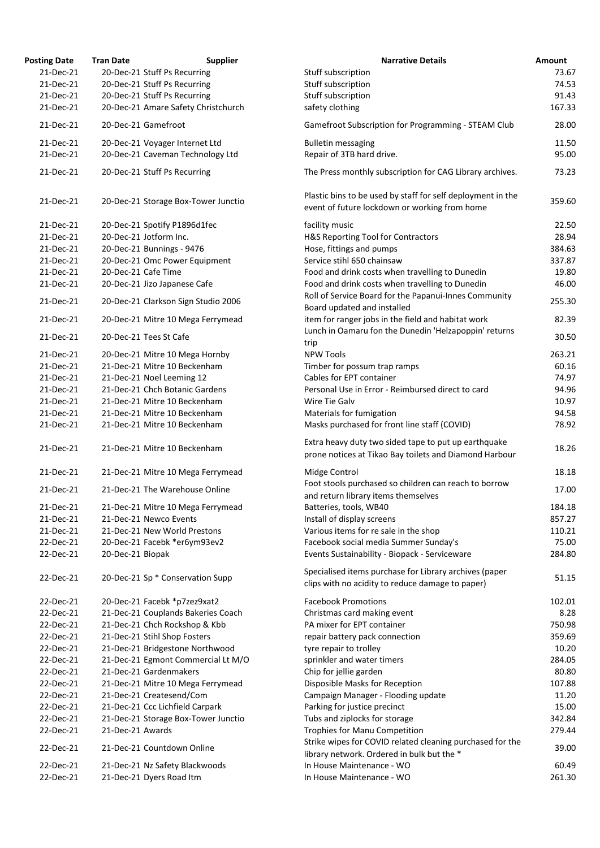| <b>Posting Date</b> | <b>Tran Date</b>       | <b>Supplier</b>                     | <b>Narrative Details</b>                                                                                       | Amount |
|---------------------|------------------------|-------------------------------------|----------------------------------------------------------------------------------------------------------------|--------|
| 21-Dec-21           |                        | 20-Dec-21 Stuff Ps Recurring        | Stuff subscription                                                                                             | 73.67  |
| 21-Dec-21           |                        | 20-Dec-21 Stuff Ps Recurring        | Stuff subscription                                                                                             | 74.53  |
| 21-Dec-21           |                        | 20-Dec-21 Stuff Ps Recurring        | Stuff subscription                                                                                             | 91.43  |
| 21-Dec-21           |                        | 20-Dec-21 Amare Safety Christchurch | safety clothing                                                                                                | 167.33 |
| 21-Dec-21           | 20-Dec-21 Gamefroot    |                                     | Gamefroot Subscription for Programming - STEAM Club                                                            | 28.00  |
| 21-Dec-21           |                        | 20-Dec-21 Voyager Internet Ltd      | <b>Bulletin messaging</b>                                                                                      | 11.50  |
| 21-Dec-21           |                        | 20-Dec-21 Caveman Technology Ltd    | Repair of 3TB hard drive.                                                                                      | 95.00  |
| 21-Dec-21           |                        | 20-Dec-21 Stuff Ps Recurring        | The Press monthly subscription for CAG Library archives.                                                       | 73.23  |
| 21-Dec-21           |                        | 20-Dec-21 Storage Box-Tower Junctio | Plastic bins to be used by staff for self deployment in the<br>event of future lockdown or working from home   | 359.60 |
| 21-Dec-21           |                        | 20-Dec-21 Spotify P1896d1fec        | facility music                                                                                                 | 22.50  |
| 21-Dec-21           | 20-Dec-21 Jotform Inc. |                                     | H&S Reporting Tool for Contractors                                                                             | 28.94  |
| 21-Dec-21           |                        | 20-Dec-21 Bunnings - 9476           | Hose, fittings and pumps                                                                                       | 384.63 |
| 21-Dec-21           |                        | 20-Dec-21 Omc Power Equipment       | Service stihl 650 chainsaw                                                                                     | 337.87 |
| 21-Dec-21           | 20-Dec-21 Cafe Time    |                                     | Food and drink costs when travelling to Dunedin                                                                | 19.80  |
| 21-Dec-21           |                        | 20-Dec-21 Jizo Japanese Cafe        | Food and drink costs when travelling to Dunedin                                                                | 46.00  |
| 21-Dec-21           |                        | 20-Dec-21 Clarkson Sign Studio 2006 | Roll of Service Board for the Papanui-Innes Community<br>Board updated and installed                           | 255.30 |
| 21-Dec-21           |                        | 20-Dec-21 Mitre 10 Mega Ferrymead   | item for ranger jobs in the field and habitat work                                                             | 82.39  |
| 21-Dec-21           | 20-Dec-21 Tees St Cafe |                                     | Lunch in Oamaru fon the Dunedin 'Helzapoppin' returns                                                          | 30.50  |
| 21-Dec-21           |                        | 20-Dec-21 Mitre 10 Mega Hornby      | trip<br><b>NPW Tools</b>                                                                                       | 263.21 |
| 21-Dec-21           |                        | 21-Dec-21 Mitre 10 Beckenham        | Timber for possum trap ramps                                                                                   | 60.16  |
| 21-Dec-21           |                        | 21-Dec-21 Noel Leeming 12           | Cables for EPT container                                                                                       | 74.97  |
| 21-Dec-21           |                        | 21-Dec-21 Chch Botanic Gardens      | Personal Use in Error - Reimbursed direct to card                                                              | 94.96  |
| 21-Dec-21           |                        | 21-Dec-21 Mitre 10 Beckenham        | Wire Tie Galv                                                                                                  | 10.97  |
| 21-Dec-21           |                        | 21-Dec-21 Mitre 10 Beckenham        |                                                                                                                | 94.58  |
| 21-Dec-21           |                        | 21-Dec-21 Mitre 10 Beckenham        | Materials for fumigation<br>Masks purchased for front line staff (COVID)                                       | 78.92  |
|                     |                        |                                     |                                                                                                                |        |
| 21-Dec-21           |                        | 21-Dec-21 Mitre 10 Beckenham        | Extra heavy duty two sided tape to put up earthquake<br>prone notices at Tikao Bay toilets and Diamond Harbour | 18.26  |
| 21-Dec-21           |                        | 21-Dec-21 Mitre 10 Mega Ferrymead   | Midge Control                                                                                                  | 18.18  |
| 21-Dec-21           |                        | 21-Dec-21 The Warehouse Online      | Foot stools purchased so children can reach to borrow<br>and return library items themselves                   | 17.00  |
| 21-Dec-21           |                        | 21-Dec-21 Mitre 10 Mega Ferrymead   | Batteries, tools, WB40                                                                                         | 184.18 |
| 21-Dec-21           | 21-Dec-21 Newco Events |                                     | Install of display screens                                                                                     | 857.27 |
| 21-Dec-21           |                        | 21-Dec-21 New World Prestons        | Various items for re sale in the shop                                                                          | 110.21 |
| 22-Dec-21           |                        |                                     |                                                                                                                | 75.00  |
| 22-Dec-21           |                        | 20-Dec-21 Facebk *er6ym93ev2        | Facebook social media Summer Sunday's<br>Events Sustainability - Biopack - Serviceware                         | 284.80 |
|                     | 20-Dec-21 Biopak       |                                     |                                                                                                                |        |
| 22-Dec-21           |                        | 20-Dec-21 Sp * Conservation Supp    | Specialised items purchase for Library archives (paper<br>clips with no acidity to reduce damage to paper)     | 51.15  |
| 22-Dec-21           |                        | 20-Dec-21 Facebk *p7zez9xat2        | <b>Facebook Promotions</b>                                                                                     | 102.01 |
| 22-Dec-21           |                        | 21-Dec-21 Couplands Bakeries Coach  | Christmas card making event                                                                                    | 8.28   |
| 22-Dec-21           |                        | 21-Dec-21 Chch Rockshop & Kbb       | PA mixer for EPT container                                                                                     | 750.98 |
| 22-Dec-21           |                        | 21-Dec-21 Stihl Shop Fosters        | repair battery pack connection                                                                                 | 359.69 |
| 22-Dec-21           |                        | 21-Dec-21 Bridgestone Northwood     | tyre repair to trolley                                                                                         | 10.20  |
| 22-Dec-21           |                        | 21-Dec-21 Egmont Commercial Lt M/O  | sprinkler and water timers                                                                                     | 284.05 |
| 22-Dec-21           |                        | 21-Dec-21 Gardenmakers              | Chip for jellie garden                                                                                         | 80.80  |
| 22-Dec-21           |                        | 21-Dec-21 Mitre 10 Mega Ferrymead   | Disposible Masks for Reception                                                                                 | 107.88 |
| 22-Dec-21           |                        | 21-Dec-21 Createsend/Com            | Campaign Manager - Flooding update                                                                             | 11.20  |
| 22-Dec-21           |                        | 21-Dec-21 Ccc Lichfield Carpark     | Parking for justice precinct                                                                                   | 15.00  |
| 22-Dec-21           |                        | 21-Dec-21 Storage Box-Tower Junctio | Tubs and ziplocks for storage                                                                                  | 342.84 |
| 22-Dec-21           | 21-Dec-21 Awards       |                                     | <b>Trophies for Manu Competition</b>                                                                           | 279.44 |
|                     |                        |                                     | Strike wipes for COVID related cleaning purchased for the                                                      |        |
| 22-Dec-21           |                        | 21-Dec-21 Countdown Online          | library network. Ordered in bulk but the *                                                                     | 39.00  |
| 22-Dec-21           |                        | 21-Dec-21 Nz Safety Blackwoods      | In House Maintenance - WO                                                                                      | 60.49  |
| 22-Dec-21           |                        | 21-Dec-21 Dyers Road Itm            | In House Maintenance - WO                                                                                      | 261.30 |
|                     |                        |                                     |                                                                                                                |        |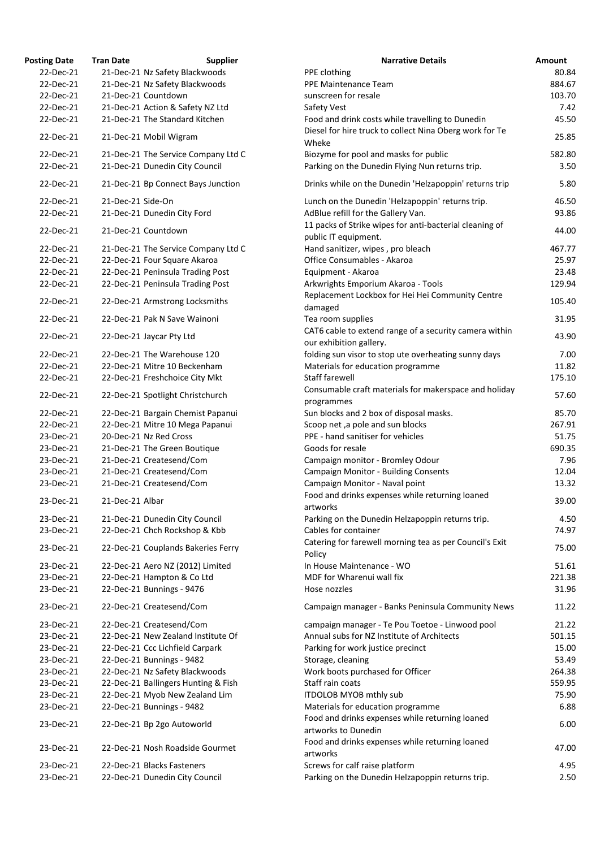| <b>Osting Date</b> | <b>Tran Date</b>  | <b>Supplier</b>                     | <b>Narrative Details</b>                                |
|--------------------|-------------------|-------------------------------------|---------------------------------------------------------|
| 22-Dec-21          |                   | 21-Dec-21 Nz Safety Blackwoods      | PPE clothing                                            |
| 22-Dec-21          |                   | 21-Dec-21 Nz Safety Blackwoods      | PPE Maintenance Team                                    |
| 22-Dec-21          |                   | 21-Dec-21 Countdown                 | sunscreen for resale                                    |
| 22-Dec-21          |                   | 21-Dec-21 Action & Safety NZ Ltd    | Safety Vest                                             |
| 22-Dec-21          |                   | 21-Dec-21 The Standard Kitchen      | Food and drink costs while travelling to Dunedin        |
| 22-Dec-21          |                   | 21-Dec-21 Mobil Wigram              | Diesel for hire truck to collect Nina Oberg work for Te |
|                    |                   |                                     | Wheke                                                   |
| 22-Dec-21          |                   | 21-Dec-21 The Service Company Ltd C | Biozyme for pool and masks for public                   |
| 22-Dec-21          |                   | 21-Dec-21 Dunedin City Council      | Parking on the Dunedin Flying Nun returns trip.         |
| 22-Dec-21          |                   | 21-Dec-21 Bp Connect Bays Junction  | Drinks while on the Dunedin 'Helzapoppin' returns trip  |
| 22-Dec-21          | 21-Dec-21 Side-On |                                     | Lunch on the Dunedin 'Helzapoppin' returns trip.        |
| 22-Dec-21          |                   | 21-Dec-21 Dunedin City Ford         | AdBlue refill for the Gallery Van.                      |
|                    |                   |                                     | 11 packs of Strike wipes for anti-bacterial cleaning of |
| 22-Dec-21          |                   | 21-Dec-21 Countdown                 | public IT equipment.                                    |
| 22-Dec-21          |                   | 21-Dec-21 The Service Company Ltd C | Hand sanitizer, wipes, pro bleach                       |
| 22-Dec-21          |                   | 22-Dec-21 Four Square Akaroa        | Office Consumables - Akaroa                             |
| 22-Dec-21          |                   | 22-Dec-21 Peninsula Trading Post    | Equipment - Akaroa                                      |
| 22-Dec-21          |                   | 22-Dec-21 Peninsula Trading Post    |                                                         |
|                    |                   |                                     | Arkwrights Emporium Akaroa - Tools                      |
| 22-Dec-21          |                   | 22-Dec-21 Armstrong Locksmiths      | Replacement Lockbox for Hei Hei Community Centre        |
|                    |                   |                                     | damaged                                                 |
| 22-Dec-21          |                   | 22-Dec-21 Pak N Save Wainoni        | Tea room supplies                                       |
| 22-Dec-21          |                   | 22-Dec-21 Jaycar Pty Ltd            | CAT6 cable to extend range of a security camera withi   |
|                    |                   |                                     | our exhibition gallery.                                 |
| 22-Dec-21          |                   | 22-Dec-21 The Warehouse 120         | folding sun visor to stop ute overheating sunny days    |
| 22-Dec-21          |                   | 22-Dec-21 Mitre 10 Beckenham        | Materials for education programme                       |
| 22-Dec-21          |                   | 22-Dec-21 Freshchoice City Mkt      | Staff farewell                                          |
| 22-Dec-21          |                   | 22-Dec-21 Spotlight Christchurch    | Consumable craft materials for makerspace and holida    |
|                    |                   |                                     | programmes                                              |
| 22-Dec-21          |                   | 22-Dec-21 Bargain Chemist Papanui   | Sun blocks and 2 box of disposal masks.                 |
| 22-Dec-21          |                   | 22-Dec-21 Mitre 10 Mega Papanui     | Scoop net, a pole and sun blocks                        |
| 23-Dec-21          |                   | 20-Dec-21 Nz Red Cross              | PPE - hand sanitiser for vehicles                       |
| 23-Dec-21          |                   | 21-Dec-21 The Green Boutique        | Goods for resale                                        |
| 23-Dec-21          |                   | 21-Dec-21 Createsend/Com            | Campaign monitor - Bromley Odour                        |
| 23-Dec-21          |                   | 21-Dec-21 Createsend/Com            | <b>Campaign Monitor - Building Consents</b>             |
| 23-Dec-21          |                   | 21-Dec-21 Createsend/Com            | Campaign Monitor - Naval point                          |
| 23-Dec-21          | 21-Dec-21 Albar   |                                     | Food and drinks expenses while returning loaned         |
|                    |                   |                                     | artworks                                                |
| 23-Dec-21          |                   | 21-Dec-21 Dunedin City Council      | Parking on the Dunedin Helzapoppin returns trip.        |
| 23-Dec-21          |                   | 22-Dec-21 Chch Rockshop & Kbb       | Cables for container                                    |
| 23-Dec-21          |                   | 22-Dec-21 Couplands Bakeries Ferry  | Catering for farewell morning tea as per Council's Exit |
|                    |                   |                                     | Policy                                                  |
| 23-Dec-21          |                   | 22-Dec-21 Aero NZ (2012) Limited    | In House Maintenance - WO                               |
| 23-Dec-21          |                   | 22-Dec-21 Hampton & Co Ltd          | MDF for Wharenui wall fix                               |
| 23-Dec-21          |                   | 22-Dec-21 Bunnings - 9476           | Hose nozzles                                            |
| 23-Dec-21          |                   | 22-Dec-21 Createsend/Com            | Campaign manager - Banks Peninsula Community Nev        |
| 23-Dec-21          |                   | 22-Dec-21 Createsend/Com            | campaign manager - Te Pou Toetoe - Linwood pool         |
| 23-Dec-21          |                   | 22-Dec-21 New Zealand Institute Of  | Annual subs for NZ Institute of Architects              |
| 23-Dec-21          |                   | 22-Dec-21 Ccc Lichfield Carpark     | Parking for work justice precinct                       |
| 23-Dec-21          |                   | 22-Dec-21 Bunnings - 9482           | Storage, cleaning                                       |
| 23-Dec-21          |                   | 22-Dec-21 Nz Safety Blackwoods      | Work boots purchased for Officer                        |
| 23-Dec-21          |                   | 22-Dec-21 Ballingers Hunting & Fish | Staff rain coats                                        |
|                    |                   |                                     |                                                         |
| 23-Dec-21          |                   | 22-Dec-21 Myob New Zealand Lim      | <b>ITDOLOB MYOB mthly sub</b>                           |
| 23-Dec-21          |                   | 22-Dec-21 Bunnings - 9482           | Materials for education programme                       |
| 23-Dec-21          |                   | 22-Dec-21 Bp 2go Autoworld          | Food and drinks expenses while returning loaned         |
|                    |                   |                                     | artworks to Dunedin                                     |
| 23-Dec-21          |                   | 22-Dec-21 Nosh Roadside Gourmet     | Food and drinks expenses while returning loaned         |
|                    |                   |                                     | artworks                                                |
| 23-Dec-21          |                   | 22-Dec-21 Blacks Fasteners          | Screws for calf raise platform                          |
| 23-Dec-21          |                   | 22-Dec-21 Dunedin City Council      | Parking on the Dunedin Helzapoppin returns trip.        |

| <b>Posting Date</b> | <b>Tran Date</b>  | <b>Supplier</b>                     | <b>Narrative Details</b>                                | Amount |
|---------------------|-------------------|-------------------------------------|---------------------------------------------------------|--------|
| 22-Dec-21           |                   | 21-Dec-21 Nz Safety Blackwoods      | PPE clothing                                            | 80.84  |
| 22-Dec-21           |                   | 21-Dec-21 Nz Safety Blackwoods      | PPE Maintenance Team                                    | 884.67 |
| 22-Dec-21           |                   | 21-Dec-21 Countdown                 | sunscreen for resale                                    | 103.70 |
| 22-Dec-21           |                   | 21-Dec-21 Action & Safety NZ Ltd    | Safety Vest                                             | 7.42   |
| 22-Dec-21           |                   | 21-Dec-21 The Standard Kitchen      | Food and drink costs while travelling to Dunedin        | 45.50  |
|                     |                   |                                     | Diesel for hire truck to collect Nina Oberg work for Te |        |
| 22-Dec-21           |                   | 21-Dec-21 Mobil Wigram              | Wheke                                                   | 25.85  |
| 22-Dec-21           |                   |                                     |                                                         | 582.80 |
|                     |                   | 21-Dec-21 The Service Company Ltd C | Biozyme for pool and masks for public                   |        |
| 22-Dec-21           |                   | 21-Dec-21 Dunedin City Council      | Parking on the Dunedin Flying Nun returns trip.         | 3.50   |
| 22-Dec-21           |                   | 21-Dec-21 Bp Connect Bays Junction  | Drinks while on the Dunedin 'Helzapoppin' returns trip  | 5.80   |
| 22-Dec-21           | 21-Dec-21 Side-On |                                     | Lunch on the Dunedin 'Helzapoppin' returns trip.        | 46.50  |
| 22-Dec-21           |                   | 21-Dec-21 Dunedin City Ford         | AdBlue refill for the Gallery Van.                      | 93.86  |
|                     |                   |                                     | 11 packs of Strike wipes for anti-bacterial cleaning of |        |
| 22-Dec-21           |                   | 21-Dec-21 Countdown                 | public IT equipment.                                    | 44.00  |
| 22-Dec-21           |                   | 21-Dec-21 The Service Company Ltd C | Hand sanitizer, wipes, pro bleach                       | 467.77 |
| 22-Dec-21           |                   | 22-Dec-21 Four Square Akaroa        | Office Consumables - Akaroa                             | 25.97  |
|                     |                   |                                     |                                                         |        |
| 22-Dec-21           |                   | 22-Dec-21 Peninsula Trading Post    | Equipment - Akaroa                                      | 23.48  |
| 22-Dec-21           |                   | 22-Dec-21 Peninsula Trading Post    | Arkwrights Emporium Akaroa - Tools                      | 129.94 |
| 22-Dec-21           |                   | 22-Dec-21 Armstrong Locksmiths      | Replacement Lockbox for Hei Hei Community Centre        | 105.40 |
|                     |                   |                                     | damaged                                                 |        |
| 22-Dec-21           |                   | 22-Dec-21 Pak N Save Wainoni        | Tea room supplies                                       | 31.95  |
|                     |                   |                                     | CAT6 cable to extend range of a security camera within  |        |
| 22-Dec-21           |                   | 22-Dec-21 Jaycar Pty Ltd            | our exhibition gallery.                                 | 43.90  |
| 22-Dec-21           |                   | 22-Dec-21 The Warehouse 120         | folding sun visor to stop ute overheating sunny days    | 7.00   |
| 22-Dec-21           |                   | 22-Dec-21 Mitre 10 Beckenham        | Materials for education programme                       | 11.82  |
| 22-Dec-21           |                   | 22-Dec-21 Freshchoice City Mkt      | Staff farewell                                          | 175.10 |
|                     |                   |                                     |                                                         |        |
| 22-Dec-21           |                   | 22-Dec-21 Spotlight Christchurch    | Consumable craft materials for makerspace and holiday   | 57.60  |
|                     |                   |                                     | programmes                                              |        |
| 22-Dec-21           |                   | 22-Dec-21 Bargain Chemist Papanui   | Sun blocks and 2 box of disposal masks.                 | 85.70  |
| 22-Dec-21           |                   | 22-Dec-21 Mitre 10 Mega Papanui     | Scoop net, a pole and sun blocks                        | 267.91 |
| 23-Dec-21           |                   | 20-Dec-21 Nz Red Cross              | PPE - hand sanitiser for vehicles                       | 51.75  |
| 23-Dec-21           |                   | 21-Dec-21 The Green Boutique        | Goods for resale                                        | 690.35 |
| 23-Dec-21           |                   | 21-Dec-21 Createsend/Com            | Campaign monitor - Bromley Odour                        | 7.96   |
| 23-Dec-21           |                   | 21-Dec-21 Createsend/Com            | <b>Campaign Monitor - Building Consents</b>             | 12.04  |
| 23-Dec-21           |                   | 21-Dec-21 Createsend/Com            | Campaign Monitor - Naval point                          | 13.32  |
|                     |                   |                                     | Food and drinks expenses while returning loaned         |        |
| 23-Dec-21           | 21-Dec-21 Albar   |                                     | artworks                                                | 39.00  |
|                     |                   |                                     |                                                         |        |
| 23-Dec-21           |                   | 21-Dec-21 Dunedin City Council      | Parking on the Dunedin Helzapoppin returns trip.        | 4.50   |
| 23-Dec-21           |                   | 22-Dec-21 Chch Rockshop & Kbb       | Cables for container                                    | 74.97  |
| 23-Dec-21           |                   | 22-Dec-21 Couplands Bakeries Ferry  | Catering for farewell morning tea as per Council's Exit | 75.00  |
|                     |                   |                                     | Policy                                                  |        |
| 23-Dec-21           |                   | 22-Dec-21 Aero NZ (2012) Limited    | In House Maintenance - WO                               | 51.61  |
| 23-Dec-21           |                   | 22-Dec-21 Hampton & Co Ltd          | MDF for Wharenui wall fix                               | 221.38 |
| 23-Dec-21           |                   | 22-Dec-21 Bunnings - 9476           | Hose nozzles                                            | 31.96  |
| 23-Dec-21           |                   | 22-Dec-21 Createsend/Com            | Campaign manager - Banks Peninsula Community News       | 11.22  |
| 23-Dec-21           |                   |                                     |                                                         | 21.22  |
|                     |                   | 22-Dec-21 Createsend/Com            | campaign manager - Te Pou Toetoe - Linwood pool         |        |
| 23-Dec-21           |                   | 22-Dec-21 New Zealand Institute Of  | Annual subs for NZ Institute of Architects              | 501.15 |
| 23-Dec-21           |                   | 22-Dec-21 Ccc Lichfield Carpark     | Parking for work justice precinct                       | 15.00  |
| 23-Dec-21           |                   | 22-Dec-21 Bunnings - 9482           | Storage, cleaning                                       | 53.49  |
| 23-Dec-21           |                   | 22-Dec-21 Nz Safety Blackwoods      | Work boots purchased for Officer                        | 264.38 |
| 23-Dec-21           |                   | 22-Dec-21 Ballingers Hunting & Fish | Staff rain coats                                        | 559.95 |
| 23-Dec-21           |                   | 22-Dec-21 Myob New Zealand Lim      | <b>ITDOLOB MYOB mthly sub</b>                           | 75.90  |
| 23-Dec-21           |                   | 22-Dec-21 Bunnings - 9482           | Materials for education programme                       | 6.88   |
|                     |                   |                                     | Food and drinks expenses while returning loaned         |        |
| 23-Dec-21           |                   | 22-Dec-21 Bp 2go Autoworld          | artworks to Dunedin                                     | 6.00   |
|                     |                   |                                     |                                                         |        |
| 23-Dec-21           |                   | 22-Dec-21 Nosh Roadside Gourmet     | Food and drinks expenses while returning loaned         | 47.00  |
|                     |                   |                                     | artworks                                                |        |
| 23-Dec-21           |                   | 22-Dec-21 Blacks Fasteners          | Screws for calf raise platform                          | 4.95   |
| 23-Dec-21           |                   | 22-Dec-21 Dunedin City Council      | Parking on the Dunedin Helzapoppin returns trip.        | 2.50   |
|                     |                   |                                     |                                                         |        |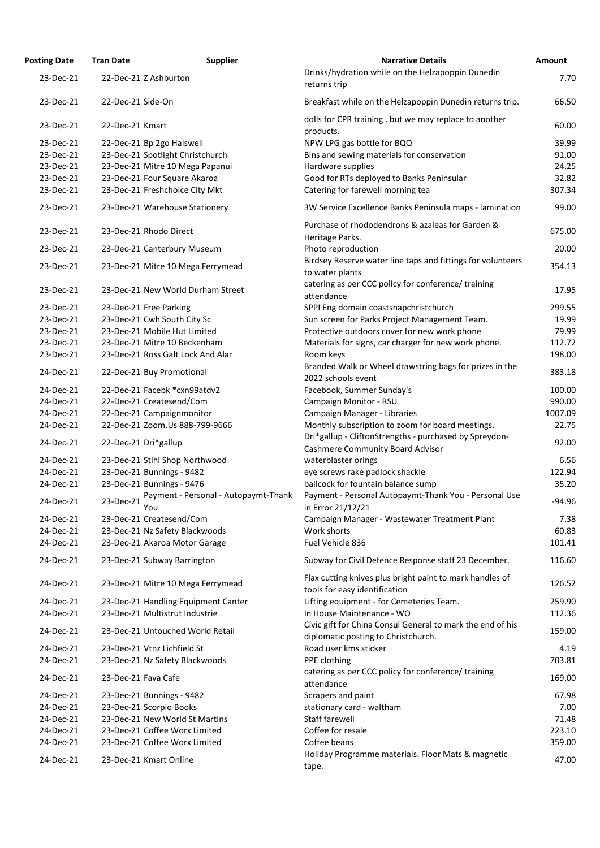| <b>Posting Date</b> | <b>Supplier</b><br><b>Tran Date</b>                      | <b>Narrative Details</b>                                                                          | Amount   |
|---------------------|----------------------------------------------------------|---------------------------------------------------------------------------------------------------|----------|
| 23-Dec-21           | 22-Dec-21 Z Ashburton                                    | Drinks/hydration while on the Helzapoppin Dunedin<br>returns trip                                 | 7.70     |
| 23-Dec-21           | 22-Dec-21 Side-On                                        | Breakfast while on the Helzapoppin Dunedin returns trip.                                          | 66.50    |
| 23-Dec-21           | 22-Dec-21 Kmart                                          | dolls for CPR training. but we may replace to another<br>products.                                | 60.00    |
| 23-Dec-21           | 22-Dec-21 Bp 2go Halswell                                | NPW LPG gas bottle for BQQ                                                                        | 39.99    |
| 23-Dec-21           | 23-Dec-21 Spotlight Christchurch                         | Bins and sewing materials for conservation                                                        | 91.00    |
| 23-Dec-21           | 23-Dec-21 Mitre 10 Mega Papanui                          | Hardware supplies                                                                                 | 24.25    |
| 23-Dec-21           | 23-Dec-21 Four Square Akaroa                             | Good for RTs deployed to Banks Peninsular                                                         | 32.82    |
| 23-Dec-21           | 23-Dec-21 Freshchoice City Mkt                           | Catering for farewell morning tea                                                                 | 307.34   |
| 23-Dec-21           | 23-Dec-21 Warehouse Stationery                           | 3W Service Excellence Banks Peninsula maps - lamination                                           | 99.00    |
| 23-Dec-21           | 23-Dec-21 Rhodo Direct                                   | Purchase of rhododendrons & azaleas for Garden &<br>Heritage Parks.                               | 675.00   |
| 23-Dec-21           | 23-Dec-21 Canterbury Museum                              | Photo reproduction                                                                                | 20.00    |
| 23-Dec-21           | 23-Dec-21 Mitre 10 Mega Ferrymead                        | Birdsey Reserve water line taps and fittings for volunteers<br>to water plants                    | 354.13   |
| 23-Dec-21           | 23-Dec-21 New World Durham Street                        | catering as per CCC policy for conference/ training<br>attendance                                 | 17.95    |
| 23-Dec-21           | 23-Dec-21 Free Parking                                   | SPPI Eng domain coastsnapchristchurch                                                             | 299.55   |
| 23-Dec-21           | 23-Dec-21 Cwh South City Sc                              | Sun screen for Parks Project Management Team.                                                     | 19.99    |
| 23-Dec-21           | 23-Dec-21 Mobile Hut Limited                             | Protective outdoors cover for new work phone                                                      | 79.99    |
| 23-Dec-21           | 23-Dec-21 Mitre 10 Beckenham                             | Materials for signs, car charger for new work phone.                                              | 112.72   |
| 23-Dec-21           | 23-Dec-21 Ross Galt Lock And Alar                        | Room keys                                                                                         | 198.00   |
| 24-Dec-21           | 22-Dec-21 Buy Promotional                                | Branded Walk or Wheel drawstring bags for prizes in the<br>2022 schools event                     | 383.18   |
| 24-Dec-21           | 22-Dec-21 Facebk *cxn99atdv2                             | Facebook, Summer Sunday's                                                                         | 100.00   |
| 24-Dec-21           | 22-Dec-21 Createsend/Com                                 | Campaign Monitor - RSU                                                                            | 990.00   |
| 24-Dec-21           | 22-Dec-21 Campaignmonitor                                | Campaign Manager - Libraries                                                                      | 1007.09  |
| 24-Dec-21           | 22-Dec-21 Zoom.Us 888-799-9666                           | Monthly subscription to zoom for board meetings.                                                  | 22.75    |
| 24-Dec-21           | 22-Dec-21 Dri*gallup                                     | Dri*gallup - CliftonStrengths - purchased by Spreydon-<br><b>Cashmere Community Board Advisor</b> | 92.00    |
| 24-Dec-21           | 23-Dec-21 Stihl Shop Northwood                           | waterblaster orings                                                                               | 6.56     |
| 24-Dec-21           | 23-Dec-21 Bunnings - 9482                                | eye screws rake padlock shackle                                                                   | 122.94   |
| 24-Dec-21           | 23-Dec-21 Bunnings - 9476                                | ballcock for fountain balance sump                                                                | 35.20    |
| 24-Dec-21           | Payment - Personal - Autopaymt-Thank<br>23-Dec-21<br>You | Payment - Personal Autopaymt-Thank You - Personal Use<br>in Error 21/12/21                        | $-94.96$ |
| 24-Dec-21           | 23-Dec-21 Createsend/Com                                 | Campaign Manager - Wastewater Treatment Plant                                                     | 7.38     |
| 24-Dec-21           | 23-Dec-21 Nz Safety Blackwoods                           | Work shorts                                                                                       | 60.83    |
| 24-Dec-21           | 23-Dec-21 Akaroa Motor Garage                            | Fuel Vehicle 836                                                                                  | 101.41   |
| 24-Dec-21           | 23-Dec-21 Subway Barrington                              | Subway for Civil Defence Response staff 23 December.                                              | 116.60   |
| 24-Dec-21           | 23-Dec-21 Mitre 10 Mega Ferrymead                        | Flax cutting knives plus bright paint to mark handles of<br>tools for easy identification         | 126.52   |
| 24-Dec-21           | 23-Dec-21 Handling Equipment Canter                      | Lifting equipment - for Cemeteries Team.                                                          | 259.90   |
| 24-Dec-21           | 23-Dec-21 Multistrut Industrie                           | In House Maintenance - WO                                                                         | 112.36   |
| 24-Dec-21           | 23-Dec-21 Untouched World Retail                         | Civic gift for China Consul General to mark the end of his<br>diplomatic posting to Christchurch. | 159.00   |
| 24-Dec-21           | 23-Dec-21 Vtnz Lichfield St                              | Road user kms sticker                                                                             | 4.19     |
| 24-Dec-21           | 23-Dec-21 Nz Safety Blackwoods                           | PPE clothing                                                                                      | 703.81   |
| 24-Dec-21           | 23-Dec-21 Fava Cafe                                      | catering as per CCC policy for conference/training<br>attendance                                  | 169.00   |
| 24-Dec-21           | 23-Dec-21 Bunnings - 9482                                | Scrapers and paint                                                                                | 67.98    |
| 24-Dec-21           | 23-Dec-21 Scorpio Books                                  | stationary card - waltham                                                                         | 7.00     |
| 24-Dec-21           | 23-Dec-21 New World St Martins                           | <b>Staff farewell</b>                                                                             | 71.48    |
| 24-Dec-21           | 23-Dec-21 Coffee Worx Limited                            | Coffee for resale                                                                                 | 223.10   |
| 24-Dec-21           | 23-Dec-21 Coffee Worx Limited                            | Coffee beans                                                                                      | 359.00   |
| 24-Dec-21           | 23-Dec-21 Kmart Online                                   | Holiday Programme materials. Floor Mats & magnetic<br>tape.                                       | 47.00    |
|                     |                                                          |                                                                                                   |          |